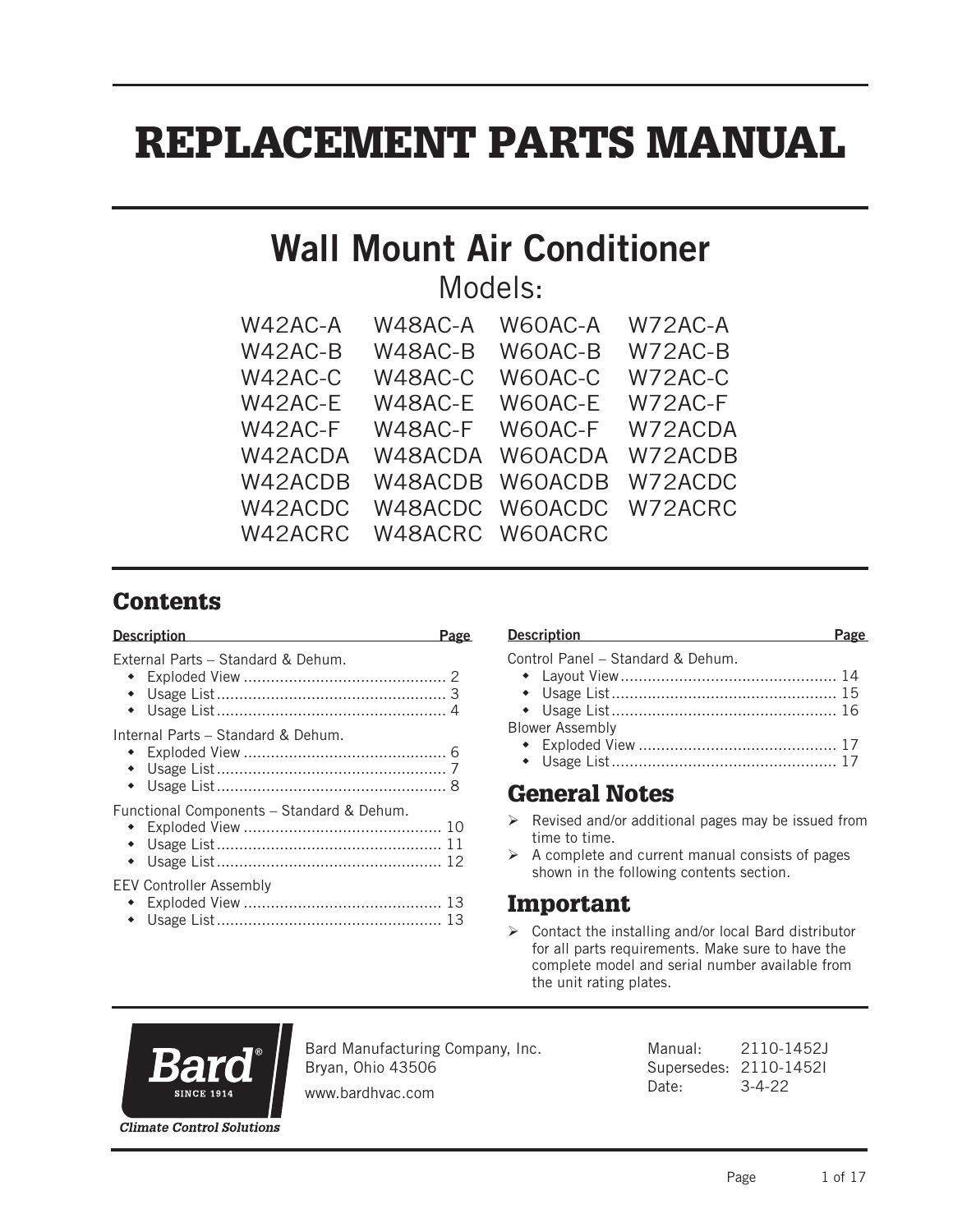### REPLACEMENT PARTS MANUAL

### Wall Mount Air Conditioner

Models:

| W42AC-A | W48AC-A | W60AC-A | W72AC-A |
|---------|---------|---------|---------|
| W42AC-B | W48AC-B | W60AC-B | W72AC-B |
| W42AC-C | W48AC-C | W60AC-C | W72AC-C |
| W42AC-E | W48AC-E | W60AC-E | W72AC-F |
| W42AC-F | W48AC-F | W60AC-F | W72ACDA |
| W42ACDA | W48ACDA | W60ACDA | W72ACDB |
| W42ACDB | W48ACDB | W60ACDB | W72ACDC |
| W42ACDC | W48ACDC | W60ACDC | W72ACRC |
| W42ACRC | W48ACRC | W60ACRC |         |
|         |         |         |         |

### **Contents**

#### Description Page

| External Parts - Standard & Dehum.                      |  |
|---------------------------------------------------------|--|
|                                                         |  |
| Internal Parts - Standard & Dehum.                      |  |
| Functional Components - Standard & Dehum.               |  |
| <b>EEV Controller Assembly</b><br>$\blacksquare$<br>1 ລ |  |

- Exploded View ............................................ 13
- Usage List.................................................. 13

| Description Description           |  |
|-----------------------------------|--|
| Control Panel - Standard & Dehum. |  |
|                                   |  |
|                                   |  |
|                                   |  |
| <b>Blower Assembly</b>            |  |
|                                   |  |
|                                   |  |
|                                   |  |

#### General Notes

- $\triangleright$  Revised and/or additional pages may be issued from time to time.
- $\triangleright$  A complete and current manual consists of pages shown in the following contents section.

#### Important

 $\triangleright$  Contact the installing and/or local Bard distributor for all parts requirements. Make sure to have the complete model and serial number available from the unit rating plates.



Bard Manufacturing Company, Inc. Bryan, Ohio 43506

www.bardhvac.com

Manual: 2110-1452J Supersedes: 2110-1452I Date: 3-4-22

**Climate Control Solutions**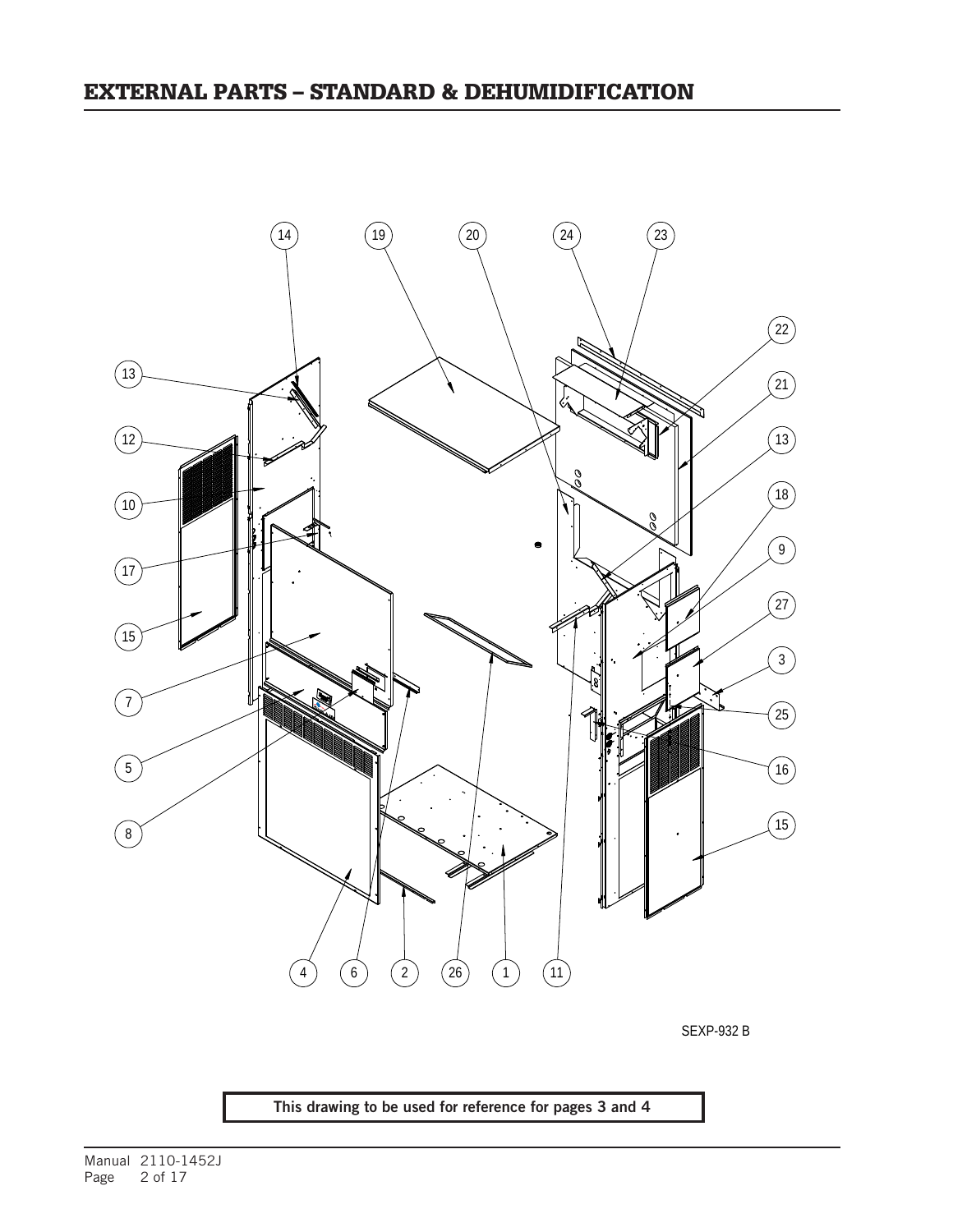

SEXP-932 B

This drawing to be used for reference for pages 3 and 4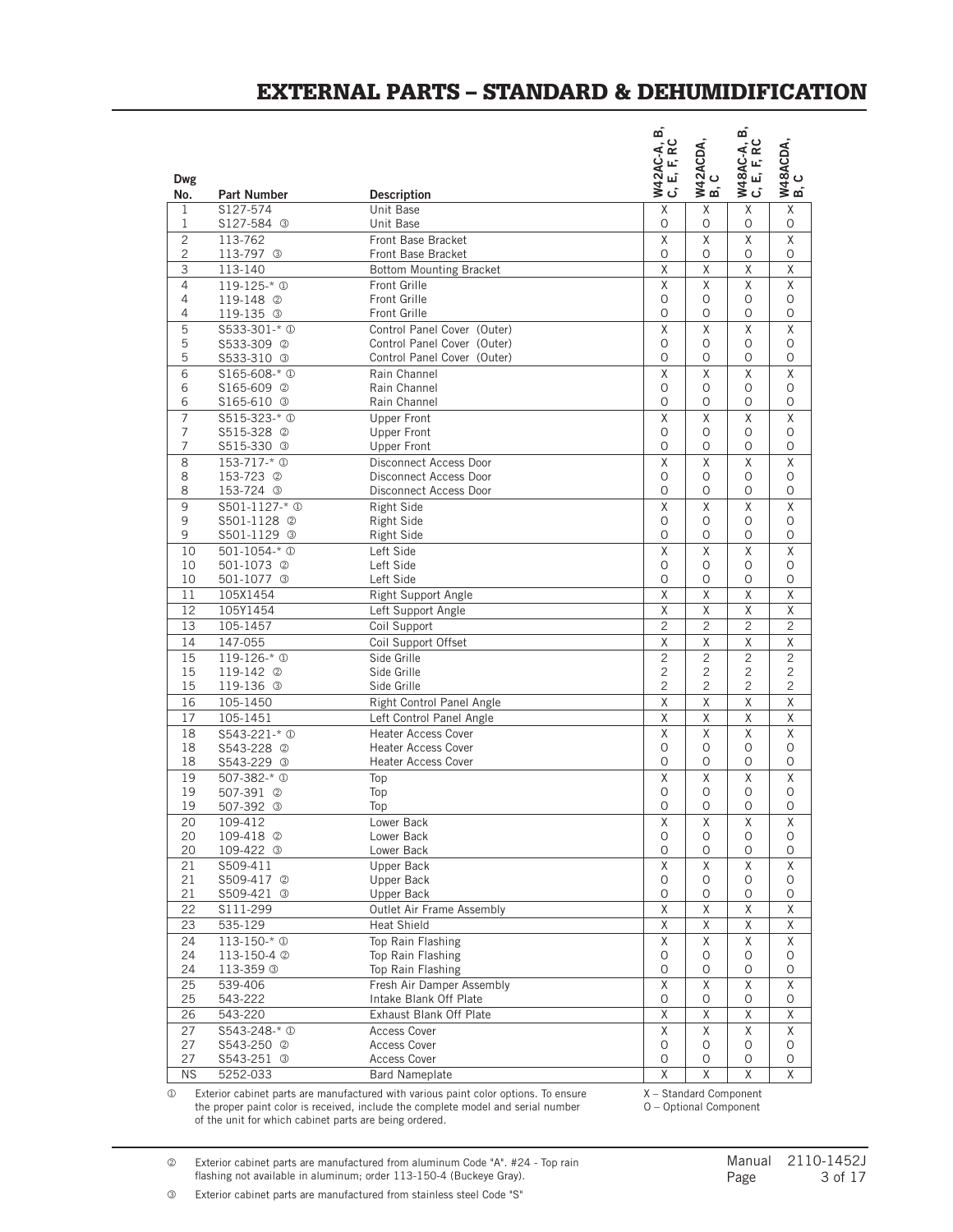#### EXTERNAL PARTS – STANDARD & DEHUMIDIFICATION

|                 |                                        |                                                            | மி                                 |                                    | B,<br>ူင                           |                                    |
|-----------------|----------------------------------------|------------------------------------------------------------|------------------------------------|------------------------------------|------------------------------------|------------------------------------|
|                 |                                        |                                                            | W42AC-A, I<br>C, E, F, RC          | W42ACDA,<br>B, C                   | W48AC-A,<br>C, E, F, RC            | W48ACDA,<br>B, C                   |
| Dwg             |                                        |                                                            |                                    |                                    |                                    |                                    |
| No.<br>1        | <b>Part Number</b><br>S127-574         | <b>Description</b><br>Unit Base                            | Χ                                  | X                                  | Χ                                  | Χ                                  |
| $\mathbf 1$     | S127-584 3                             | Unit Base                                                  | 0                                  | 0                                  | 0                                  | 0                                  |
| $\overline{c}$  | 113-762                                | Front Base Bracket                                         | Χ                                  | X                                  | Χ                                  | $\overline{\mathsf{X}}$            |
| $\mathbf{2}$    | 113-797 3                              | Front Base Bracket                                         | O                                  | O                                  | 0                                  | 0                                  |
| 3<br>4          | 113-140<br>119-125-* <sup>0</sup>      | <b>Bottom Mounting Bracket</b><br>Front Grille             | $\overline{X}$<br>X                | $\overline{X}$<br>X                | $\overline{X}$<br>Χ                | $\overline{X}$<br>X                |
| 4               | 119-148 <sup><sup>2</sup></sup>        | <b>Front Grille</b>                                        | O                                  | $\Omega$                           | 0                                  | $\circ$                            |
| 4               | 119-135 <sup>3</sup>                   | <b>Front Grille</b>                                        | $\circ$                            | $\Omega$                           | 0                                  | $\circ$                            |
| 5               | \$533-301-* <sup>0</sup>               | Control Panel Cover (Outer)                                | X                                  | X                                  | X                                  | $\sf X$                            |
| 5<br>5          | S533-309 2<br>S533-310 <sup>3</sup>    | Control Panel Cover (Outer)<br>Control Panel Cover (Outer) | $\circ$<br>$\circ$                 | $\Omega$<br>O                      | $\Omega$<br>0                      | $\circ$<br>0                       |
| 6               | \$165-608-* <sup>0</sup>               | Rain Channel                                               | $\overline{\mathsf{x}}$            | X                                  | $\overline{\mathsf{x}}$            | X                                  |
| 6               | S165-609 2                             | Rain Channel                                               | $\circ$                            | $\Omega$                           | 0                                  | $\circ$                            |
| 6               | S165-610 <sup>3</sup>                  | Rain Channel                                               | $\circ$                            | $\circ$                            | 0                                  | 0                                  |
| 7<br>7          | \$515-323-* <sup>0</sup>               | <b>Upper Front</b>                                         | X<br>$\circ$                       | X<br>$\circ$                       | X<br>$\circ$                       | X                                  |
| 7               | S515-328 <sup>2</sup><br>S515-330 3    | <b>Upper Front</b><br><b>Upper Front</b>                   | $\circ$                            | $\circ$                            | $\circ$                            | 0<br>$\circ$                       |
| 8               | 153-717-* <sup>0</sup>                 | Disconnect Access Door                                     | X                                  | X                                  | X                                  | X                                  |
| 8               | 153-723 2                              | Disconnect Access Door                                     | $\circ$                            | $\Omega$                           | 0                                  | $\circ$                            |
| 8               | 153-724 3                              | Disconnect Access Door                                     | 0                                  | $\Omega$                           | 0                                  | $\circ$                            |
| 9<br>9          | S501-1127-* ①<br>S501-1128 2           | <b>Right Side</b><br><b>Right Side</b>                     | X<br>$\circ$                       | $\overline{\mathsf{x}}$<br>$\circ$ | $\overline{\mathsf{x}}$<br>$\circ$ | X<br>$\circ$                       |
| 9               | S501-1129 3                            | <b>Right Side</b>                                          | O                                  | O                                  | 0                                  | $\circ$                            |
| 10              | $501 - 1054 - * 0$                     | Left Side                                                  | X                                  | X                                  | X                                  | X                                  |
| 10              | 501-1073 2                             | Left Side                                                  | $\circ$                            | $\Omega$                           | $\circ$                            | $\circ$                            |
| 10<br>11        | 501-1077 3<br>105X1454                 | Left Side                                                  | $\circ$<br>$\overline{\mathsf{X}}$ | $\Omega$<br>$\overline{X}$         | 0<br>$\overline{X}$                | $\circ$<br>$\overline{\mathsf{X}}$ |
| 12              | 105Y1454                               | <b>Right Support Angle</b><br>Left Support Angle           | X                                  | X                                  | Χ                                  | Χ                                  |
| 13              | 105-1457                               | Coil Support                                               | $\overline{2}$                     | $\overline{2}$                     | $\overline{c}$                     | $\overline{2}$                     |
| 14              | 147-055                                | Coil Support Offset                                        | X                                  | $\overline{X}$                     | Χ                                  | Χ                                  |
| 15              | 119-126-* <sup>0</sup>                 | Side Grille                                                | $\mathbf{2}$                       | $\overline{c}$                     | $\overline{c}$                     | $\overline{c}$                     |
| 15              | 119-142 <sup><b><sup>2</sup></b></sup> | Side Grille                                                | $\overline{c}$                     | $\overline{c}$                     | $\overline{c}$                     | $\mathbf{2}$                       |
| 15<br>16        | 119-136 <sup>3</sup><br>105-1450       | Side Grille<br>Right Control Panel Angle                   | $\overline{c}$<br>Χ                | 2<br>$\sf X$                       | 2<br>X                             | $\overline{c}$<br>$\sf X$          |
| 17              | 105-1451                               | Left Control Panel Angle                                   | Χ                                  | X                                  | Χ                                  | Χ                                  |
| 18              | \$543-221-* 0                          | <b>Heater Access Cover</b>                                 | X                                  | X                                  | Χ                                  | X                                  |
| 18              | S543-228 <sup>2</sup>                  | <b>Heater Access Cover</b>                                 | O                                  | $\Omega$                           | 0                                  | $\circ$                            |
| 18              | S543-229 3                             | <b>Heater Access Cover</b>                                 | $\circ$                            | $\Omega$                           | 0                                  | $\circ$                            |
| 19<br>19        | 507-382-* <sup>0</sup><br>507-391 2    | Top<br>Top                                                 | X<br>$\circ$                       | X<br>$\Omega$                      | X<br>0                             | Χ<br>$\circ$                       |
| 19              | 507-392 <sup>3</sup>                   | Top                                                        | $\circ$                            | $\circ$                            | 0                                  | 0                                  |
| $\overline{20}$ | 109-412                                | Lower Back                                                 | $\overline{\mathsf{X}}$            | $\overline{\mathsf{x}}$            | $\overline{\mathsf{x}}$            | $\overline{\mathsf{x}}$            |
| 20              | 109-418 2                              | Lower Back                                                 | 0                                  | 0                                  | 0                                  | 0                                  |
| 20<br>21        | 109-422 3<br>S509-411                  | Lower Back<br>Upper Back                                   | 0<br>X                             | 0<br>Χ                             | 0<br>Χ                             | 0<br>Χ                             |
| 21              | S509-417 2                             | Upper Back                                                 | 0                                  | 0                                  | 0                                  | 0                                  |
| 21              | S509-421 3                             | Upper Back                                                 | 0                                  | 0                                  | 0                                  | 0                                  |
| 22              | S111-299                               | Outlet Air Frame Assembly                                  | X                                  | X                                  | Χ                                  | Χ                                  |
| 23              | 535-129                                | <b>Heat Shield</b>                                         | Χ                                  | X                                  | Χ                                  | Χ                                  |
| 24<br>24        | 113-150-* <sup>0</sup><br>113-150-4 2  | Top Rain Flashing<br>Top Rain Flashing                     | X<br>O                             | X<br>0                             | Χ<br>0                             | X<br>0                             |
| 24              | 113-359 <sup>3</sup>                   | Top Rain Flashing                                          | 0                                  | 0                                  | 0                                  | 0                                  |
| 25              | 539-406                                | Fresh Air Damper Assembly                                  | X                                  | X                                  | Χ                                  | Χ                                  |
| 25              | 543-222                                | Intake Blank Off Plate                                     | 0                                  | 0                                  | 0                                  | 0                                  |
| 26              | 543-220                                | Exhaust Blank Off Plate                                    | Χ                                  | Χ                                  | Χ                                  | Χ                                  |
| 27<br>27        | \$543-248-* <sup>0</sup><br>S543-250 2 | <b>Access Cover</b><br><b>Access Cover</b>                 | Χ<br>0                             | Χ<br>0                             | Χ<br>0                             | Χ<br>0                             |
| 27              | S543-251 3                             | <b>Access Cover</b>                                        | 0                                  | 0                                  | 0                                  | 0                                  |
| <b>NS</b>       | 5252-033                               | <b>Bard Nameplate</b>                                      | X                                  | Χ                                  | Χ                                  | Χ                                  |
|                 |                                        |                                                            |                                    |                                    |                                    |                                    |

 Exterior cabinet parts are manufactured with various paint color options. To ensure the proper paint color is received, include the complete model and serial number of the unit for which cabinet parts are being ordered.

X – Standard Component O – Optional Component

k Exterior cabinet parts are manufactured from aluminum Code "A". #24 - Top rain flashing not available in aluminum; order 113-150-4 (Buckeye Gray).

Exterior cabinet parts are manufactured from stainless steel Code "S"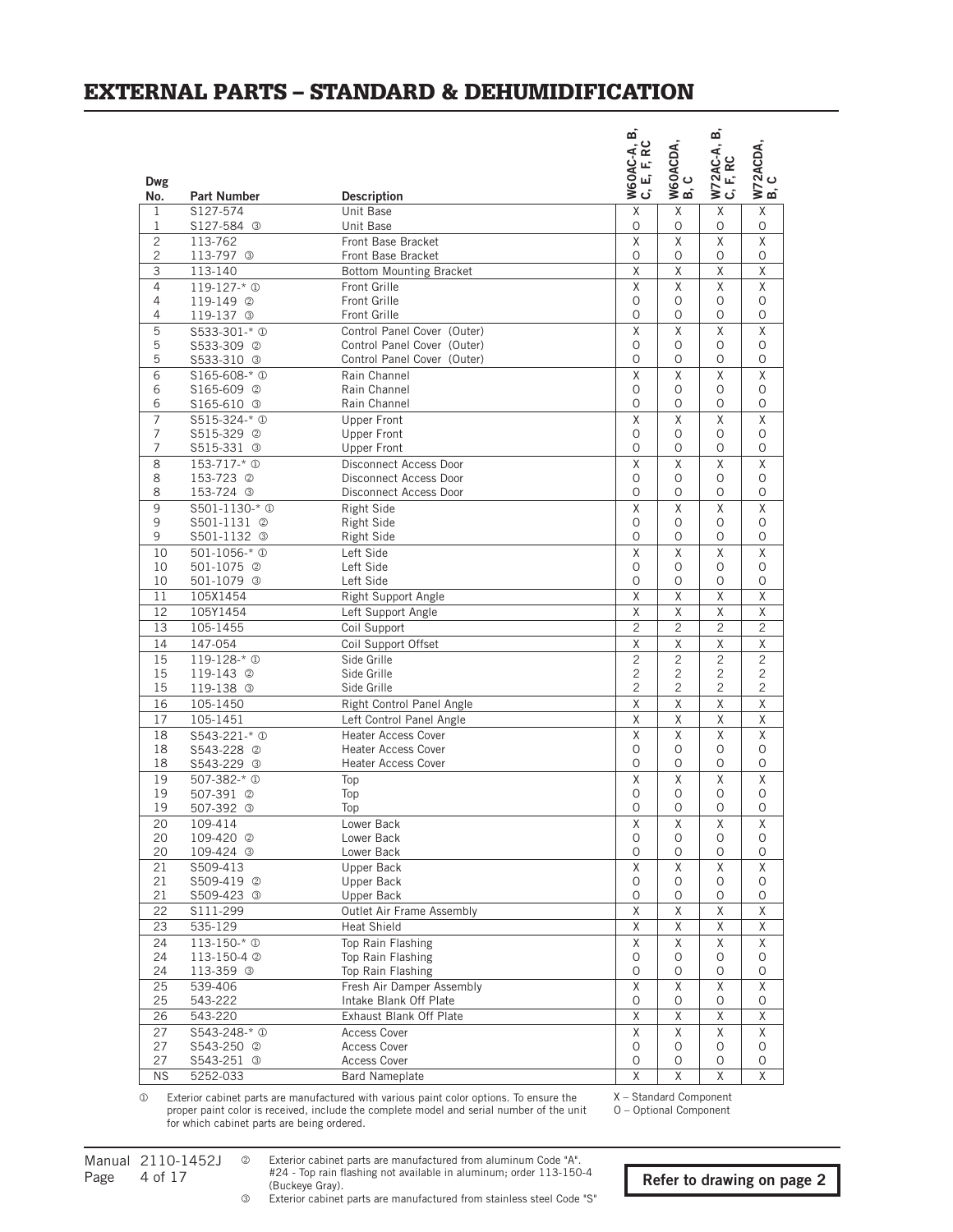#### EXTERNAL PARTS – STANDARD & DEHUMIDIFICATION

|                     |                                                  |                                                            | B,                                  |                                  | ß,                      |                              |
|---------------------|--------------------------------------------------|------------------------------------------------------------|-------------------------------------|----------------------------------|-------------------------|------------------------------|
|                     |                                                  |                                                            | W60AC-A, I<br>C, E, F, RC           | W60ACDA,<br>B, C                 | W72AC-A,<br>C, F, RC    | W72ACDA,<br>B, C             |
| Dwg                 |                                                  |                                                            |                                     |                                  |                         |                              |
| No.<br>1            | <b>Part Number</b><br>S127-574                   | <b>Description</b><br>Unit Base                            | Χ                                   | Χ                                | Χ                       | Χ                            |
| $\mathbf{1}$        | S127-584 3                                       | Unit Base                                                  | 0                                   | $\circ$                          | $\circ$                 | O                            |
| $\overline{c}$      | 113-762                                          | Front Base Bracket                                         | X                                   | Χ                                | X                       | Χ                            |
| $\mathbf{2}$<br>3   | 113-797 3<br>113-140                             | Front Base Bracket<br><b>Bottom Mounting Bracket</b>       | $\circ$<br>$\overline{X}$           | O<br>X                           | 0<br>X                  | 0<br>X                       |
| $\overline{4}$      | 119-127-* 1                                      | <b>Front Grille</b>                                        | X                                   | X                                | X                       | Χ                            |
| 4                   | 119-149 <sup><sup>2</sup></sup>                  | <b>Front Grille</b>                                        | $\circ$                             | O                                | $\Omega$                | 0                            |
| 4                   | 119-137 <sup>3</sup>                             | <b>Front Grille</b>                                        | $\Omega$                            | $\circ$                          | $\Omega$                | O                            |
| 5                   | \$533-301-* <sup>0</sup>                         | Control Panel Cover (Outer)                                | $\sf X$                             | X                                | X<br>$\Omega$           | X                            |
| 5<br>5              | S533-309 <sup>2</sup><br>S533-310 <sup>3</sup>   | Control Panel Cover (Outer)<br>Control Panel Cover (Outer) | $\circ$<br>0                        | $\circ$<br>$\circ$               | $\Omega$                | O<br>0                       |
| 6                   | \$165-608-* <sup>0</sup>                         | Rain Channel                                               | X                                   | X                                | X                       | X                            |
| 6                   | S165-609 2                                       | Rain Channel                                               | $\circ$                             | 0                                | $\Omega$                | 0                            |
| 6                   | S165-610 <sup>3</sup>                            | Rain Channel                                               | $\Omega$                            | 0                                | $\Omega$                | 0                            |
| 7<br>$\overline{7}$ | S515-324-* <sup>0</sup><br>S515-329 <sup>②</sup> | <b>Upper Front</b><br>Upper Front                          | X<br>0                              | X<br>0                           | X<br>$\circ$            | X<br>0                       |
| 7                   | S515-331 3                                       | <b>Upper Front</b>                                         | $\Omega$                            | 0                                | $\Omega$                | O                            |
| 8                   | 153-717-* ①                                      | Disconnect Access Door                                     | X                                   | X                                | X                       | X                            |
| 8                   | 153-723 2                                        | Disconnect Access Door                                     | $\circ$                             | $\circ$                          | $\Omega$                | O                            |
| 8<br>9              | 153-724 3<br>S501-1130-* <sup>0</sup>            | Disconnect Access Door<br><b>Right Side</b>                | $\Omega$<br>$\overline{\mathsf{x}}$ | $\circ$<br>X                     | $\Omega$<br>$\sf X$     | $\circ$<br>X                 |
| 9                   | S501-1131 2                                      | <b>Right Side</b>                                          | 0                                   | O                                | $\Omega$                | O                            |
| 9                   | S501-1132 <sup>3</sup>                           | <b>Right Side</b>                                          | $\Omega$                            | $\circ$                          | $\Omega$                | O                            |
| 10                  | 501-1056-* <sup>0</sup>                          | Left Side                                                  | X                                   | Χ                                | X                       | X                            |
| 10<br>10            | 501-1075 2<br>501-1079 3                         | Left Side<br>Left Side                                     | $\circ$<br>$\Omega$                 | $\circ$<br>$\circ$               | $\Omega$<br>$\Omega$    | 0<br>$\circ$                 |
| 11                  | 105X1454                                         | Right Support Angle                                        | $\overline{X}$                      | $\overline{\mathsf{X}}$          | X                       | $\overline{\mathsf{X}}$      |
| 12                  | 105Y1454                                         | Left Support Angle                                         | X                                   | Χ                                | X                       | Χ                            |
| 13                  | 105-1455                                         | Coil Support                                               | $\overline{c}$                      | $\overline{c}$                   | $\overline{c}$          | $\overline{2}$               |
| 14                  | 147-054                                          | Coil Support Offset                                        | $\overline{X}$                      | Χ                                | X                       | Χ                            |
| 15                  | 119-128-* 1                                      | Side Grille                                                | $\overline{c}$                      | $\overline{c}$                   | $\overline{c}$          | $\mathbf{2}$                 |
| 15<br>15            | 119-143 2<br>119-138 <sup>3</sup>                | Side Grille<br>Side Grille                                 | $\overline{c}$<br>$\overline{c}$    | $\overline{c}$<br>$\overline{c}$ | $\overline{c}$<br>2     | $\mathbf{2}$<br>$\mathbf{2}$ |
| 16                  | 105-1450                                         | Right Control Panel Angle                                  | $\sf X$                             | Χ                                | X                       | $\mathsf X$                  |
| 17                  | 105-1451                                         | Left Control Panel Angle                                   | X                                   | Χ                                | X                       | Χ                            |
| 18                  | \$543-221-* 0                                    | <b>Heater Access Cover</b>                                 | X                                   | Χ                                | X                       | Χ                            |
| 18<br>18            | S543-228 <sup>②</sup><br>S543-229 3              | <b>Heater Access Cover</b><br><b>Heater Access Cover</b>   | $\circ$<br>$\Omega$                 | O<br>$\Omega$                    | $\Omega$<br>$\Omega$    | 0<br>O                       |
| 19                  | 507-382-* <sup>1</sup>                           | Top                                                        | X                                   | X                                | X                       | X                            |
| 19                  | 507-391 2                                        | Top                                                        | $\circ$                             | $\circ$                          | $\Omega$                | O                            |
| 19                  | 507-392 <sup>3</sup>                             | Top                                                        | 0                                   | 0                                | $\circ$                 | 0                            |
| $\overline{20}$     | 109-414<br>109-420 <sup>2</sup>                  | Lower Back                                                 | $\overline{\mathsf{x}}$<br>0        | $\overline{\mathsf{x}}$          | $\overline{\mathsf{x}}$ | $\overline{\mathsf{X}}$<br>0 |
| 20<br>20            | 109-424 3                                        | Lower Back<br>Lower Back                                   | 0                                   | 0<br>0                           | 0<br>0                  | 0                            |
| 21                  | S509-413                                         | Upper Back                                                 | Χ                                   | Χ                                | X                       | X                            |
| 21                  | S509-419 2                                       | Upper Back                                                 | 0                                   | 0                                | 0                       | O                            |
| 21<br>22            | S509-423 3<br>S111-299                           | Upper Back<br>Outlet Air Frame Assembly                    | 0<br>Χ                              | 0<br>Χ                           | 0<br>X                  | 0<br>Χ                       |
| 23                  | 535-129                                          | <b>Heat Shield</b>                                         | $\overline{X}$                      | Χ                                | X                       | Χ                            |
| 24                  | 113-150-* <sup>0</sup>                           | Top Rain Flashing                                          | X                                   | X                                | X                       | X                            |
| 24                  | 113-150-4 <sup>2</sup>                           | Top Rain Flashing                                          | 0                                   | 0                                | 0                       | O                            |
| 24                  | 113-359 <sup>3</sup>                             | Top Rain Flashing                                          | 0                                   | 0                                | $\circ$                 | 0                            |
| 25<br>25            | 539-406<br>543-222                               | Fresh Air Damper Assembly<br>Intake Blank Off Plate        | Χ<br>0                              | Χ<br>0                           | X<br>0                  | Χ<br>0                       |
| 26                  | 543-220                                          | Exhaust Blank Off Plate                                    | Χ                                   | Χ                                | X                       | Χ                            |
| 27                  | \$543-248-* <sup>0</sup>                         | Access Cover                                               | Χ                                   | Χ                                | Χ                       | Χ                            |
| 27                  | S543-250 <sup>2</sup>                            | <b>Access Cover</b>                                        | 0                                   | 0                                | 0                       | 0                            |
| 27                  | S543-251 3                                       | <b>Access Cover</b>                                        | 0                                   | 0                                | 0                       | 0                            |
| <b>NS</b>           | 5252-033                                         | <b>Bard Nameplate</b>                                      | X                                   | X                                | X                       | Χ                            |

 Exterior cabinet parts are manufactured with various paint color options. To ensure the proper paint color is received, include the complete model and serial number of the unit for which cabinet parts are being ordered.

X – Standard Component

O – Optional Component

Manual 2110-1452J <sup>©</sup> Exterior cabinet parts are manufactured from aluminum Code "A". Page 4 of 17  $\frac{424 - \text{Top rain flashing not available in aluminum; order 113-150-4}{\text{Refer to drawing on page 2}}$ #24 - Top rain flashing not available in aluminum; order 113-150-4 (Buckeye Gray).

Exterior cabinet parts are manufactured from stainless steel Code "S"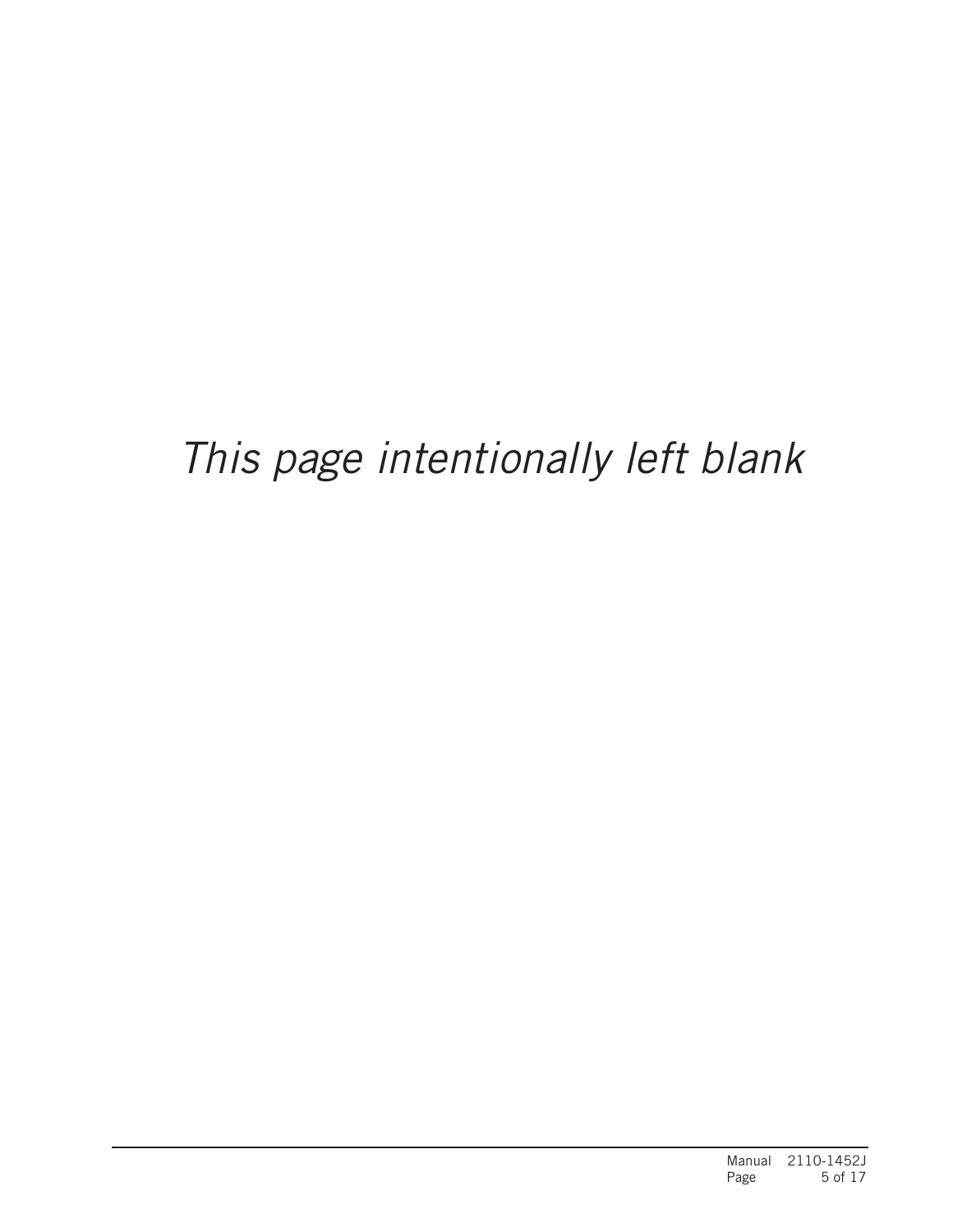# *This page intentionally left blank*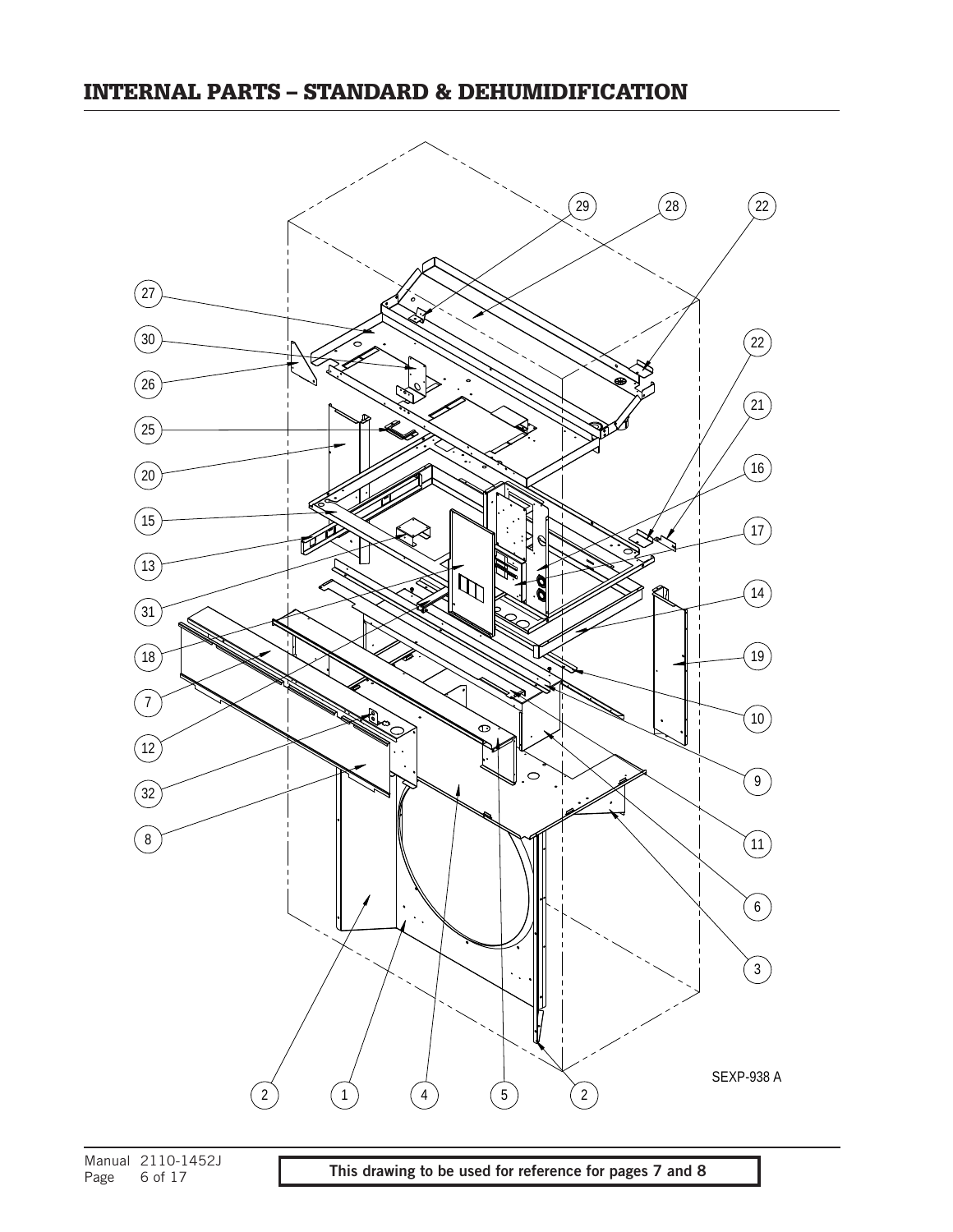#### INTERNAL PARTS – STANDARD & DEHUMIDIFICATION

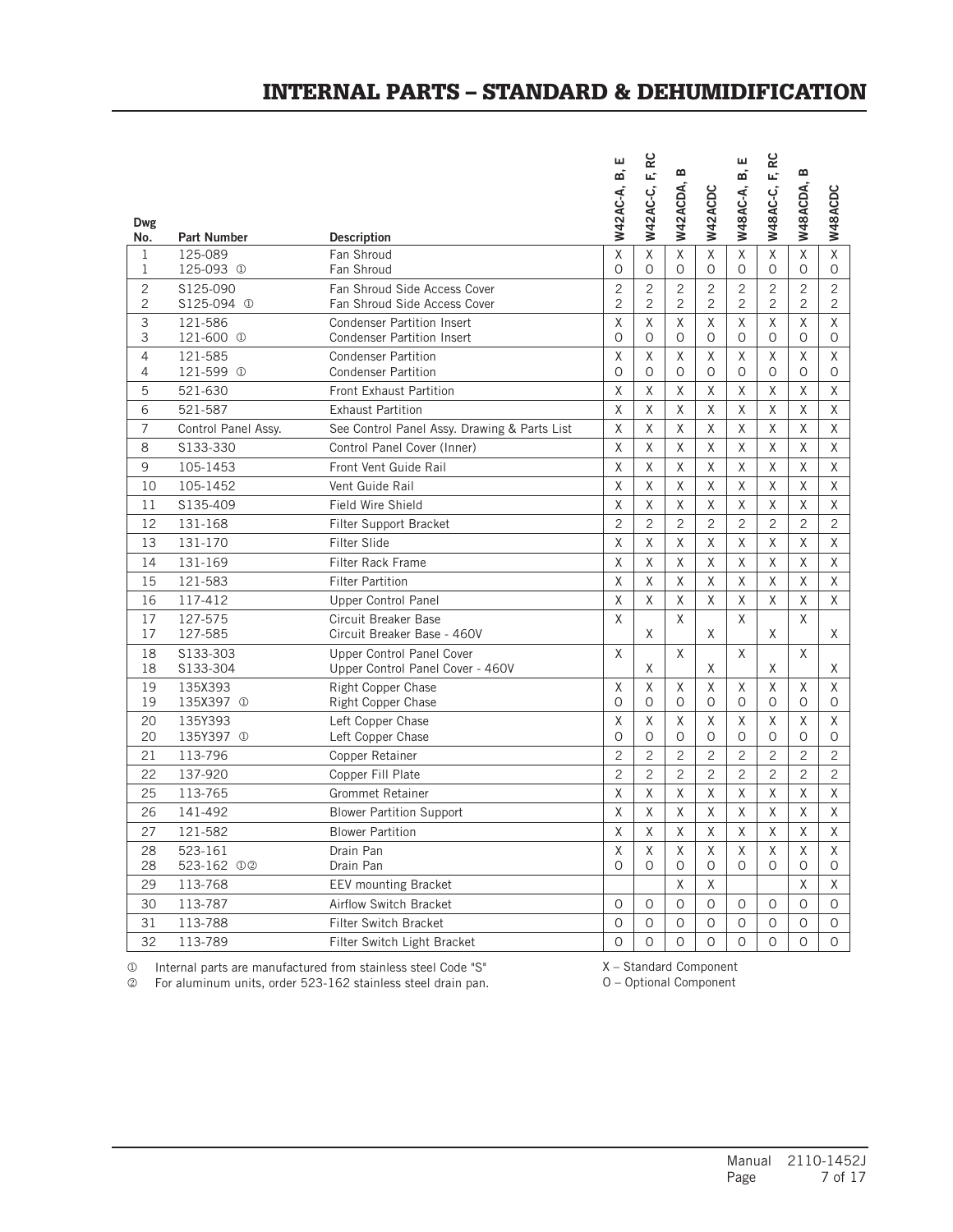#### INTERNAL PARTS – STANDARD & DEHUMIDIFICATION

|                |                                 |                                                          | ш              |                | ≃              |                | ш              |                |                |                |
|----------------|---------------------------------|----------------------------------------------------------|----------------|----------------|----------------|----------------|----------------|----------------|----------------|----------------|
|                |                                 |                                                          | W42AC-A, B,    | W42AC-C, F, RC |                |                | W48AC-A, B,    | W48AC-C, F, RC | W48ACDA, B     |                |
|                |                                 |                                                          |                |                | W42ACDA,       | W42ACDC        |                |                |                | W48ACDC        |
| Dwg<br>No.     | Part Number                     | <b>Description</b>                                       |                |                |                |                |                |                |                |                |
| $\mathbf{1}$   | 125-089                         | Fan Shroud                                               | X              | X              | X              | X              | $\sf X$        | X              | X              | $\sf X$        |
| $\mathbf{1}$   | 125-093 <sup>1</sup>            | Fan Shroud                                               | $\circ$        | $\circ$        | 0              | $\circ$        | 0              | $\circ$        | 0              | 0              |
| $\overline{c}$ | S125-090                        | Fan Shroud Side Access Cover                             | $\overline{c}$ | $\overline{c}$ | $\overline{c}$ | $\overline{c}$ | $\overline{c}$ | $\overline{c}$ | $\overline{c}$ | $\overline{c}$ |
| $\overline{c}$ | S125-094 <sup>①</sup>           | Fan Shroud Side Access Cover                             | $\overline{c}$ | $\overline{c}$ | $\overline{2}$ | $\overline{2}$ | 2              | 2              | $\overline{c}$ | $\overline{2}$ |
| 3              | 121-586                         | <b>Condenser Partition Insert</b>                        | $\sf X$        | $\sf X$        | X              | X              | X              | X              | X              | X              |
| 3<br>4         | 121-600 <sup>①</sup>            | <b>Condenser Partition Insert</b>                        | $\circ$        | $\circ$        | $\circ$        | $\Omega$       | $\Omega$       | $\Omega$       | 0              | $\circ$        |
| 4              | 121-585<br>121-599 <sup>1</sup> | <b>Condenser Partition</b><br><b>Condenser Partition</b> | X<br>$\Omega$  | X<br>$\Omega$  | X<br>$\Omega$  | X<br>$\Omega$  | X<br>$\Omega$  | X<br>$\Omega$  | X<br>$\Omega$  | X<br>$\Omega$  |
| 5              | 521-630                         | Front Exhaust Partition                                  | X              | Χ              | X              | X              | X              | X              | X              | X              |
| 6              | 521-587                         | <b>Exhaust Partition</b>                                 | Χ              | Χ              | X              | Χ              | X              | X              | Χ              | X              |
| $\overline{7}$ | Control Panel Assy.             | See Control Panel Assy. Drawing & Parts List             | X              | X              | X              | X              | X              | X              | X              | Χ              |
| 8              | S133-330                        | Control Panel Cover (Inner)                              | X              | X              | X              | X              | X              | X              | X              | X              |
| 9              | 105-1453                        | Front Vent Guide Rail                                    | X              | X              | X              | X              | X              | X              | Χ              | X              |
| 10             | 105-1452                        | Vent Guide Rail                                          | χ              | Χ              | X              | X              | X              | X              | X              | X              |
| 11             | S135-409                        | <b>Field Wire Shield</b>                                 | Χ              | $\sf X$        | X              | X              | Χ              | X              | Χ              | X              |
| 12             | 131-168                         | <b>Filter Support Bracket</b>                            | $\overline{c}$ | $\overline{c}$ | $\overline{c}$ | $\overline{c}$ | $\overline{c}$ | $\overline{2}$ | $\overline{c}$ | $\overline{c}$ |
| 13             | 131-170                         | <b>Filter Slide</b>                                      | X              | X              | X              | X              | X              | X              | X              | X              |
| 14             | 131-169                         | <b>Filter Rack Frame</b>                                 | X              | Χ              | X              | X              | Χ              | X              | X              | X              |
| 15             | 121-583                         | <b>Filter Partition</b>                                  | Χ              | Χ              | X              | Χ              | Χ              | Χ              | Χ              | X              |
| 16             | 117-412                         | <b>Upper Control Panel</b>                               | X              | X              | Χ              | X              | Χ              | X              | X              | X              |
| 17             | 127-575                         | Circuit Breaker Base                                     | $\chi$         |                | X              |                | X              |                | X              |                |
| 17             | 127-585                         | Circuit Breaker Base - 460V                              |                | X              |                | X              |                | X              |                | X              |
| 18             | S133-303                        | <b>Upper Control Panel Cover</b>                         | X              |                | X              |                | X              |                | X              |                |
| 18             | S133-304                        | Upper Control Panel Cover - 460V                         |                | X              |                | X              |                | X              |                | X              |
| 19             | 135X393                         | Right Copper Chase                                       | X              | X              | X              | X              | X              | X              | Χ              | X              |
| 19             | 135X397 <sup>1</sup>            | Right Copper Chase                                       | $\Omega$       | $\Omega$       | $\Omega$       | $\Omega$       | $\Omega$       | $\Omega$       | $\Omega$       | $\Omega$       |
| 20<br>20       | 135Y393<br>135Y397 <sup>1</sup> | Left Copper Chase<br>Left Copper Chase                   | X<br>$\Omega$  | X<br>$\circ$   | X<br>$\Omega$  | X<br>$\Omega$  | X<br>O         | X<br>0         | X<br>$\Omega$  | X<br>$\Omega$  |
| 21             | 113-796                         | Copper Retainer                                          | $\overline{c}$ | $\overline{c}$ | $\overline{c}$ | $\overline{c}$ | $\overline{c}$ | $\overline{2}$ | $\overline{c}$ | $\overline{c}$ |
| 22             | 137-920                         | Copper Fill Plate                                        | $\overline{c}$ | $\overline{2}$ | $\overline{2}$ | $\overline{2}$ | $\overline{2}$ | $\overline{2}$ | $\overline{c}$ | $\overline{2}$ |
| 25             | 113-765                         | <b>Grommet Retainer</b>                                  | X              | X              | X              | X              | X              | X              | X              | X              |
| 26             | 141-492                         | <b>Blower Partition Support</b>                          | X              | X              | X              | X              | X              | X              | X              | X              |
| 27             | 121-582                         | <b>Blower Partition</b>                                  | X              | X              | X              | X              | X              | X              | X              | X              |
| 28             | 523-161                         | Drain Pan                                                | $\mathsf{X}$   | X              | X              | $\mathsf{X}$   | X              | X              | X              | X              |
| 28             | 523-162 00                      | Drain Pan                                                | $\circ$        | $\circ$        | $\circ$        | $\circ$        | 0              | 0              | 0              | $\circ$        |
| 29             | 113-768                         | <b>EEV mounting Bracket</b>                              |                |                | X              | X              |                |                | X              | X              |
| 30             | 113-787                         | <b>Airflow Switch Bracket</b>                            | $\Omega$       | $\circ$        | $\Omega$       | $\circ$        | $\Omega$       | O              | O              | $\Omega$       |
| 31             | 113-788                         | <b>Filter Switch Bracket</b>                             | $\Omega$       | $\Omega$       | $\Omega$       | $\Omega$       | $\Omega$       | $\Omega$       | $\Omega$       | $\Omega$       |
| 32             | 113-789                         | Filter Switch Light Bracket                              | $\circ$        | $\overline{O}$ | $\Omega$       | $\overline{O}$ | $\Omega$       | $\Omega$       | $\overline{O}$ | 0              |

Internal parts are manufactured from stainless steel Code "S"

k For aluminum units, order 523-162 stainless steel drain pan.

X – Standard Component

O – Optional Component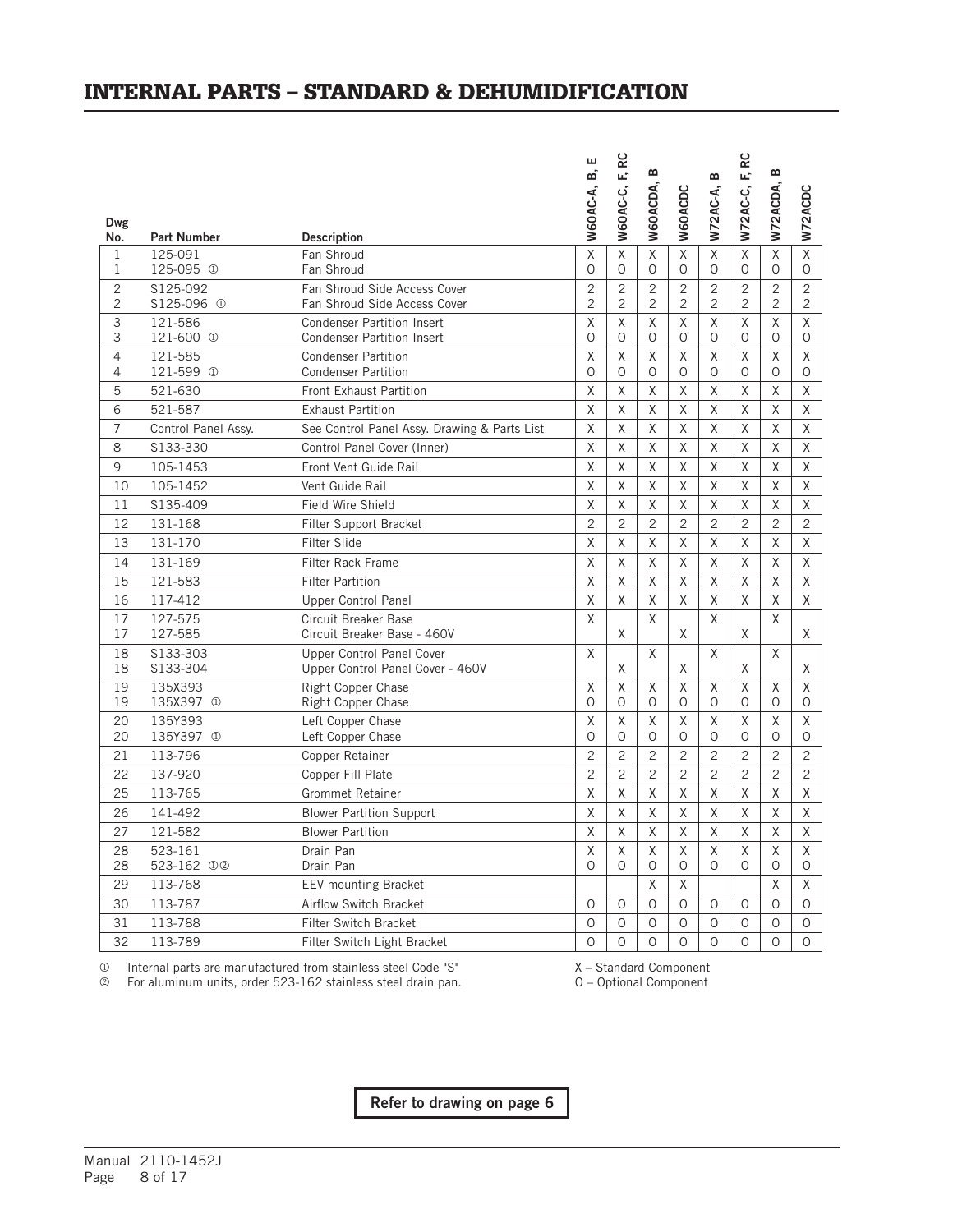#### INTERNAL PARTS – STANDARD & DEHUMIDIFICATION

|                     |                                   |                                                                      | W60AC-A, B, E                    | W60AC-C, F, RC                   |                                  |                                  |                     | W72AC-C, F, RC                   | ≃                                |                                  |
|---------------------|-----------------------------------|----------------------------------------------------------------------|----------------------------------|----------------------------------|----------------------------------|----------------------------------|---------------------|----------------------------------|----------------------------------|----------------------------------|
|                     |                                   |                                                                      |                                  |                                  | W60ACDA,                         | <b>W60ACDC</b>                   | W72AC-A, B          |                                  | W72ACDA,                         | W72ACDC                          |
| Dwg                 |                                   |                                                                      |                                  |                                  |                                  |                                  |                     |                                  |                                  |                                  |
| No.<br>1            | <b>Part Number</b><br>125-091     | <b>Description</b><br>Fan Shroud                                     | Χ                                | X                                | Χ                                | X                                | Χ                   | $\overline{\mathsf{X}}$          | $\overline{\mathsf{X}}$          | Χ                                |
| 1                   | 125-095 <sup>1</sup>              | Fan Shroud                                                           | O                                | $\circ$                          | $\Omega$                         | $\Omega$                         | $\Omega$            | $\Omega$                         | $\Omega$                         | $\circ$                          |
| $\overline{c}$<br>2 | S125-092<br>S125-096 <sup>1</sup> | Fan Shroud Side Access Cover<br>Fan Shroud Side Access Cover         | $\overline{c}$<br>$\overline{2}$ | $\overline{c}$<br>$\overline{c}$ | $\overline{c}$<br>$\overline{c}$ | $\overline{c}$<br>$\overline{c}$ | $\overline{c}$<br>2 | $\overline{c}$<br>$\overline{c}$ | $\overline{c}$<br>$\overline{c}$ | $\overline{c}$<br>$\overline{c}$ |
| 3                   | 121-586                           | <b>Condenser Partition Insert</b>                                    | X                                | X                                | X                                | X                                | X                   | X                                | X                                | X                                |
| 3                   | 121-600 <sup>1</sup>              | <b>Condenser Partition Insert</b>                                    | 0                                | $\circ$                          | $\circ$                          | $\circ$                          | 0                   | $\Omega$                         | 0                                | 0                                |
| $\overline{4}$      | 121-585                           | <b>Condenser Partition</b>                                           | Χ                                | Χ                                | X                                | X                                | X                   | χ                                | X                                | X                                |
| 4                   | 121-599 <sup>1</sup>              | <b>Condenser Partition</b>                                           | $\Omega$                         | $\Omega$                         | $\Omega$                         | $\Omega$                         | $\Omega$            | O                                | $\Omega$                         | $\Omega$                         |
| 5                   | 521-630                           | <b>Front Exhaust Partition</b>                                       | X                                | X                                | X                                | Χ                                | X                   | X                                | X                                | X                                |
| 6                   | 521-587                           | <b>Exhaust Partition</b>                                             | X                                | X                                | X                                | X                                | X                   | X                                | Χ                                | X                                |
| 7                   | Control Panel Assy.               | See Control Panel Assy. Drawing & Parts List                         | Χ                                | Χ                                | Χ                                | Χ                                | Χ                   | Χ                                | Χ                                | X                                |
| 8                   | S133-330                          | Control Panel Cover (Inner)                                          | Χ                                | Χ                                | X                                | X                                | X                   | Χ                                | X                                | X                                |
| 9                   | 105-1453                          | Front Vent Guide Rail                                                | X                                | X                                | X                                | X                                | X                   | X                                | X                                | X                                |
| 10                  | 105-1452                          | Vent Guide Rail                                                      | χ                                | Χ                                | X                                | Χ                                | X                   | X                                | Χ                                | X                                |
| 11                  | S135-409                          | <b>Field Wire Shield</b>                                             | Χ                                | Χ                                | X                                | X                                | X                   | X                                | Χ                                | X                                |
| 12                  | 131-168                           | <b>Filter Support Bracket</b>                                        | $\overline{c}$                   | $\overline{c}$                   | $\overline{c}$                   | $\overline{c}$                   | $\overline{2}$      | $\overline{c}$                   | $\overline{c}$                   | $\overline{c}$                   |
| 13                  | 131-170                           | Filter Slide                                                         | Χ                                | Χ                                | χ                                | Χ                                | X                   | Χ                                | X                                | χ                                |
| 14                  | 131-169                           | <b>Filter Rack Frame</b>                                             | Χ                                | Χ                                | X                                | X                                | Χ                   | X                                | X                                | X                                |
| 15                  | 121-583                           | <b>Filter Partition</b>                                              | X                                | X                                | X                                | X                                | X                   | X                                | X                                | X                                |
| 16                  | 117-412                           | Upper Control Panel                                                  | $\mathsf{X}% _{0}$               | Χ                                | Χ                                | X                                | Χ                   | Χ                                | Χ                                | Χ                                |
| 17<br>17            | 127-575<br>127-585                | Circuit Breaker Base<br>Circuit Breaker Base - 460V                  | Χ                                | X                                | X                                | X                                | X                   | X                                | X                                | X                                |
| 18<br>18            | S133-303<br>S133-304              | <b>Upper Control Panel Cover</b><br>Upper Control Panel Cover - 460V | X                                | X                                | X                                | Χ                                | X                   | X                                | X                                | Χ                                |
| 19                  | 135X393                           | Right Copper Chase                                                   | Χ                                | $\sf X$                          | X                                | Χ                                | Χ                   | Χ                                | Χ                                | X                                |
| 19                  | 135X397 <sup>1</sup>              | <b>Right Copper Chase</b>                                            | $\circ$                          | $\circ$                          | 0                                | $\circ$                          | $\Omega$            | $\Omega$                         | $\Omega$                         | 0                                |
| 20                  | 135Y393                           | Left Copper Chase                                                    | X                                | Χ                                | X                                | X                                | X                   | X                                | Χ                                | X                                |
| 20                  | 135Y397 <sup>1</sup>              | Left Copper Chase                                                    | 0                                | $\circ$                          | $\circ$                          | $\circ$                          | 0                   | $\Omega$                         | $\circ$                          | $\circ$                          |
| 21                  | 113-796                           | Copper Retainer                                                      | $\overline{2}$                   | $\overline{c}$                   | $\overline{c}$                   | $\overline{c}$                   | $\overline{2}$      | $\overline{2}$                   | $\overline{c}$                   | $\overline{c}$                   |
| 22                  | 137-920                           | Copper Fill Plate                                                    | $\overline{c}$                   | $\overline{2}$                   | $\overline{2}$                   | $\overline{2}$                   | $\overline{c}$      | $\overline{c}$                   | $\overline{2}$                   | $\overline{c}$                   |
| 25                  | 113-765                           | <b>Grommet Retainer</b>                                              | Χ                                | $\overline{\mathsf{x}}$          | Χ                                | Χ                                | Χ                   | Χ                                | χ                                | χ                                |
| 26                  | 141-492                           | <b>Blower Partition Support</b>                                      | Χ                                | X                                | X                                | X                                | X                   | X                                | X                                | X                                |
| 27                  | 121-582                           | <b>Blower Partition</b>                                              | Χ                                | Χ                                | Χ                                | Χ                                | Χ                   | Χ                                | Χ                                | χ                                |
| 28                  | 523-161                           | Drain Pan                                                            | X                                | X                                | X                                | X                                | X                   | X                                | X                                | X                                |
| 28                  | 523-162 00                        | Drain Pan                                                            | $\Omega$                         | $\Omega$                         | $\Omega$                         | $\circ$                          | $\Omega$            | $\Omega$                         | $\Omega$                         | 0                                |
| 29                  | 113-768                           | <b>EEV mounting Bracket</b>                                          |                                  |                                  | X                                | Χ                                |                     |                                  | X                                | X                                |
| 30                  | 113-787                           | <b>Airflow Switch Bracket</b>                                        | $\circ$                          | $\circ$                          | $\circ$                          | $\circ$                          | 0                   | $\circ$                          | $\circ$                          | $\circ$                          |
| 31                  | 113-788                           | <b>Filter Switch Bracket</b>                                         | $\Omega$                         | $\Omega$                         | $\Omega$                         | $\Omega$                         | $\Omega$            | $\Omega$                         | $\Omega$                         | $\Omega$                         |
| 32                  | 113-789                           | Filter Switch Light Bracket                                          | 0                                | 0                                | $\Omega$                         | $\overline{O}$                   | $\Omega$            | $\overline{O}$                   | 0                                | $\circ$                          |

Internal parts are manufactured from stainless steel Code "S"

k For aluminum units, order 523-162 stainless steel drain pan.

X – Standard Component

O – Optional Component

Refer to drawing on page 6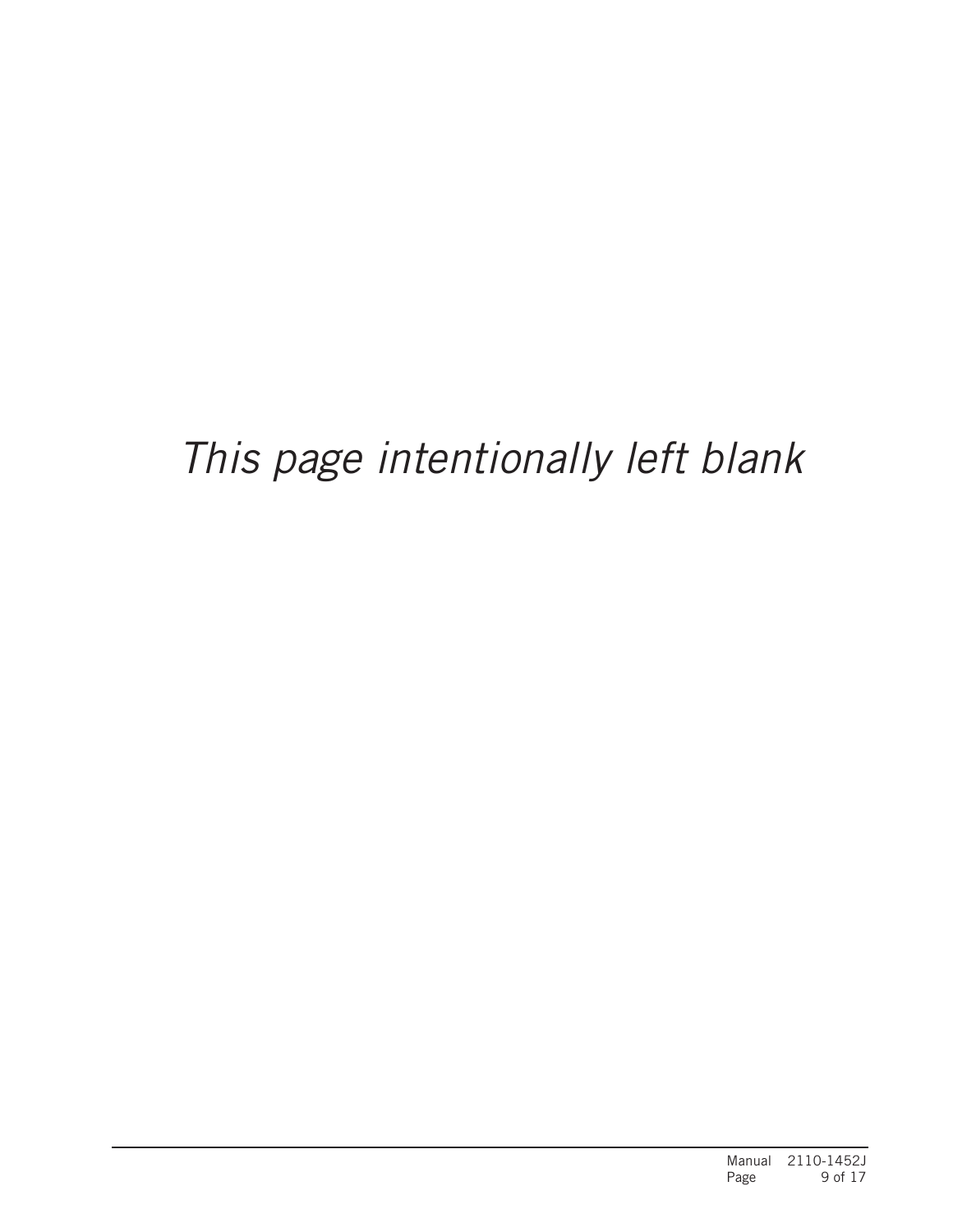# *This page intentionally left blank*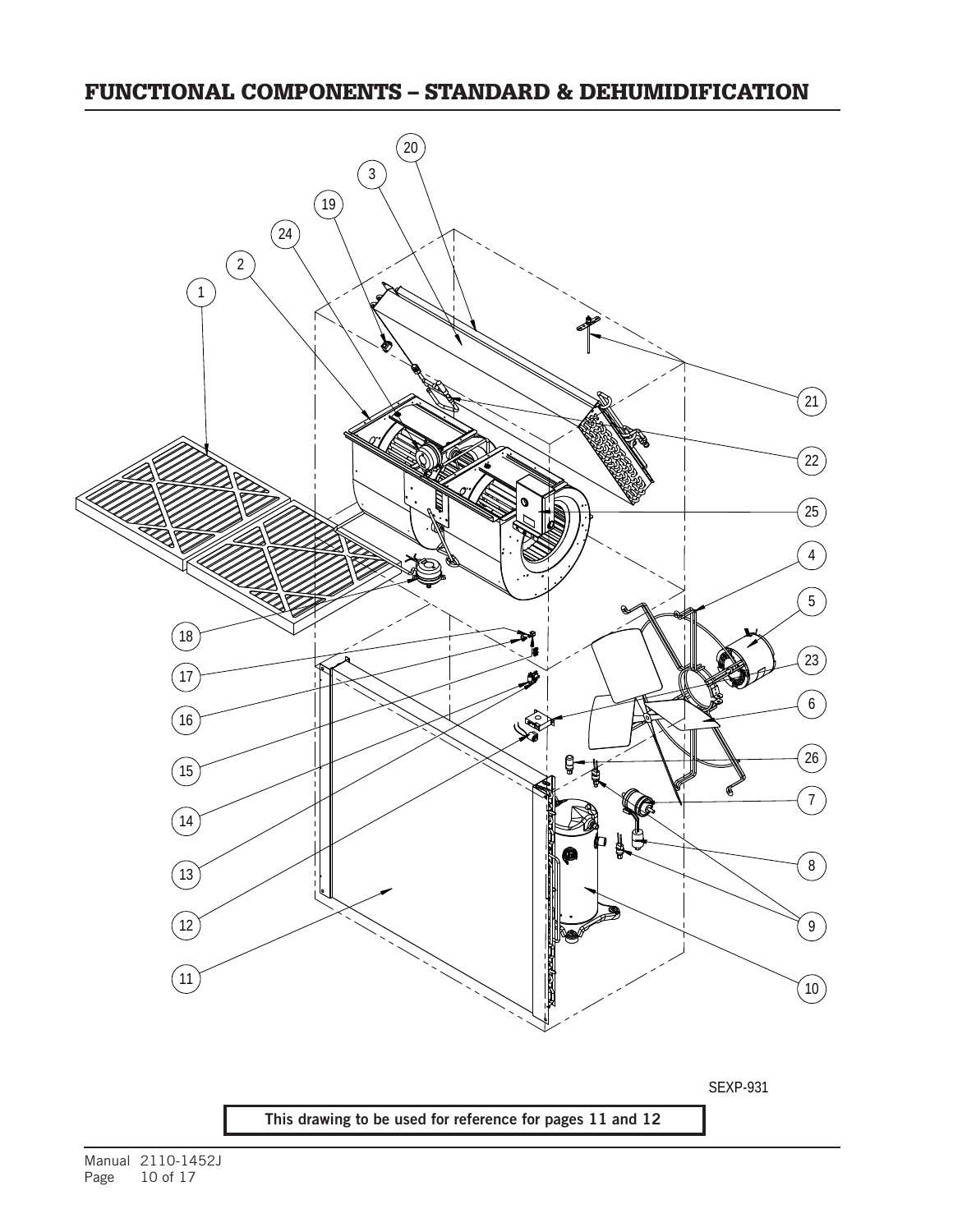#### FUNCTIONAL COMPONENTS – STANDARD & DEHUMIDIFICATION

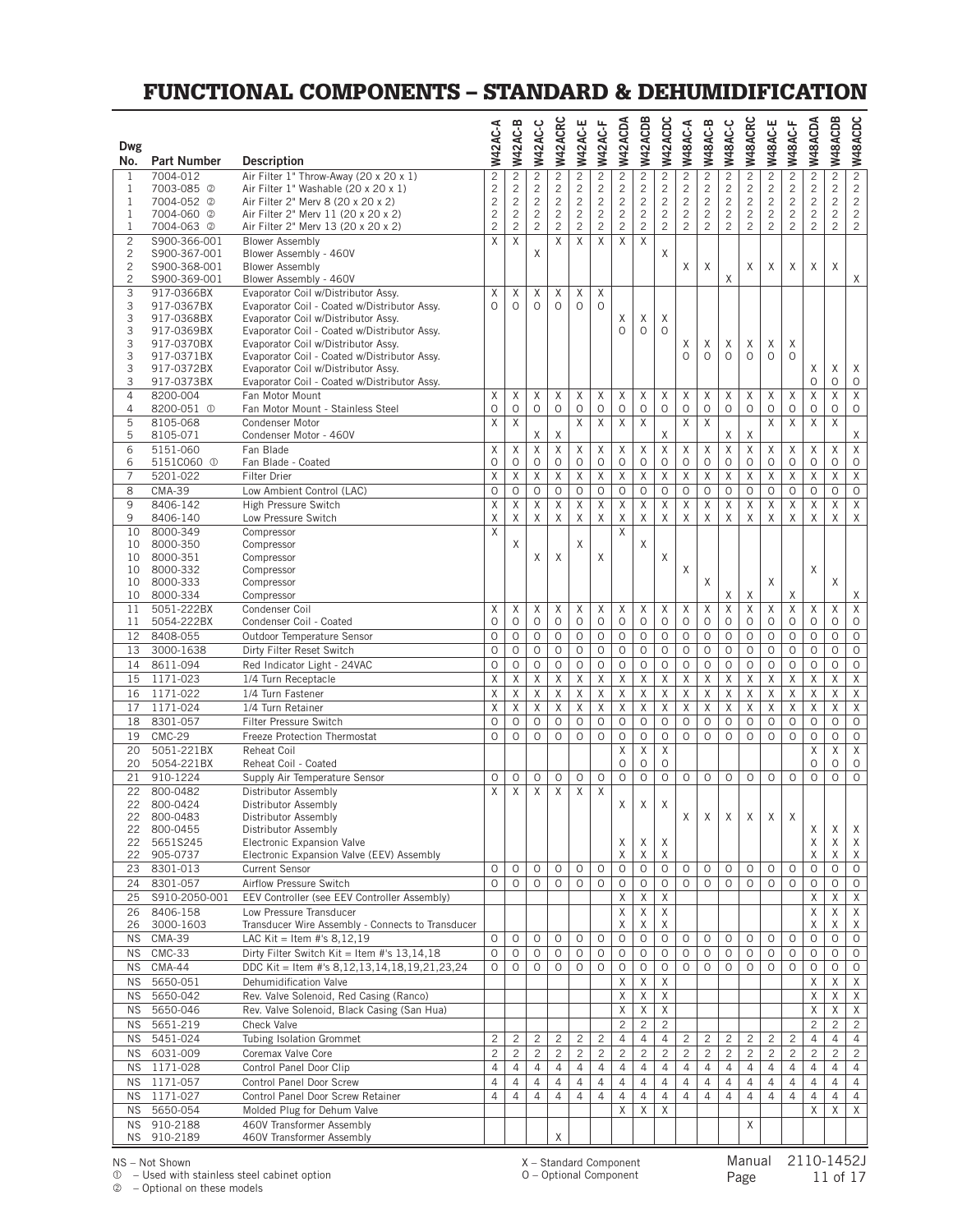#### FUNCTIONAL COMPONENTS – STANDARD & DEHUMIDIFICATION

| Dwg                    |                                         |                                                                                     | <b>W42AC-A</b>                   | <b>W42AC-B</b>                   | W42AC-C             | W42ACRC                        | <b>W42AC-E</b>      | <b>W42AC-F</b>                   | W42ACDA             | W42ACDB                       | W42ACDC                        | W48AC-A                          | W48AC-B                          | W48AC-C                 | $\sim$ W48ACRC      | W48AC-E             | W48AC-F             | W48ACDA             | W48ACDB                 | $\sim$ W48ACDC |
|------------------------|-----------------------------------------|-------------------------------------------------------------------------------------|----------------------------------|----------------------------------|---------------------|--------------------------------|---------------------|----------------------------------|---------------------|-------------------------------|--------------------------------|----------------------------------|----------------------------------|-------------------------|---------------------|---------------------|---------------------|---------------------|-------------------------|----------------|
| No.<br>$\mathbf{1}$    | <b>Part Number</b><br>7004-012          | <b>Description</b>                                                                  | $\overline{2}$                   | $\overline{c}$                   | $\overline{c}$      |                                | $\overline{c}$      | $\overline{c}$                   | $\overline{c}$      |                               |                                | $\overline{c}$                   | $\overline{2}$                   | $\overline{2}$          |                     | $\overline{2}$      | $\overline{2}$      | $\overline{2}$      | $\overline{2}$          |                |
| 1                      | 7003-085 2                              | Air Filter 1" Throw-Away (20 x 20 x 1)<br>Air Filter 1" Washable (20 x 20 x 1)      | $\overline{c}$                   | $\mathbf{2}$                     | $\overline{c}$      | $\mathbf{2}$<br>$\overline{c}$ | $\mathbf{2}$        | $\overline{c}$                   | $\mathbf{2}$        | $\mathbf{2}$<br>$\mathbf{2}$  | $\mathbf{2}$<br>$\overline{c}$ | $\overline{c}$                   | $\overline{c}$                   | $\sqrt{2}$              | $\sqrt{2}$          | $\mathbf{2}$        | $\overline{c}$      | $\overline{c}$      | $\overline{c}$          | $\sqrt{2}$     |
| 1                      | 7004-052 <sup>2</sup>                   | Air Filter 2" Merv 8 (20 x 20 x 2)                                                  | $\overline{c}$                   | $\sqrt{2}$                       | $\overline{c}$      | $\sqrt{2}$                     | $\sqrt{2}$          | $\overline{c}$                   | $\overline{c}$      | $\overline{c}$                | $\mathbf{2}$                   | $\overline{c}$                   | $\overline{c}$                   | $\sqrt{2}$              | $\overline{c}$      | $\overline{c}$      | $\overline{c}$      | $\overline{c}$      | $\overline{c}$          | $\sqrt{2}$     |
| 1                      | 7004-060 <sup><b><sup>2</sup></b></sup> | Air Filter 2" Merv 11 (20 x 20 x 2)                                                 | $\overline{c}$                   | $\mathbf{2}$                     | $\sqrt{2}$          | $\sqrt{2}$                     | $\overline{c}$      | $\mathbf{2}$                     | $\overline{c}$      | $\overline{c}$                | $\mathbf{2}$                   | $\mathbf{2}$                     | $\mathbf{2}$                     | $\sqrt{2}$              | $\mathbf{2}$        | $\sqrt{2}$          | $\overline{c}$      | $\overline{c}$      | $\overline{c}$          | $\mathbf{2}$   |
| 1<br>$\overline{c}$    | 7004-063 2<br>S900-366-001              | Air Filter 2" Merv 13 (20 x 20 x 2)<br><b>Blower Assembly</b>                       | $\overline{c}$<br>$\overline{X}$ | $\overline{c}$<br>$\overline{X}$ | $\overline{c}$      | $\sqrt{2}$<br>$\overline{X}$   | $\overline{c}$<br>X | $\overline{c}$<br>$\sf X$        | $\mathbf{2}$<br>X   | $\overline{c}$<br>$\mathsf X$ | $\overline{c}$                 | $\overline{c}$                   | $\overline{c}$                   | $\sqrt{2}$              | $\overline{c}$      | $\overline{c}$      | $\overline{c}$      | $\overline{c}$      | 2                       | $\overline{c}$ |
| $\mathbf{2}$           | S900-367-001                            | Blower Assembly - 460V                                                              |                                  |                                  | X                   |                                |                     |                                  |                     |                               | X                              |                                  |                                  |                         |                     |                     |                     |                     |                         |                |
| $\mathbf{2}$           | S900-368-001                            | <b>Blower Assembly</b>                                                              |                                  |                                  |                     |                                |                     |                                  |                     |                               |                                | Χ                                | X                                |                         | Χ                   | Χ                   | Χ                   | Χ                   | Χ                       |                |
| $\overline{c}$         | S900-369-001                            | Blower Assembly - 460V                                                              |                                  |                                  |                     |                                |                     |                                  |                     |                               |                                |                                  |                                  | X                       |                     |                     |                     |                     |                         | X              |
| 3                      | 917-0366BX                              | Evaporator Coil w/Distributor Assy.                                                 | X<br>$\Omega$                    | Χ<br>$\Omega$                    | Χ<br>$\Omega$       | X<br>$\circ$                   | Χ                   | $\mathsf{X}$                     |                     |                               |                                |                                  |                                  |                         |                     |                     |                     |                     |                         |                |
| 3<br>3                 | 917-0367BX<br>917-0368BX                | Evaporator Coil - Coated w/Distributor Assy.<br>Evaporator Coil w/Distributor Assy. |                                  |                                  |                     |                                | 0                   | $\circ$                          | Χ                   | Χ                             | X                              |                                  |                                  |                         |                     |                     |                     |                     |                         |                |
| 3                      | 917-0369BX                              | Evaporator Coil - Coated w/Distributor Assy.                                        |                                  |                                  |                     |                                |                     |                                  | $\Omega$            | $\Omega$                      | $\Omega$                       |                                  |                                  |                         |                     |                     |                     |                     |                         |                |
| 3                      | 917-0370BX                              | Evaporator Coil w/Distributor Assy.                                                 |                                  |                                  |                     |                                |                     |                                  |                     |                               |                                | X                                | Χ                                | Χ                       | Χ                   | χ                   | χ                   |                     |                         |                |
| 3<br>3                 | 917-0371BX<br>917-0372BX                | Evaporator Coil - Coated w/Distributor Assy.                                        |                                  |                                  |                     |                                |                     |                                  |                     |                               |                                | $\Omega$                         | $\circ$                          | $\Omega$                | $\circ$             | $\circ$             | $\circ$             | Χ                   |                         |                |
| 3                      | 917-0373BX                              | Evaporator Coil w/Distributor Assy.<br>Evaporator Coil - Coated w/Distributor Assy. |                                  |                                  |                     |                                |                     |                                  |                     |                               |                                |                                  |                                  |                         |                     |                     |                     | $\circ$             | Χ<br>$\circ$            | Χ<br>$\circ$   |
| $\overline{4}$         | 8200-004                                | Fan Motor Mount                                                                     | X                                | Χ                                | Χ                   | X                              | X                   | X                                | X                   | X                             | X                              | X                                | Χ                                | Χ                       | Χ                   | X                   | X                   | X                   | Χ                       | X              |
| 4                      | 8200-051 <sup>0</sup>                   | Fan Motor Mount - Stainless Steel                                                   | 0                                | 0                                | 0                   | $\circ$                        | 0                   | 0                                | $\circ$             | 0                             | $\circ$                        | $\circ$                          | 0                                | O                       | 0                   | 0                   | 0                   | $\circ$             | $\circ$                 | 0              |
| 5                      | 8105-068                                | <b>Condenser Motor</b>                                                              | $\overline{X}$                   | $\overline{\mathsf{X}}$          |                     |                                | X                   | $\overline{X}$                   | X                   | X                             |                                | $\overline{X}$                   | $\overline{X}$                   |                         |                     | $\overline{X}$      | $\sf X$             | $\times$            | $\overline{\mathsf{X}}$ |                |
| 5<br>6                 | 8105-071<br>5151-060                    | Condenser Motor - 460V<br>Fan Blade                                                 | X                                | X                                | Χ<br>X              | Χ<br>X                         | X                   | $\times$                         | X                   | X                             | Χ<br>X                         | X                                | X                                | X<br>Χ                  | Χ<br>X              | X                   | X                   | X                   | Χ                       | X<br>X         |
| 6                      | 5151C060 <sup>0</sup>                   | Fan Blade - Coated                                                                  | $\circ$                          | $\circ$                          | $\circ$             | $\circ$                        | $\circ$             | 0                                | $\circ$             | $\circ$                       | $\circ$                        | $\circ$                          | $\circ$                          | $\mathsf O$             | $\mathsf O$         | $\circ$             | $\circ$             | $\circ$             | $\circ$                 | $\circ$        |
| 7                      | 5201-022                                | <b>Filter Drier</b>                                                                 | χ                                | X                                | χ                   | χ                              | Χ                   | X                                | X                   | X                             | Χ                              | X                                | χ                                | $\overline{X}$          | χ                   | χ                   | X                   | X                   | X                       | X              |
| 8                      | <b>CMA-39</b>                           | Low Ambient Control (LAC)                                                           | $\overline{O}$                   | $\circ$                          | 0                   | $\circ$                        | $\circ$             | $\circ$                          | $\circ$             | $\circ$                       | $\circ$                        | $\circ$                          | $\circ$                          | $\mathsf O$             | $\overline{O}$      | $\circ$             | $\circ$             | $\circ$             | $\circ$                 | $\circ$        |
| 9                      | 8406-142                                | High Pressure Switch                                                                | $\sf X$                          | Χ                                | X                   | X                              | X                   | X                                | Χ                   | Χ                             | X                              | Χ                                | χ                                | χ                       | X                   | X                   | Χ                   | Χ                   | χ                       | X              |
| 9                      | 8406-140                                | Low Pressure Switch                                                                 | Χ<br>$\sf X$                     | X                                | Χ                   | X                              | X                   | X                                | X                   | X                             | X                              | X                                | Χ                                | X                       | Χ                   | Χ                   | X                   | X                   | X                       | X              |
| 10<br>10               | 8000-349<br>8000-350                    | Compressor<br>Compressor                                                            |                                  | X                                |                     |                                | Χ                   |                                  | X                   | X                             |                                |                                  |                                  |                         |                     |                     |                     |                     |                         |                |
| 10                     | 8000-351                                | Compressor                                                                          |                                  |                                  | Χ                   | X                              |                     | $\sf X$                          |                     |                               | Χ                              |                                  |                                  |                         |                     |                     |                     |                     |                         |                |
| 10                     | 8000-332                                | Compressor                                                                          |                                  |                                  |                     |                                |                     |                                  |                     |                               |                                | X                                |                                  |                         |                     |                     |                     | X                   |                         |                |
| 10<br>10               | 8000-333<br>8000-334                    | Compressor<br>Compressor                                                            |                                  |                                  |                     |                                |                     |                                  |                     |                               |                                |                                  | X                                | Χ                       | Χ                   | X                   | X                   |                     | Χ                       | Χ              |
| 11                     | 5051-222BX                              | Condenser Coil                                                                      | χ                                | Χ                                | X                   | X                              | Χ                   | X                                | X                   | X                             | Χ                              | X                                | X                                | $\overline{\mathsf{X}}$ | Χ                   | χ                   | Χ                   | X                   | Χ                       | X              |
| 11                     | 5054-222BX                              | Condenser Coil - Coated                                                             | $\circ$                          | 0                                | 0                   | $\circ$                        | 0                   | 0                                | $\circ$             | 0                             | 0                              | $\circ$                          | $\circ$                          | $\circ$                 | 0                   | 0                   | $\circ$             | $\circ$             | $\circ$                 | $\circ$        |
| 12                     | 8408-055                                | Outdoor Temperature Sensor                                                          | $\overline{O}$                   | $\circ$                          | 0                   | 0                              | $\overline{O}$      | $\circ$                          | $\circ$             | $\circ$                       | $\circ$                        | $\circ$                          | $\circ$                          | 0                       | 0                   | 0                   | $\overline{O}$      | $\circ$             | $\circ$                 | 0              |
| 13                     | 3000-1638                               | Dirty Filter Reset Switch                                                           | $\circ$                          | $\circ$                          | 0                   | 0                              | $\circ$             | $\circ$                          | $\circ$             | 0                             | $\circ$                        | $\circ$                          | $\circ$                          | 0                       | 0                   | 0                   | $\overline{O}$      | $\circ$             | $\circ$                 | 0              |
| 14                     | 8611-094                                | Red Indicator Light - 24VAC                                                         | 0                                | $\circ$                          | 0                   | $\circ$                        | $\circ$             | $\circ$                          | $\circ$             | 0                             | $\mathbf 0$                    | $\circ$                          | $\mathsf O$                      | 0                       | 0                   | 0                   | $\circ$             | $\circ$             | $\circ$                 | $\circ$        |
| 15<br>16               | 1171-023<br>1171-022                    | 1/4 Turn Receptacle<br>1/4 Turn Fastener                                            | Χ<br>χ                           | Χ<br>Χ                           | Χ<br>X              | Χ<br>Χ                         | χ<br>Χ              | χ<br>X                           | Χ<br>X              | X<br>X                        | Χ<br>Χ                         | χ<br>Χ                           | Χ<br>$\overline{X}$              | Χ<br>χ                  | Χ<br>X              | Χ<br>Χ              | Χ<br>X              | $\chi$<br>X         | χ<br>Χ                  | X<br>X         |
| 17                     | 1171-024                                | 1/4 Turn Retainer                                                                   | Χ                                | X                                | Χ                   | Χ                              | X                   | X                                | X                   | X                             | X                              | X                                | X                                | X                       | χ                   | Χ                   | X                   | X                   | X                       | X              |
| 18                     | 8301-057                                | <b>Filter Pressure Switch</b>                                                       | $\circ$                          | $\circ$                          | $\circ$             | $\circ$                        | $\circ$             | $\circ$                          | $\circ$             | 0                             | $\circ$                        | $\circ$                          | $\circ$                          | $\circ$                 | $\circ$             | $\circ$             | $\circ$             | $\circ$             | 0                       | $\circ$        |
| 19                     | CMC-29                                  | <b>Freeze Protection Thermostat</b>                                                 | $\circ$                          | $\circ$                          | 0                   | $\circ$                        | $\circ$             | $\Omega$                         | $\circ$             | $\circ$                       | $\circ$                        | 0                                | $\circ$                          | $\circ$                 | 0                   | 0                   | $\circ$             | $\circ$             | $\circ$                 | $\circ$        |
| 20                     | 5051-221BX                              | <b>Reheat Coil</b>                                                                  |                                  |                                  |                     |                                |                     |                                  | X                   | X                             | X                              |                                  |                                  |                         |                     |                     |                     | Χ                   | X                       | X              |
| 20                     | 5054-221BX                              | Reheat Coil - Coated                                                                |                                  |                                  |                     |                                |                     |                                  | 0                   | $\circ$                       | $\circ$                        |                                  |                                  |                         |                     |                     |                     | 0                   | $\circ$                 | $\circ$        |
| 21<br>22               | 910-1224<br>800-0482                    | Supply Air Temperature Sensor<br>Distributor Assembly                               | $\circ$<br>X                     | 0<br>X                           | 0<br>X              | 0<br>Χ                         | 0<br>Χ              | $\circ$<br>X                     | $\circ$             | $\circ$                       | 0                              | 0                                | $\circ$                          | $\circ$                 | 0                   | 0                   | $\circ$             | $\circ$             | $\circ$                 | $\circ$        |
| 22                     | 800-0424                                | Distributor Assembly                                                                |                                  |                                  |                     |                                |                     |                                  | Χ                   | Χ                             | Χ                              |                                  |                                  |                         |                     |                     |                     |                     |                         |                |
| 22                     | 800-0483                                | Distributor Assembly                                                                |                                  |                                  |                     |                                |                     |                                  |                     |                               |                                | $X \mid$                         | X I                              | $X \mid$                | $X \mid$            | X                   | Χ                   |                     |                         |                |
| 22                     | 800-0455                                | Distributor Assembly                                                                |                                  |                                  |                     |                                |                     |                                  |                     |                               |                                |                                  |                                  |                         |                     |                     |                     | Χ                   | Χ                       | Χ              |
| 22<br>22               | 5651S245<br>905-0737                    | Electronic Expansion Valve<br>Electronic Expansion Valve (EEV) Assembly             |                                  |                                  |                     |                                |                     |                                  | Χ<br>Χ              | Χ<br>X                        | Χ<br>X                         |                                  |                                  |                         |                     |                     |                     | Χ<br>Χ              | Χ<br>Χ                  | Χ<br>Χ         |
| 23                     | 8301-013                                | <b>Current Sensor</b>                                                               | $\circ$                          | 0                                | 0                   | $\circ$                        | $\circ$             | $\circ$                          | $\circ$             | 0                             | $\circ$                        | $\circ$                          | $\circ$                          | $\circ$                 | 0                   | $\circ$             | $\circ$             | $\circ$             | $\circ$                 | $\circ$        |
| 24                     | 8301-057                                | Airflow Pressure Switch                                                             | $\circ$                          | $\circ$                          | $\circ$             | $\circ$                        | 0                   | 0                                | 0                   | 0                             | $\circ$                        | $\circ$                          | $\circ$                          | $\circ$                 | 0                   | $\circ$             | $\circ$             | 0                   | 0                       | 0              |
| 25                     | S910-2050-001                           | EEV Controller (see EEV Controller Assembly)                                        |                                  |                                  |                     |                                |                     |                                  | χ                   | X                             | Χ                              |                                  |                                  |                         |                     |                     |                     | Χ                   | X                       | X              |
| 26                     | 8406-158                                | Low Pressure Transducer                                                             |                                  |                                  |                     |                                |                     |                                  | Χ                   | X                             | X                              |                                  |                                  |                         |                     |                     |                     | X                   | Χ                       | X              |
| 26<br><b>NS</b>        | 3000-1603<br><b>CMA-39</b>              | Transducer Wire Assembly - Connects to Transducer<br>LAC Kit = Item #'s $8,12,19$   | 0                                | 0                                | 0                   | 0                              | 0                   | 0                                | Χ<br>$\circ$        | Χ<br>$\circ$                  | X<br>$\circ$                   | $\circ$                          | 0                                | 0                       | 0                   | 0                   | 0                   | Χ<br>$\circ$        | Χ<br>$\circ$            | Χ<br>$\circ$   |
| <b>NS</b>              | CMC-33                                  | Dirty Filter Switch Kit = Item #'s 13,14,18                                         | $\circ$                          | $\circ$                          | 0                   | $\circ$                        | $\circ$             | $\circ$                          | 0                   | 0                             | $\circ$                        | $\circ$                          | $\circ$                          | O                       | 0                   | $\circ$             | 0                   | $\circ$             | 0                       | 0              |
| <b>NS</b>              | <b>CMA-44</b>                           | DDC Kit = Item #'s 8,12,13,14,18,19,21,23,24                                        | 0                                | 0                                | 0                   | $\circ$                        | 0                   | 0                                | 0                   | 0                             | 0                              | $\circ$                          | 0                                | 0                       | 0                   | $\circ$             | $\circ$             | 0                   | 0                       | 0              |
| ΝS                     | 5650-051                                | Dehumidification Valve                                                              |                                  |                                  |                     |                                |                     |                                  | χ                   | Χ                             | Χ                              |                                  |                                  |                         |                     |                     |                     | Χ                   | X                       | X              |
| ΝS                     | 5650-042                                | Rev. Valve Solenoid, Red Casing (Ranco)                                             |                                  |                                  |                     |                                |                     |                                  | χ                   | X                             | χ                              |                                  |                                  |                         |                     |                     |                     | Χ                   | Χ                       | X              |
| <b>NS</b>              | 5650-046                                | Rev. Valve Solenoid, Black Casing (San Hua)                                         |                                  |                                  |                     |                                |                     |                                  | Χ                   | Χ                             | X                              |                                  |                                  |                         |                     |                     |                     | Χ                   | Χ                       | X              |
| <b>NS</b>              | 5651-219                                | Check Valve                                                                         |                                  |                                  |                     |                                |                     |                                  | $\overline{c}$      | $\overline{c}$                | $\mathbf{2}$                   |                                  |                                  |                         |                     |                     |                     | $\overline{c}$      | 2                       | $\overline{c}$ |
| <b>NS</b>              | 5451-024                                | Tubing Isolation Grommet                                                            | $\overline{c}$                   | 2                                | 2                   | 2                              | 2                   | 2                                | 4                   | 4                             | 4                              | 2                                | 2                                | 2                       | 2                   | 2                   | $\overline{c}$      | $\overline{4}$      | 4                       | 4              |
| <b>NS</b><br><b>NS</b> | 6031-009<br>1171-028                    | Coremax Valve Core<br>Control Panel Door Clip                                       | $\overline{c}$<br>$\overline{4}$ | $\overline{2}$<br>4              | $\overline{c}$<br>4 | $\overline{c}$<br>4            | 2<br>4              | $\overline{c}$<br>$\overline{4}$ | 2<br>$\overline{4}$ | $\overline{c}$<br>4           | 2<br>4                         | $\overline{c}$<br>$\overline{4}$ | $\overline{c}$<br>$\overline{4}$ | $\overline{c}$<br>4     | $\overline{c}$<br>4 | $\overline{c}$<br>4 | $\overline{c}$<br>4 | $\overline{c}$<br>4 | $\overline{c}$<br>4     | 2<br>4         |
| <b>NS</b>              | 1171-057                                | Control Panel Door Screw                                                            | 4                                | $\overline{4}$                   | 4                   | $\overline{4}$                 | $\overline{4}$      | $\overline{4}$                   | 4                   | $\overline{4}$                | $\overline{4}$                 | $\overline{4}$                   | 4                                | $\overline{4}$          | $\overline{4}$      | $\overline{4}$      | $\overline{4}$      | $\overline{4}$      | 4                       | $\overline{4}$ |
| ΝS                     | 1171-027                                | Control Panel Door Screw Retainer                                                   | 4                                | 4                                | 4                   | 4                              | 4                   | 4                                | 4                   | 4                             | $\overline{4}$                 | 4                                | 4                                | 4                       | 4                   | $\overline{4}$      | 4                   | $\overline{4}$      | 4                       | 4              |
| NS.                    | 5650-054                                | Molded Plug for Dehum Valve                                                         |                                  |                                  |                     |                                |                     |                                  | X                   | X                             | X                              |                                  |                                  |                         |                     |                     |                     | Χ                   | X                       | X              |
| <b>NS</b>              | 910-2188                                | 460V Transformer Assembly                                                           |                                  |                                  |                     |                                |                     |                                  |                     |                               |                                |                                  |                                  |                         | Χ                   |                     |                     |                     |                         |                |
| NS.                    | 910-2189                                | 460V Transformer Assembly                                                           |                                  |                                  |                     | χ                              |                     |                                  |                     |                               |                                |                                  |                                  |                         |                     |                     |                     |                     |                         |                |

NS – Not Shown

– Used with stainless steel cabinet option

– Optional on these models

Manual 2110-1452J Page 11 of 17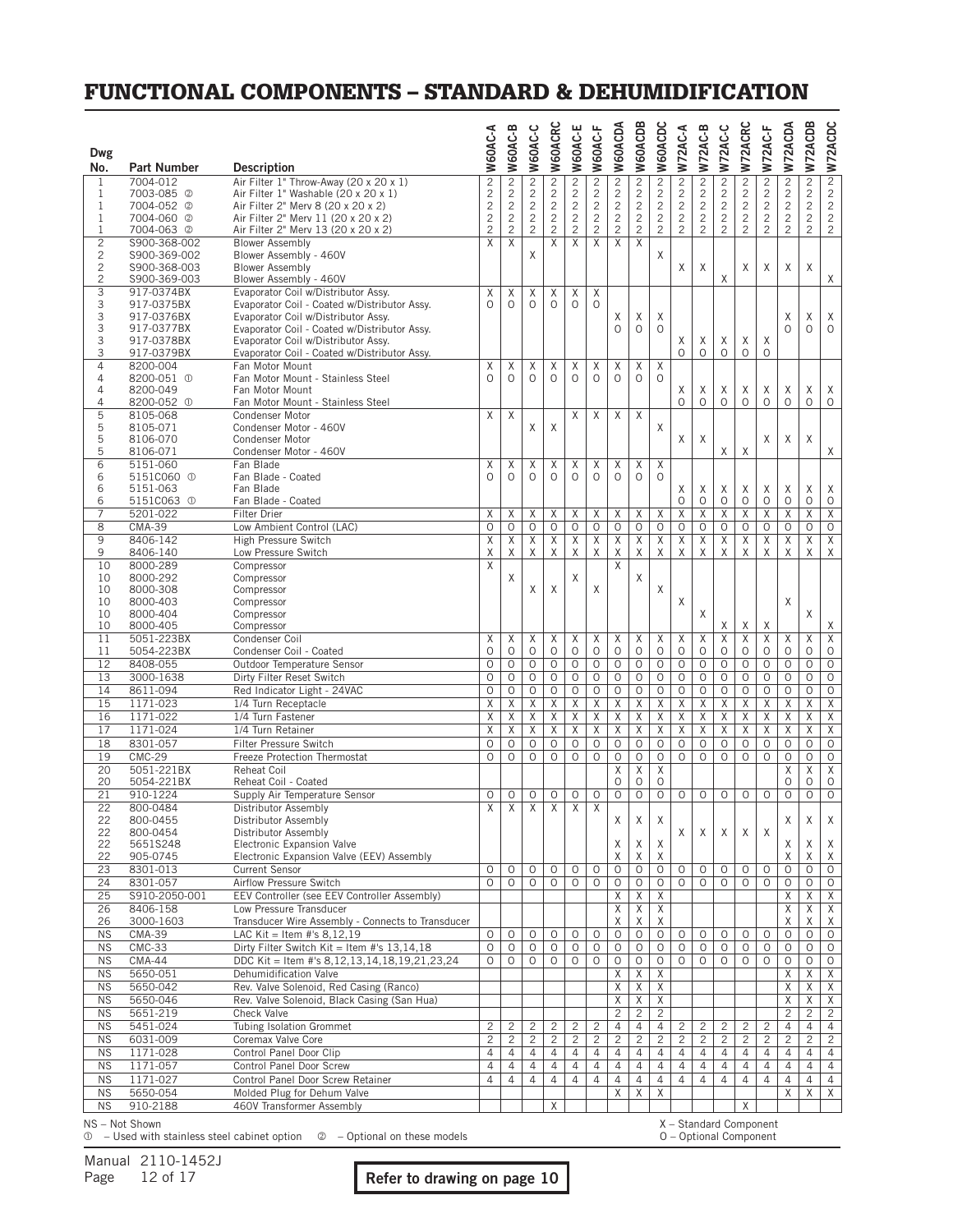#### FUNCTIONAL COMPONENTS – STANDARD & DEHUMIDIFICATION

| No.<br><b>Part Number</b><br><b>Description</b><br>$\overline{2}$<br>$\overline{2}$<br>$\overline{2}$<br>$\overline{2}$<br>$\overline{2}$<br>$\overline{2}$<br>$\overline{2}$<br>$\overline{2}$<br>$\overline{2}$<br>$\overline{2}$<br>$\overline{2}$<br>$\overline{2}$<br>Air Filter 1" Throw-Away (20 x 20 x 1)<br>$\overline{2}$<br>$\overline{2}$<br>$\overline{2}$<br>$\overline{2}$<br>$\overline{2}$<br>7004-012<br>1<br>$\overline{c}$<br>$\overline{c}$<br>$\sqrt{2}$<br>$\sqrt{2}$<br>$\overline{c}$<br>$\mathbf{2}$<br>$\overline{c}$<br>$\overline{c}$<br>$\sqrt{2}$<br>$\overline{c}$<br>$\overline{c}$<br>$\overline{c}$<br>$\overline{c}$<br>$\mathbf{2}$<br>$\overline{c}$<br>$\overline{c}$<br>1<br>7003-085 <sup>2</sup><br>Air Filter 1" Washable (20 x 20 x 1)<br>2<br>$\begin{array}{c}\n2 \\ 2 \\ 2\n\end{array}$<br>$\begin{array}{c}\n 2 \\  2 \\  2\n \end{array}$<br>$\begin{array}{c}\n2 \\ 2 \\ 2\n\end{array}$<br>$\frac{2}{2}$<br>$\frac{2}{2}$<br>$\overline{c}$<br>$\frac{2}{2}$<br>$\overline{c}$<br>$\overline{c}$<br>$\overline{c}$<br>$\mathbf{2}$<br>$\mathbf{2}$<br>$\mathbf{2}$<br>2<br>$\overline{c}$<br>$\overline{c}$<br>$\overline{c}$<br>Air Filter 2" Merv 8 (20 x 20 x 2)<br>1<br>7004-052 <sup>2</sup><br>$\overline{2}$<br>$\overline{c}$<br>$\mathbf{2}$<br>2<br>$\overline{c}$<br>$\overline{c}$<br>$\overline{c}$<br>$\overline{c}$<br>2<br>$\overline{c}$<br>$\overline{c}$<br>1<br>7004-060 <sup>2</sup><br>Air Filter 2" Merv 11 (20 x 20 x 2)<br>$\overline{c}$<br>$\overline{c}$<br>$\overline{c}$<br>$\overline{c}$<br>$\overline{c}$<br>$\mathbf{2}$<br>$\overline{c}$<br>$\overline{c}$<br>$\overline{c}$<br>$\overline{c}$<br>$\mathbf{2}$<br>$\overline{c}$<br>$\overline{c}$<br>$\overline{c}$<br>1<br>7004-063 <sup>2</sup><br>Air Filter 2" Merv 13 (20 x 20 x 2)<br>$\overline{2}$<br>$\overline{X}$<br>$\overline{X}$<br>X<br>X<br>S900-368-002<br><b>Blower Assembly</b><br>Χ<br>Χ<br>Χ<br>$\overline{\mathbf{c}}$<br>χ<br>Blower Assembly - 460V<br>Χ<br>S900-369-002<br>$\overline{\mathbf{c}}$<br><b>Blower Assembly</b><br>X<br>X<br>X<br>X<br>X<br>S900-368-003<br>X<br>$\overline{c}$<br>X<br>X<br>S900-369-003<br>Blower Assembly - 460V<br>3<br>917-0374BX<br>Evaporator Coil w/Distributor Assy.<br>Χ<br>X<br>X<br>X<br>X<br>Χ<br>3<br>Evaporator Coil - Coated w/Distributor Assy.<br>$\Omega$<br>$\Omega$<br>$\circ$<br>$\Omega$<br>917-0375BX<br>$\Omega$<br>$\Omega$<br>3<br>917-0376BX<br>Evaporator Coil w/Distributor Assy.<br>Χ<br>Χ<br>Χ<br>Χ<br>Χ<br>Χ<br>3<br>$\circ$<br>$\Omega$<br>$\Omega$<br>917-0377BX<br>Evaporator Coil - Coated w/Distributor Assy.<br>$\Omega$<br>$\Omega$<br>$\Omega$<br>3<br>917-0378BX<br>Evaporator Coil w/Distributor Assy.<br>Χ<br>Χ<br>Χ<br>Χ<br>Χ<br>3<br>$\circ$<br>$\mathsf O$<br>917-0379BX<br>$\circ$<br>$\circ$<br>$\circ$<br>Evaporator Coil - Coated w/Distributor Assy.<br>$\overline{X}$<br>$\mathsf X$<br>4<br>8200-004<br>Fan Motor Mount<br>X<br>Χ<br>X<br>X<br>Χ<br>X<br>X<br>Fan Motor Mount - Stainless Steel<br>$\Omega$<br>0<br>$\circ$<br>4<br>8200-051 <sup>0</sup><br>0<br>0<br>0<br>$\Omega$<br>$\Omega$<br>$\Omega$<br>4<br>8200-049<br>Fan Motor Mount<br>Χ<br>Χ<br>Χ<br>Χ<br>Χ<br>Χ<br>Χ<br>$_\mathrm{O}^\mathrm{X}$<br>$\circ$<br>$\mathsf O$<br>$\circ$<br>$\Omega$<br>$\circ$<br>$\circ$<br>$\circ$<br>4<br>8200-052 <sup>0</sup><br>Fan Motor Mount - Stainless Steel<br>5<br>8105-068<br>Condenser Motor<br>X<br>X<br>X<br>Χ<br>Χ<br>Χ<br>5<br>Condenser Motor - 460V<br>X<br>X<br>8105-071<br>Χ<br>5<br>X<br>X<br>8106-070<br>Condenser Motor<br>Χ<br>Χ<br>Χ<br>5<br>X<br>X<br>X<br>8106-071<br>Condenser Motor - 460V<br>$\overline{6}$<br>Fan Blade<br>X<br>5151-060<br>χ<br>Χ<br>Χ<br>Χ<br>Χ<br>X<br>Χ<br>Χ<br>$\circ$<br>$\circ$<br>6<br>5151C060 <sup>0</sup><br>Fan Blade - Coated<br>0<br>0<br>0<br>0<br>$\circ$<br>0<br>0<br>6<br>X<br>5151-063<br>Fan Blade<br>X<br>Χ<br>Χ<br>Χ<br>Χ<br>X<br>Χ<br>$\circ$<br>$\mathsf O$<br>$\circ$<br>O<br>$\circ$<br>$\circ$<br>$\circ$<br>$\circ$<br>6<br>5151C063 0<br>Fan Blade - Coated<br>Χ<br>X<br>χ<br>Χ<br>Χ<br>X<br>$\overline{X}$<br>7<br>Filter Drier<br>Χ<br>X<br>Χ<br>X<br>5201-022<br>Χ<br>Χ<br>Χ<br>Χ<br>Χ<br>Χ<br>$\overline{0}$<br>$\overline{0}$<br>$\overline{0}$<br>0<br>$\circ$<br>$\circ$<br>$\circ$<br>$\circ$<br>$\circ$<br>$\circ$<br>$\circ$<br>$\circ$<br>8<br><b>CMA-39</b><br>Low Ambient Control (LAC)<br>$\circ$<br>$\circ$<br>$\circ$<br>$\circ$<br>$\circ$<br>9<br>8406-142<br>High Pressure Switch<br>Χ<br>X<br>X<br>X<br>X<br>X<br>X<br>X<br>X<br>X<br>X<br>X<br>X<br>Χ<br>X<br>X<br>X<br>Χ<br>χ<br>Χ<br>X<br>Χ<br>X<br>Χ<br>X<br>Χ<br>X<br>X<br>X<br>9<br>Low Pressure Switch<br>X<br>X<br>X<br>X<br>X<br>8406-140<br>$\overline{X}$<br>10<br>8000-289<br>Compressor<br>X<br>X<br>10<br>8000-292<br>Compressor<br>X<br>X<br>X<br>Compressor<br>Χ<br>X<br>X<br>10<br>8000-308<br>10<br>X<br>X<br>8000-403<br>Compressor<br>X<br>X<br>10<br>8000-404<br>Compressor<br>X<br>10<br>8000-405<br>Compressor<br>Χ<br>Χ<br>Χ<br>$\overline{\mathsf{X}}$<br>$\overline{X}$<br>$\overline{X}$<br>$\overline{X}$<br>11<br>5051-223BX<br>Condenser Coil<br>Χ<br>X<br>X<br>Χ<br>X<br>Χ<br>Χ<br>Χ<br>Χ<br>Χ<br>Χ<br>Χ<br>Χ<br>$\circ$<br>0<br>O<br>$\circ$<br>11<br>5054-223BX<br>Condenser Coil - Coated<br>0<br>0<br>0<br>0<br>0<br>0<br>0<br>0<br>0<br>0<br>0<br>0<br>0<br>12<br>0<br>0<br>0<br>$\circ$<br>$\circ$<br>O<br>O<br>0<br>0<br>$\circ$<br>0<br>0<br>8408-055<br>Outdoor Temperature Sensor<br>$\circ$<br>$\circ$<br>$\circ$<br>$\circ$<br>$\circ$<br>$\overline{O}$<br>$\overline{O}$<br>13<br>3000-1638<br>Dirty Filter Reset Switch<br>0<br>$\circ$<br>$\circ$<br>$\circ$<br>$\circ$<br>$\circ$<br>$\circ$<br>$\circ$<br>O<br>$\circ$<br>$\circ$<br>$\circ$<br>0<br>0<br>$\circ$<br>Red Indicator Light - 24VAC<br>0<br>$\circ$<br>$\circ$<br>$\circ$<br>$\circ$<br>$\circ$<br>$\circ$<br>$\circ$<br>$\circ$<br>14<br>8611-094<br>0<br>$\circ$<br>$\circ$<br>$\circ$<br>$\circ$<br>$\circ$<br>$\circ$<br>$\Omega$<br>$\overline{X}$<br>15<br>1171-023<br>1/4 Turn Receptacle<br>Χ<br>X<br>Χ<br>X<br>X<br>X<br>X<br>X<br>X<br>X<br>X<br>Χ<br>Χ<br>X<br>Χ<br>Χ<br>Χ<br>16<br>1171-022<br>1/4 Turn Fastener<br>χ<br>X<br>X<br>X<br>X<br>X<br>X<br>Χ<br>X<br>X<br>X<br>Χ<br>Χ<br>Χ<br>Χ<br>Χ<br>χ<br>X<br>X<br>Χ<br>X<br>$\sf X$<br>17<br>1171-024<br>1/4 Turn Retainer<br>Χ<br>X<br>X<br>X<br>X<br>X<br>X<br>X<br>X<br>X<br>X<br>18<br>8301-057<br>$\circ$<br>0<br>$\circ$<br>$\circ$<br>$\circ$<br>$\circ$<br>$\circ$<br>$\circ$<br>$\circ$<br>$\circ$<br>0<br>$\circ$<br>$\circ$<br>$\circ$<br>0<br>Filter Pressure Switch<br>0<br>0<br>$\circ$<br>19<br><b>CMC-29</b><br>Freeze Protection Thermostat<br>$\circ$<br>$\circ$<br>$\circ$<br>$\circ$<br>$\circ$<br>$\circ$<br>$\circ$<br>$\circ$<br>$\circ$<br>$\circ$<br>$\circ$<br>$\circ$<br>$\circ$<br>$\circ$<br>$\circ$<br>0<br>5051-221BX<br>$\overline{X}$<br>$\overline{X}$<br>20<br><b>Reheat Coil</b><br>Χ<br>X<br>X<br>Χ<br>$\circ$<br>20<br>5054-221BX<br>Reheat Coil - Coated<br>0<br>0<br>0<br>0<br>0<br>21<br>$\circ$<br>$\circ$<br>$\circ$<br>$\mathsf O$<br>$\circ$<br>$\Omega$<br>$\circ$<br>910-1224<br>Supply Air Temperature Sensor<br>O<br>0<br>$\circ$<br>0<br>$\circ$<br>0<br>$\circ$<br>0<br>0<br>0<br>$\overline{\mathsf{X}}$<br>22<br>800-0484<br>Distributor Assembly<br>X<br>X<br>X<br>Χ<br>X<br>Χ<br>Χ<br>χ<br>Χ<br>22<br>800-0455<br>Distributor Assembly<br>X<br>X<br>Distributor Assembly<br>22<br>Χ<br>Χ<br>Χ<br>Χ<br>Χ<br>800-0454<br>Electronic Expansion Valve<br>22<br>5651S248<br>Χ<br>Χ<br>Χ<br>Χ<br>Χ<br>Χ<br>Electronic Expansion Valve (EEV) Assembly<br>X<br>Χ<br>22<br>905-0745<br>Χ<br>Χ<br>Χ<br>Χ<br>$\circ$<br>0<br>23<br>8301-013<br><b>Current Sensor</b><br>0<br>O<br>O<br>$\circ$<br>$\circ$<br>$\circ$<br>$\circ$<br>0<br>0<br>0<br>O<br>0<br>$\circ$<br>$\circ$<br>0<br>24<br>Airflow Pressure Switch<br>$\circ$<br>$\circ$<br>$\circ$<br>$\circ$<br>$\circ$<br>$\circ$<br>$\circ$<br>$\circ$<br>$\circ$<br>$\circ$<br>$\circ$<br>8301-057<br>0<br>$\circ$<br>0<br>$\circ$<br>$\circ$<br>0<br><b>EEV Controller (see EEV Controller Assembly)</b><br>25<br>X<br>X<br>X<br>X<br>S910-2050-001<br>Χ<br>Χ<br>Low Pressure Transducer<br>26<br>8406-158<br>X<br>X<br>Χ<br>Χ<br>Χ<br>Χ<br>3000-1603<br>Transducer Wire Assembly - Connects to Transducer<br>Χ<br>Χ<br>Χ<br>Χ<br>Χ<br>26<br>Χ<br>$\circ$<br><b>NS</b><br><b>CMA-39</b><br>LAC Kit = Item #'s $8,12,19$<br>0<br>$\circ$<br>$\circ$<br>$\circ$<br>O<br>$\circ$<br>0<br>$\circ$<br>$\circ$<br>0<br>0<br>0<br>0<br>0<br>0<br>0<br>$\overline{O}$<br><b>CMC-33</b><br>Dirty Filter Switch Kit = Item #'s 13,14,18<br>O<br>$\circ$<br>O<br>0<br>0<br>0<br>$\circ$<br>$\circ$<br>0<br>ΝS<br>0<br>0<br>$\circ$<br>0<br>0<br>$\circ$<br>$\circ$<br>DDC Kit = Item #'s 8,12,13,14,18,19,21,23,24<br>$\circ$<br><b>CMA-44</b><br>0<br>0<br>0<br>$\circ$<br>$\Omega$<br>$\circ$<br>$\circ$<br>0<br>$\circ$<br>0<br>$\circ$<br>$\circ$<br>0<br>NS.<br>0<br>0<br>0<br><b>NS</b><br>5650-051<br>Dehumidification Valve<br>Χ<br>$\overline{X}$<br>Χ<br>Χ<br>Χ<br>Χ<br>5650-042<br>Rev. Valve Solenoid, Red Casing (Ranco)<br>X<br>ΝS<br>Χ<br>Χ<br>Χ<br>Χ<br>Χ<br>X<br>Χ<br>5650-046<br>Rev. Valve Solenoid, Black Casing (San Hua)<br>Χ<br>Χ<br>Χ<br>X<br>ΝS<br>5651-219<br>Check Valve<br>$\overline{c}$<br>2<br>$\overline{c}$<br>$\overline{c}$<br>ΝS<br>2<br>2<br>Tubing Isolation Grommet<br>5451-024<br>2<br>$\overline{4}$<br>$\overline{4}$<br>$\overline{4}$<br>ΝS<br>2<br>2<br>2<br>2<br>2<br>4<br>4<br>2<br>2<br>2<br>2<br>2<br>4<br>6031-009<br>Coremax Valve Core<br>2<br>$\overline{c}$<br>2<br>$\overline{c}$<br>2<br>$\overline{c}$<br>2<br>2<br>2<br>$\overline{c}$<br>$\overline{c}$<br>$\overline{c}$<br>$\overline{c}$<br>$\overline{c}$<br>$\overline{c}$<br>$\overline{c}$<br>$\overline{2}$<br>ΝS<br>1171-028<br>Control Panel Door Clip<br>$\overline{4}$<br>ΝS<br>4<br>4<br>4<br>4<br>4<br>4<br>4<br>4<br>4<br>4<br>4<br>4<br>4<br>4<br>4<br>4<br>Control Panel Door Screw<br>1171-057<br>4<br>4<br>$\overline{4}$<br>$\overline{4}$<br>$\overline{4}$<br>$\overline{4}$<br>$\overline{4}$<br>$\overline{4}$<br>$\overline{4}$<br>$\overline{4}$<br>$\overline{4}$<br>$\overline{4}$<br>$\overline{4}$<br>$\overline{4}$<br>$\overline{4}$<br><b>NS</b><br>4<br>4<br>1171-027<br>Control Panel Door Screw Retainer<br>4<br>$\overline{4}$<br>$\overline{4}$<br>$\overline{4}$<br>$\overline{4}$<br>4<br>$\overline{4}$<br>4<br>$\overline{4}$<br>$\overline{4}$<br><b>NS</b><br>4<br>4<br>4<br>4<br>4<br>$\overline{4}$<br>4<br><b>NS</b><br>5650-054<br>Molded Plug for Dehum Valve<br>X<br>X<br>X<br>X<br>X<br>X<br>910-2188<br>460V Transformer Assembly<br>X<br><b>NS</b><br>Χ<br>NS-Not Shown<br>X - Standard Component | Dwg |  | W60AC-A | W60AC-B | W60AC-C | <b>W60ACRC</b> | W60AC-E | W60AC-F | <b>W60ACDA</b> | <b>W60ACDB</b> | <b>W60ACDC</b> | <b>W72AC-A</b> | <b>W72AC-B</b> | W72AC-C | W72ACRC | W72AC-F | W72ACDA | W72ACDB | W72ACDC |
|--------------------------------------------------------------------------------------------------------------------------------------------------------------------------------------------------------------------------------------------------------------------------------------------------------------------------------------------------------------------------------------------------------------------------------------------------------------------------------------------------------------------------------------------------------------------------------------------------------------------------------------------------------------------------------------------------------------------------------------------------------------------------------------------------------------------------------------------------------------------------------------------------------------------------------------------------------------------------------------------------------------------------------------------------------------------------------------------------------------------------------------------------------------------------------------------------------------------------------------------------------------------------------------------------------------------------------------------------------------------------------------------------------------------------------------------------------------------------------------------------------------------------------------------------------------------------------------------------------------------------------------------------------------------------------------------------------------------------------------------------------------------------------------------------------------------------------------------------------------------------------------------------------------------------------------------------------------------------------------------------------------------------------------------------------------------------------------------------------------------------------------------------------------------------------------------------------------------------------------------------------------------------------------------------------------------------------------------------------------------------------------------------------------------------------------------------------------------------------------------------------------------------------------------------------------------------------------------------------------------------------------------------------------------------------------------------------------------------------------------------------------------------------------------------------------------------------------------------------------------------------------------------------------------------------------------------------------------------------------------------------------------------------------------------------------------------------------------------------------------------------------------------------------------------------------------------------------------------------------------------------------------------------------------------------------------------------------------------------------------------------------------------------------------------------------------------------------------------------------------------------------------------------------------------------------------------------------------------------------------------------------------------------------------------------------------------------------------------------------------------------------------------------------------------------------------------------------------------------------------------------------------------------------------------------------------------------------------------------------------------------------------------------------------------------------------------------------------------------------------------------------------------------------------------------------------------------------------------------------------------------------------------------------------------------------------------------------------------------------------------------------------------------------------------------------------------------------------------------------------------------------------------------------------------------------------------------------------------------------------------------------------------------------------------------------------------------------------------------------------------------------------------------------------------------------------------------------------------------------------------------------------------------------------------------------------------------------------------------------------------------------------------------------------------------------------------------------------------------------------------------------------------------------------------------------------------------------------------------------------------------------------------------------------------------------------------------------------------------------------------------------------------------------------------------------------------------------------------------------------------------------------------------------------------------------------------------------------------------------------------------------------------------------------------------------------------------------------------------------------------------------------------------------------------------------------------------------------------------------------------------------------------------------------------------------------------------------------------------------------------------------------------------------------------------------------------------------------------------------------------------------------------------------------------------------------------------------------------------------------------------------------------------------------------------------------------------------------------------------------------------------------------------------------------------------------------------------------------------------------------------------------------------------------------------------------------------------------------------------------------------------------------------------------------------------------------------------------------------------------------------------------------------------------------------------------------------------------------------------------------------------------------------------------------------------------------------------------------------------------------------------------------------------------------------------------------------------------------------------------------------------------------------------------------------------------------------------------------------------------------------------------------------------------------------------------------------------------------------------------------------------------------------------------------------------------------------------------------------------------------------------------------------------------------------------------------------------------------------------------------------------------------------------------------------------------------------------------------------------------------------------------------------------------------------------------------------------------------------------------------------------------------------------------------------------------------------------------------------------------------------------------------------------------------------------------------------------------------------------------------------------------------------------------------------------------------------------------------------------------------------------------------------------------------------------------------------------------------------------------------------------------------------------------------------------------------------------------------------------------------------------------------------------------------------------------------------------------------------------------------------------------------------------------------------------------------------------------------------------------------------------------------------------------------------------------------------------------------------------------------------------------------------------------------------------------------------------------------------------------------------------------------------------------------------------------------------------------------------------------------------------------------------------------------------------------------------------------------------------------------------------------------------------------------------------------------------------------------------------------------------------------------------------------------------------------------------------------------------------------------------------------------------------------------------------------------------------------------------------------------------------------------------------------------------------------------------------------------------------------------------------------------------------------------------------------------------------------------------------------------------------------------------------------------------------------------------------------------------------------------------------------------------------------------------------------------------------------------------------------------------------------------------------------------------------------------------------------------------------------------------------------------------------------------------------------------------------------------------------------------------------------------------------------------------------------------------------------------------------------------------------------------------------------------------------------------------------------------------------------------------------------------------------------------------------------------------------------------------------------------------------------------------------------------------------------------------------------|-----|--|---------|---------|---------|----------------|---------|---------|----------------|----------------|----------------|----------------|----------------|---------|---------|---------|---------|---------|---------|
|                                                                                                                                                                                                                                                                                                                                                                                                                                                                                                                                                                                                                                                                                                                                                                                                                                                                                                                                                                                                                                                                                                                                                                                                                                                                                                                                                                                                                                                                                                                                                                                                                                                                                                                                                                                                                                                                                                                                                                                                                                                                                                                                                                                                                                                                                                                                                                                                                                                                                                                                                                                                                                                                                                                                                                                                                                                                                                                                                                                                                                                                                                                                                                                                                                                                                                                                                                                                                                                                                                                                                                                                                                                                                                                                                                                                                                                                                                                                                                                                                                                                                                                                                                                                                                                                                                                                                                                                                                                                                                                                                                                                                                                                                                                                                                                                                                                                                                                                                                                                                                                                                                                                                                                                                                                                                                                                                                                                                                                                                                                                                                                                                                                                                                                                                                                                                                                                                                                                                                                                                                                                                                                                                                                                                                                                                                                                                                                                                                                                                                                                                                                                                                                                                                                                                                                                                                                                                                                                                                                                                                                                                                                                                                                                                                                                                                                                                                                                                                                                                                                                                                                                                                                                                                                                                                                                                                                                                                                                                                                                                                                                                                                                                                                                                                                                                                                                                                                                                                                                                                                                                                                                                                                                                                                                                                                                                                                                                                                                                                                                                                                                                                                                                                                                                                                                                                                                                                                                                                                                                                                                                                                                                                                                                                                                                                                                                                                                                                                                                                                                                                                                                                                                                                                                                                                                                                                                                                                                                                                                                                                                                                                                                                                                                                                                                                                                                                            |     |  |         |         |         |                |         |         |                |                |                |                |                |         |         |         |         |         |         |
|                                                                                                                                                                                                                                                                                                                                                                                                                                                                                                                                                                                                                                                                                                                                                                                                                                                                                                                                                                                                                                                                                                                                                                                                                                                                                                                                                                                                                                                                                                                                                                                                                                                                                                                                                                                                                                                                                                                                                                                                                                                                                                                                                                                                                                                                                                                                                                                                                                                                                                                                                                                                                                                                                                                                                                                                                                                                                                                                                                                                                                                                                                                                                                                                                                                                                                                                                                                                                                                                                                                                                                                                                                                                                                                                                                                                                                                                                                                                                                                                                                                                                                                                                                                                                                                                                                                                                                                                                                                                                                                                                                                                                                                                                                                                                                                                                                                                                                                                                                                                                                                                                                                                                                                                                                                                                                                                                                                                                                                                                                                                                                                                                                                                                                                                                                                                                                                                                                                                                                                                                                                                                                                                                                                                                                                                                                                                                                                                                                                                                                                                                                                                                                                                                                                                                                                                                                                                                                                                                                                                                                                                                                                                                                                                                                                                                                                                                                                                                                                                                                                                                                                                                                                                                                                                                                                                                                                                                                                                                                                                                                                                                                                                                                                                                                                                                                                                                                                                                                                                                                                                                                                                                                                                                                                                                                                                                                                                                                                                                                                                                                                                                                                                                                                                                                                                                                                                                                                                                                                                                                                                                                                                                                                                                                                                                                                                                                                                                                                                                                                                                                                                                                                                                                                                                                                                                                                                                                                                                                                                                                                                                                                                                                                                                                                                                                                                                                            |     |  |         |         |         |                |         |         |                |                |                |                |                |         |         |         |         |         |         |
|                                                                                                                                                                                                                                                                                                                                                                                                                                                                                                                                                                                                                                                                                                                                                                                                                                                                                                                                                                                                                                                                                                                                                                                                                                                                                                                                                                                                                                                                                                                                                                                                                                                                                                                                                                                                                                                                                                                                                                                                                                                                                                                                                                                                                                                                                                                                                                                                                                                                                                                                                                                                                                                                                                                                                                                                                                                                                                                                                                                                                                                                                                                                                                                                                                                                                                                                                                                                                                                                                                                                                                                                                                                                                                                                                                                                                                                                                                                                                                                                                                                                                                                                                                                                                                                                                                                                                                                                                                                                                                                                                                                                                                                                                                                                                                                                                                                                                                                                                                                                                                                                                                                                                                                                                                                                                                                                                                                                                                                                                                                                                                                                                                                                                                                                                                                                                                                                                                                                                                                                                                                                                                                                                                                                                                                                                                                                                                                                                                                                                                                                                                                                                                                                                                                                                                                                                                                                                                                                                                                                                                                                                                                                                                                                                                                                                                                                                                                                                                                                                                                                                                                                                                                                                                                                                                                                                                                                                                                                                                                                                                                                                                                                                                                                                                                                                                                                                                                                                                                                                                                                                                                                                                                                                                                                                                                                                                                                                                                                                                                                                                                                                                                                                                                                                                                                                                                                                                                                                                                                                                                                                                                                                                                                                                                                                                                                                                                                                                                                                                                                                                                                                                                                                                                                                                                                                                                                                                                                                                                                                                                                                                                                                                                                                                                                                                                                                                            |     |  |         |         |         |                |         |         |                |                |                |                |                |         |         |         |         |         |         |
|                                                                                                                                                                                                                                                                                                                                                                                                                                                                                                                                                                                                                                                                                                                                                                                                                                                                                                                                                                                                                                                                                                                                                                                                                                                                                                                                                                                                                                                                                                                                                                                                                                                                                                                                                                                                                                                                                                                                                                                                                                                                                                                                                                                                                                                                                                                                                                                                                                                                                                                                                                                                                                                                                                                                                                                                                                                                                                                                                                                                                                                                                                                                                                                                                                                                                                                                                                                                                                                                                                                                                                                                                                                                                                                                                                                                                                                                                                                                                                                                                                                                                                                                                                                                                                                                                                                                                                                                                                                                                                                                                                                                                                                                                                                                                                                                                                                                                                                                                                                                                                                                                                                                                                                                                                                                                                                                                                                                                                                                                                                                                                                                                                                                                                                                                                                                                                                                                                                                                                                                                                                                                                                                                                                                                                                                                                                                                                                                                                                                                                                                                                                                                                                                                                                                                                                                                                                                                                                                                                                                                                                                                                                                                                                                                                                                                                                                                                                                                                                                                                                                                                                                                                                                                                                                                                                                                                                                                                                                                                                                                                                                                                                                                                                                                                                                                                                                                                                                                                                                                                                                                                                                                                                                                                                                                                                                                                                                                                                                                                                                                                                                                                                                                                                                                                                                                                                                                                                                                                                                                                                                                                                                                                                                                                                                                                                                                                                                                                                                                                                                                                                                                                                                                                                                                                                                                                                                                                                                                                                                                                                                                                                                                                                                                                                                                                                                                                            |     |  |         |         |         |                |         |         |                |                |                |                |                |         |         |         |         |         |         |
|                                                                                                                                                                                                                                                                                                                                                                                                                                                                                                                                                                                                                                                                                                                                                                                                                                                                                                                                                                                                                                                                                                                                                                                                                                                                                                                                                                                                                                                                                                                                                                                                                                                                                                                                                                                                                                                                                                                                                                                                                                                                                                                                                                                                                                                                                                                                                                                                                                                                                                                                                                                                                                                                                                                                                                                                                                                                                                                                                                                                                                                                                                                                                                                                                                                                                                                                                                                                                                                                                                                                                                                                                                                                                                                                                                                                                                                                                                                                                                                                                                                                                                                                                                                                                                                                                                                                                                                                                                                                                                                                                                                                                                                                                                                                                                                                                                                                                                                                                                                                                                                                                                                                                                                                                                                                                                                                                                                                                                                                                                                                                                                                                                                                                                                                                                                                                                                                                                                                                                                                                                                                                                                                                                                                                                                                                                                                                                                                                                                                                                                                                                                                                                                                                                                                                                                                                                                                                                                                                                                                                                                                                                                                                                                                                                                                                                                                                                                                                                                                                                                                                                                                                                                                                                                                                                                                                                                                                                                                                                                                                                                                                                                                                                                                                                                                                                                                                                                                                                                                                                                                                                                                                                                                                                                                                                                                                                                                                                                                                                                                                                                                                                                                                                                                                                                                                                                                                                                                                                                                                                                                                                                                                                                                                                                                                                                                                                                                                                                                                                                                                                                                                                                                                                                                                                                                                                                                                                                                                                                                                                                                                                                                                                                                                                                                                                                                                                            |     |  |         |         |         |                |         |         |                |                |                |                |                |         |         |         |         |         |         |
|                                                                                                                                                                                                                                                                                                                                                                                                                                                                                                                                                                                                                                                                                                                                                                                                                                                                                                                                                                                                                                                                                                                                                                                                                                                                                                                                                                                                                                                                                                                                                                                                                                                                                                                                                                                                                                                                                                                                                                                                                                                                                                                                                                                                                                                                                                                                                                                                                                                                                                                                                                                                                                                                                                                                                                                                                                                                                                                                                                                                                                                                                                                                                                                                                                                                                                                                                                                                                                                                                                                                                                                                                                                                                                                                                                                                                                                                                                                                                                                                                                                                                                                                                                                                                                                                                                                                                                                                                                                                                                                                                                                                                                                                                                                                                                                                                                                                                                                                                                                                                                                                                                                                                                                                                                                                                                                                                                                                                                                                                                                                                                                                                                                                                                                                                                                                                                                                                                                                                                                                                                                                                                                                                                                                                                                                                                                                                                                                                                                                                                                                                                                                                                                                                                                                                                                                                                                                                                                                                                                                                                                                                                                                                                                                                                                                                                                                                                                                                                                                                                                                                                                                                                                                                                                                                                                                                                                                                                                                                                                                                                                                                                                                                                                                                                                                                                                                                                                                                                                                                                                                                                                                                                                                                                                                                                                                                                                                                                                                                                                                                                                                                                                                                                                                                                                                                                                                                                                                                                                                                                                                                                                                                                                                                                                                                                                                                                                                                                                                                                                                                                                                                                                                                                                                                                                                                                                                                                                                                                                                                                                                                                                                                                                                                                                                                                                                                                            |     |  |         |         |         |                |         |         |                |                |                |                |                |         |         |         |         |         |         |
|                                                                                                                                                                                                                                                                                                                                                                                                                                                                                                                                                                                                                                                                                                                                                                                                                                                                                                                                                                                                                                                                                                                                                                                                                                                                                                                                                                                                                                                                                                                                                                                                                                                                                                                                                                                                                                                                                                                                                                                                                                                                                                                                                                                                                                                                                                                                                                                                                                                                                                                                                                                                                                                                                                                                                                                                                                                                                                                                                                                                                                                                                                                                                                                                                                                                                                                                                                                                                                                                                                                                                                                                                                                                                                                                                                                                                                                                                                                                                                                                                                                                                                                                                                                                                                                                                                                                                                                                                                                                                                                                                                                                                                                                                                                                                                                                                                                                                                                                                                                                                                                                                                                                                                                                                                                                                                                                                                                                                                                                                                                                                                                                                                                                                                                                                                                                                                                                                                                                                                                                                                                                                                                                                                                                                                                                                                                                                                                                                                                                                                                                                                                                                                                                                                                                                                                                                                                                                                                                                                                                                                                                                                                                                                                                                                                                                                                                                                                                                                                                                                                                                                                                                                                                                                                                                                                                                                                                                                                                                                                                                                                                                                                                                                                                                                                                                                                                                                                                                                                                                                                                                                                                                                                                                                                                                                                                                                                                                                                                                                                                                                                                                                                                                                                                                                                                                                                                                                                                                                                                                                                                                                                                                                                                                                                                                                                                                                                                                                                                                                                                                                                                                                                                                                                                                                                                                                                                                                                                                                                                                                                                                                                                                                                                                                                                                                                                                                            |     |  |         |         |         |                |         |         |                |                |                |                |                |         |         |         |         |         |         |
|                                                                                                                                                                                                                                                                                                                                                                                                                                                                                                                                                                                                                                                                                                                                                                                                                                                                                                                                                                                                                                                                                                                                                                                                                                                                                                                                                                                                                                                                                                                                                                                                                                                                                                                                                                                                                                                                                                                                                                                                                                                                                                                                                                                                                                                                                                                                                                                                                                                                                                                                                                                                                                                                                                                                                                                                                                                                                                                                                                                                                                                                                                                                                                                                                                                                                                                                                                                                                                                                                                                                                                                                                                                                                                                                                                                                                                                                                                                                                                                                                                                                                                                                                                                                                                                                                                                                                                                                                                                                                                                                                                                                                                                                                                                                                                                                                                                                                                                                                                                                                                                                                                                                                                                                                                                                                                                                                                                                                                                                                                                                                                                                                                                                                                                                                                                                                                                                                                                                                                                                                                                                                                                                                                                                                                                                                                                                                                                                                                                                                                                                                                                                                                                                                                                                                                                                                                                                                                                                                                                                                                                                                                                                                                                                                                                                                                                                                                                                                                                                                                                                                                                                                                                                                                                                                                                                                                                                                                                                                                                                                                                                                                                                                                                                                                                                                                                                                                                                                                                                                                                                                                                                                                                                                                                                                                                                                                                                                                                                                                                                                                                                                                                                                                                                                                                                                                                                                                                                                                                                                                                                                                                                                                                                                                                                                                                                                                                                                                                                                                                                                                                                                                                                                                                                                                                                                                                                                                                                                                                                                                                                                                                                                                                                                                                                                                                                                                            |     |  |         |         |         |                |         |         |                |                |                |                |                |         |         |         |         |         |         |
|                                                                                                                                                                                                                                                                                                                                                                                                                                                                                                                                                                                                                                                                                                                                                                                                                                                                                                                                                                                                                                                                                                                                                                                                                                                                                                                                                                                                                                                                                                                                                                                                                                                                                                                                                                                                                                                                                                                                                                                                                                                                                                                                                                                                                                                                                                                                                                                                                                                                                                                                                                                                                                                                                                                                                                                                                                                                                                                                                                                                                                                                                                                                                                                                                                                                                                                                                                                                                                                                                                                                                                                                                                                                                                                                                                                                                                                                                                                                                                                                                                                                                                                                                                                                                                                                                                                                                                                                                                                                                                                                                                                                                                                                                                                                                                                                                                                                                                                                                                                                                                                                                                                                                                                                                                                                                                                                                                                                                                                                                                                                                                                                                                                                                                                                                                                                                                                                                                                                                                                                                                                                                                                                                                                                                                                                                                                                                                                                                                                                                                                                                                                                                                                                                                                                                                                                                                                                                                                                                                                                                                                                                                                                                                                                                                                                                                                                                                                                                                                                                                                                                                                                                                                                                                                                                                                                                                                                                                                                                                                                                                                                                                                                                                                                                                                                                                                                                                                                                                                                                                                                                                                                                                                                                                                                                                                                                                                                                                                                                                                                                                                                                                                                                                                                                                                                                                                                                                                                                                                                                                                                                                                                                                                                                                                                                                                                                                                                                                                                                                                                                                                                                                                                                                                                                                                                                                                                                                                                                                                                                                                                                                                                                                                                                                                                                                                                                                            |     |  |         |         |         |                |         |         |                |                |                |                |                |         |         |         |         |         |         |
|                                                                                                                                                                                                                                                                                                                                                                                                                                                                                                                                                                                                                                                                                                                                                                                                                                                                                                                                                                                                                                                                                                                                                                                                                                                                                                                                                                                                                                                                                                                                                                                                                                                                                                                                                                                                                                                                                                                                                                                                                                                                                                                                                                                                                                                                                                                                                                                                                                                                                                                                                                                                                                                                                                                                                                                                                                                                                                                                                                                                                                                                                                                                                                                                                                                                                                                                                                                                                                                                                                                                                                                                                                                                                                                                                                                                                                                                                                                                                                                                                                                                                                                                                                                                                                                                                                                                                                                                                                                                                                                                                                                                                                                                                                                                                                                                                                                                                                                                                                                                                                                                                                                                                                                                                                                                                                                                                                                                                                                                                                                                                                                                                                                                                                                                                                                                                                                                                                                                                                                                                                                                                                                                                                                                                                                                                                                                                                                                                                                                                                                                                                                                                                                                                                                                                                                                                                                                                                                                                                                                                                                                                                                                                                                                                                                                                                                                                                                                                                                                                                                                                                                                                                                                                                                                                                                                                                                                                                                                                                                                                                                                                                                                                                                                                                                                                                                                                                                                                                                                                                                                                                                                                                                                                                                                                                                                                                                                                                                                                                                                                                                                                                                                                                                                                                                                                                                                                                                                                                                                                                                                                                                                                                                                                                                                                                                                                                                                                                                                                                                                                                                                                                                                                                                                                                                                                                                                                                                                                                                                                                                                                                                                                                                                                                                                                                                                                                            |     |  |         |         |         |                |         |         |                |                |                |                |                |         |         |         |         |         |         |
|                                                                                                                                                                                                                                                                                                                                                                                                                                                                                                                                                                                                                                                                                                                                                                                                                                                                                                                                                                                                                                                                                                                                                                                                                                                                                                                                                                                                                                                                                                                                                                                                                                                                                                                                                                                                                                                                                                                                                                                                                                                                                                                                                                                                                                                                                                                                                                                                                                                                                                                                                                                                                                                                                                                                                                                                                                                                                                                                                                                                                                                                                                                                                                                                                                                                                                                                                                                                                                                                                                                                                                                                                                                                                                                                                                                                                                                                                                                                                                                                                                                                                                                                                                                                                                                                                                                                                                                                                                                                                                                                                                                                                                                                                                                                                                                                                                                                                                                                                                                                                                                                                                                                                                                                                                                                                                                                                                                                                                                                                                                                                                                                                                                                                                                                                                                                                                                                                                                                                                                                                                                                                                                                                                                                                                                                                                                                                                                                                                                                                                                                                                                                                                                                                                                                                                                                                                                                                                                                                                                                                                                                                                                                                                                                                                                                                                                                                                                                                                                                                                                                                                                                                                                                                                                                                                                                                                                                                                                                                                                                                                                                                                                                                                                                                                                                                                                                                                                                                                                                                                                                                                                                                                                                                                                                                                                                                                                                                                                                                                                                                                                                                                                                                                                                                                                                                                                                                                                                                                                                                                                                                                                                                                                                                                                                                                                                                                                                                                                                                                                                                                                                                                                                                                                                                                                                                                                                                                                                                                                                                                                                                                                                                                                                                                                                                                                                                                            |     |  |         |         |         |                |         |         |                |                |                |                |                |         |         |         |         |         |         |
|                                                                                                                                                                                                                                                                                                                                                                                                                                                                                                                                                                                                                                                                                                                                                                                                                                                                                                                                                                                                                                                                                                                                                                                                                                                                                                                                                                                                                                                                                                                                                                                                                                                                                                                                                                                                                                                                                                                                                                                                                                                                                                                                                                                                                                                                                                                                                                                                                                                                                                                                                                                                                                                                                                                                                                                                                                                                                                                                                                                                                                                                                                                                                                                                                                                                                                                                                                                                                                                                                                                                                                                                                                                                                                                                                                                                                                                                                                                                                                                                                                                                                                                                                                                                                                                                                                                                                                                                                                                                                                                                                                                                                                                                                                                                                                                                                                                                                                                                                                                                                                                                                                                                                                                                                                                                                                                                                                                                                                                                                                                                                                                                                                                                                                                                                                                                                                                                                                                                                                                                                                                                                                                                                                                                                                                                                                                                                                                                                                                                                                                                                                                                                                                                                                                                                                                                                                                                                                                                                                                                                                                                                                                                                                                                                                                                                                                                                                                                                                                                                                                                                                                                                                                                                                                                                                                                                                                                                                                                                                                                                                                                                                                                                                                                                                                                                                                                                                                                                                                                                                                                                                                                                                                                                                                                                                                                                                                                                                                                                                                                                                                                                                                                                                                                                                                                                                                                                                                                                                                                                                                                                                                                                                                                                                                                                                                                                                                                                                                                                                                                                                                                                                                                                                                                                                                                                                                                                                                                                                                                                                                                                                                                                                                                                                                                                                                                                                            |     |  |         |         |         |                |         |         |                |                |                |                |                |         |         |         |         |         |         |
|                                                                                                                                                                                                                                                                                                                                                                                                                                                                                                                                                                                                                                                                                                                                                                                                                                                                                                                                                                                                                                                                                                                                                                                                                                                                                                                                                                                                                                                                                                                                                                                                                                                                                                                                                                                                                                                                                                                                                                                                                                                                                                                                                                                                                                                                                                                                                                                                                                                                                                                                                                                                                                                                                                                                                                                                                                                                                                                                                                                                                                                                                                                                                                                                                                                                                                                                                                                                                                                                                                                                                                                                                                                                                                                                                                                                                                                                                                                                                                                                                                                                                                                                                                                                                                                                                                                                                                                                                                                                                                                                                                                                                                                                                                                                                                                                                                                                                                                                                                                                                                                                                                                                                                                                                                                                                                                                                                                                                                                                                                                                                                                                                                                                                                                                                                                                                                                                                                                                                                                                                                                                                                                                                                                                                                                                                                                                                                                                                                                                                                                                                                                                                                                                                                                                                                                                                                                                                                                                                                                                                                                                                                                                                                                                                                                                                                                                                                                                                                                                                                                                                                                                                                                                                                                                                                                                                                                                                                                                                                                                                                                                                                                                                                                                                                                                                                                                                                                                                                                                                                                                                                                                                                                                                                                                                                                                                                                                                                                                                                                                                                                                                                                                                                                                                                                                                                                                                                                                                                                                                                                                                                                                                                                                                                                                                                                                                                                                                                                                                                                                                                                                                                                                                                                                                                                                                                                                                                                                                                                                                                                                                                                                                                                                                                                                                                                                                                            |     |  |         |         |         |                |         |         |                |                |                |                |                |         |         |         |         |         |         |
|                                                                                                                                                                                                                                                                                                                                                                                                                                                                                                                                                                                                                                                                                                                                                                                                                                                                                                                                                                                                                                                                                                                                                                                                                                                                                                                                                                                                                                                                                                                                                                                                                                                                                                                                                                                                                                                                                                                                                                                                                                                                                                                                                                                                                                                                                                                                                                                                                                                                                                                                                                                                                                                                                                                                                                                                                                                                                                                                                                                                                                                                                                                                                                                                                                                                                                                                                                                                                                                                                                                                                                                                                                                                                                                                                                                                                                                                                                                                                                                                                                                                                                                                                                                                                                                                                                                                                                                                                                                                                                                                                                                                                                                                                                                                                                                                                                                                                                                                                                                                                                                                                                                                                                                                                                                                                                                                                                                                                                                                                                                                                                                                                                                                                                                                                                                                                                                                                                                                                                                                                                                                                                                                                                                                                                                                                                                                                                                                                                                                                                                                                                                                                                                                                                                                                                                                                                                                                                                                                                                                                                                                                                                                                                                                                                                                                                                                                                                                                                                                                                                                                                                                                                                                                                                                                                                                                                                                                                                                                                                                                                                                                                                                                                                                                                                                                                                                                                                                                                                                                                                                                                                                                                                                                                                                                                                                                                                                                                                                                                                                                                                                                                                                                                                                                                                                                                                                                                                                                                                                                                                                                                                                                                                                                                                                                                                                                                                                                                                                                                                                                                                                                                                                                                                                                                                                                                                                                                                                                                                                                                                                                                                                                                                                                                                                                                                                                                            |     |  |         |         |         |                |         |         |                |                |                |                |                |         |         |         |         |         |         |
|                                                                                                                                                                                                                                                                                                                                                                                                                                                                                                                                                                                                                                                                                                                                                                                                                                                                                                                                                                                                                                                                                                                                                                                                                                                                                                                                                                                                                                                                                                                                                                                                                                                                                                                                                                                                                                                                                                                                                                                                                                                                                                                                                                                                                                                                                                                                                                                                                                                                                                                                                                                                                                                                                                                                                                                                                                                                                                                                                                                                                                                                                                                                                                                                                                                                                                                                                                                                                                                                                                                                                                                                                                                                                                                                                                                                                                                                                                                                                                                                                                                                                                                                                                                                                                                                                                                                                                                                                                                                                                                                                                                                                                                                                                                                                                                                                                                                                                                                                                                                                                                                                                                                                                                                                                                                                                                                                                                                                                                                                                                                                                                                                                                                                                                                                                                                                                                                                                                                                                                                                                                                                                                                                                                                                                                                                                                                                                                                                                                                                                                                                                                                                                                                                                                                                                                                                                                                                                                                                                                                                                                                                                                                                                                                                                                                                                                                                                                                                                                                                                                                                                                                                                                                                                                                                                                                                                                                                                                                                                                                                                                                                                                                                                                                                                                                                                                                                                                                                                                                                                                                                                                                                                                                                                                                                                                                                                                                                                                                                                                                                                                                                                                                                                                                                                                                                                                                                                                                                                                                                                                                                                                                                                                                                                                                                                                                                                                                                                                                                                                                                                                                                                                                                                                                                                                                                                                                                                                                                                                                                                                                                                                                                                                                                                                                                                                                                                            |     |  |         |         |         |                |         |         |                |                |                |                |                |         |         |         |         |         |         |
|                                                                                                                                                                                                                                                                                                                                                                                                                                                                                                                                                                                                                                                                                                                                                                                                                                                                                                                                                                                                                                                                                                                                                                                                                                                                                                                                                                                                                                                                                                                                                                                                                                                                                                                                                                                                                                                                                                                                                                                                                                                                                                                                                                                                                                                                                                                                                                                                                                                                                                                                                                                                                                                                                                                                                                                                                                                                                                                                                                                                                                                                                                                                                                                                                                                                                                                                                                                                                                                                                                                                                                                                                                                                                                                                                                                                                                                                                                                                                                                                                                                                                                                                                                                                                                                                                                                                                                                                                                                                                                                                                                                                                                                                                                                                                                                                                                                                                                                                                                                                                                                                                                                                                                                                                                                                                                                                                                                                                                                                                                                                                                                                                                                                                                                                                                                                                                                                                                                                                                                                                                                                                                                                                                                                                                                                                                                                                                                                                                                                                                                                                                                                                                                                                                                                                                                                                                                                                                                                                                                                                                                                                                                                                                                                                                                                                                                                                                                                                                                                                                                                                                                                                                                                                                                                                                                                                                                                                                                                                                                                                                                                                                                                                                                                                                                                                                                                                                                                                                                                                                                                                                                                                                                                                                                                                                                                                                                                                                                                                                                                                                                                                                                                                                                                                                                                                                                                                                                                                                                                                                                                                                                                                                                                                                                                                                                                                                                                                                                                                                                                                                                                                                                                                                                                                                                                                                                                                                                                                                                                                                                                                                                                                                                                                                                                                                                                                                            |     |  |         |         |         |                |         |         |                |                |                |                |                |         |         |         |         |         |         |
|                                                                                                                                                                                                                                                                                                                                                                                                                                                                                                                                                                                                                                                                                                                                                                                                                                                                                                                                                                                                                                                                                                                                                                                                                                                                                                                                                                                                                                                                                                                                                                                                                                                                                                                                                                                                                                                                                                                                                                                                                                                                                                                                                                                                                                                                                                                                                                                                                                                                                                                                                                                                                                                                                                                                                                                                                                                                                                                                                                                                                                                                                                                                                                                                                                                                                                                                                                                                                                                                                                                                                                                                                                                                                                                                                                                                                                                                                                                                                                                                                                                                                                                                                                                                                                                                                                                                                                                                                                                                                                                                                                                                                                                                                                                                                                                                                                                                                                                                                                                                                                                                                                                                                                                                                                                                                                                                                                                                                                                                                                                                                                                                                                                                                                                                                                                                                                                                                                                                                                                                                                                                                                                                                                                                                                                                                                                                                                                                                                                                                                                                                                                                                                                                                                                                                                                                                                                                                                                                                                                                                                                                                                                                                                                                                                                                                                                                                                                                                                                                                                                                                                                                                                                                                                                                                                                                                                                                                                                                                                                                                                                                                                                                                                                                                                                                                                                                                                                                                                                                                                                                                                                                                                                                                                                                                                                                                                                                                                                                                                                                                                                                                                                                                                                                                                                                                                                                                                                                                                                                                                                                                                                                                                                                                                                                                                                                                                                                                                                                                                                                                                                                                                                                                                                                                                                                                                                                                                                                                                                                                                                                                                                                                                                                                                                                                                                                                                            |     |  |         |         |         |                |         |         |                |                |                |                |                |         |         |         |         |         |         |
|                                                                                                                                                                                                                                                                                                                                                                                                                                                                                                                                                                                                                                                                                                                                                                                                                                                                                                                                                                                                                                                                                                                                                                                                                                                                                                                                                                                                                                                                                                                                                                                                                                                                                                                                                                                                                                                                                                                                                                                                                                                                                                                                                                                                                                                                                                                                                                                                                                                                                                                                                                                                                                                                                                                                                                                                                                                                                                                                                                                                                                                                                                                                                                                                                                                                                                                                                                                                                                                                                                                                                                                                                                                                                                                                                                                                                                                                                                                                                                                                                                                                                                                                                                                                                                                                                                                                                                                                                                                                                                                                                                                                                                                                                                                                                                                                                                                                                                                                                                                                                                                                                                                                                                                                                                                                                                                                                                                                                                                                                                                                                                                                                                                                                                                                                                                                                                                                                                                                                                                                                                                                                                                                                                                                                                                                                                                                                                                                                                                                                                                                                                                                                                                                                                                                                                                                                                                                                                                                                                                                                                                                                                                                                                                                                                                                                                                                                                                                                                                                                                                                                                                                                                                                                                                                                                                                                                                                                                                                                                                                                                                                                                                                                                                                                                                                                                                                                                                                                                                                                                                                                                                                                                                                                                                                                                                                                                                                                                                                                                                                                                                                                                                                                                                                                                                                                                                                                                                                                                                                                                                                                                                                                                                                                                                                                                                                                                                                                                                                                                                                                                                                                                                                                                                                                                                                                                                                                                                                                                                                                                                                                                                                                                                                                                                                                                                                                                            |     |  |         |         |         |                |         |         |                |                |                |                |                |         |         |         |         |         |         |
|                                                                                                                                                                                                                                                                                                                                                                                                                                                                                                                                                                                                                                                                                                                                                                                                                                                                                                                                                                                                                                                                                                                                                                                                                                                                                                                                                                                                                                                                                                                                                                                                                                                                                                                                                                                                                                                                                                                                                                                                                                                                                                                                                                                                                                                                                                                                                                                                                                                                                                                                                                                                                                                                                                                                                                                                                                                                                                                                                                                                                                                                                                                                                                                                                                                                                                                                                                                                                                                                                                                                                                                                                                                                                                                                                                                                                                                                                                                                                                                                                                                                                                                                                                                                                                                                                                                                                                                                                                                                                                                                                                                                                                                                                                                                                                                                                                                                                                                                                                                                                                                                                                                                                                                                                                                                                                                                                                                                                                                                                                                                                                                                                                                                                                                                                                                                                                                                                                                                                                                                                                                                                                                                                                                                                                                                                                                                                                                                                                                                                                                                                                                                                                                                                                                                                                                                                                                                                                                                                                                                                                                                                                                                                                                                                                                                                                                                                                                                                                                                                                                                                                                                                                                                                                                                                                                                                                                                                                                                                                                                                                                                                                                                                                                                                                                                                                                                                                                                                                                                                                                                                                                                                                                                                                                                                                                                                                                                                                                                                                                                                                                                                                                                                                                                                                                                                                                                                                                                                                                                                                                                                                                                                                                                                                                                                                                                                                                                                                                                                                                                                                                                                                                                                                                                                                                                                                                                                                                                                                                                                                                                                                                                                                                                                                                                                                                                                                            |     |  |         |         |         |                |         |         |                |                |                |                |                |         |         |         |         |         |         |
|                                                                                                                                                                                                                                                                                                                                                                                                                                                                                                                                                                                                                                                                                                                                                                                                                                                                                                                                                                                                                                                                                                                                                                                                                                                                                                                                                                                                                                                                                                                                                                                                                                                                                                                                                                                                                                                                                                                                                                                                                                                                                                                                                                                                                                                                                                                                                                                                                                                                                                                                                                                                                                                                                                                                                                                                                                                                                                                                                                                                                                                                                                                                                                                                                                                                                                                                                                                                                                                                                                                                                                                                                                                                                                                                                                                                                                                                                                                                                                                                                                                                                                                                                                                                                                                                                                                                                                                                                                                                                                                                                                                                                                                                                                                                                                                                                                                                                                                                                                                                                                                                                                                                                                                                                                                                                                                                                                                                                                                                                                                                                                                                                                                                                                                                                                                                                                                                                                                                                                                                                                                                                                                                                                                                                                                                                                                                                                                                                                                                                                                                                                                                                                                                                                                                                                                                                                                                                                                                                                                                                                                                                                                                                                                                                                                                                                                                                                                                                                                                                                                                                                                                                                                                                                                                                                                                                                                                                                                                                                                                                                                                                                                                                                                                                                                                                                                                                                                                                                                                                                                                                                                                                                                                                                                                                                                                                                                                                                                                                                                                                                                                                                                                                                                                                                                                                                                                                                                                                                                                                                                                                                                                                                                                                                                                                                                                                                                                                                                                                                                                                                                                                                                                                                                                                                                                                                                                                                                                                                                                                                                                                                                                                                                                                                                                                                                                                                            |     |  |         |         |         |                |         |         |                |                |                |                |                |         |         |         |         |         |         |
|                                                                                                                                                                                                                                                                                                                                                                                                                                                                                                                                                                                                                                                                                                                                                                                                                                                                                                                                                                                                                                                                                                                                                                                                                                                                                                                                                                                                                                                                                                                                                                                                                                                                                                                                                                                                                                                                                                                                                                                                                                                                                                                                                                                                                                                                                                                                                                                                                                                                                                                                                                                                                                                                                                                                                                                                                                                                                                                                                                                                                                                                                                                                                                                                                                                                                                                                                                                                                                                                                                                                                                                                                                                                                                                                                                                                                                                                                                                                                                                                                                                                                                                                                                                                                                                                                                                                                                                                                                                                                                                                                                                                                                                                                                                                                                                                                                                                                                                                                                                                                                                                                                                                                                                                                                                                                                                                                                                                                                                                                                                                                                                                                                                                                                                                                                                                                                                                                                                                                                                                                                                                                                                                                                                                                                                                                                                                                                                                                                                                                                                                                                                                                                                                                                                                                                                                                                                                                                                                                                                                                                                                                                                                                                                                                                                                                                                                                                                                                                                                                                                                                                                                                                                                                                                                                                                                                                                                                                                                                                                                                                                                                                                                                                                                                                                                                                                                                                                                                                                                                                                                                                                                                                                                                                                                                                                                                                                                                                                                                                                                                                                                                                                                                                                                                                                                                                                                                                                                                                                                                                                                                                                                                                                                                                                                                                                                                                                                                                                                                                                                                                                                                                                                                                                                                                                                                                                                                                                                                                                                                                                                                                                                                                                                                                                                                                                                                                            |     |  |         |         |         |                |         |         |                |                |                |                |                |         |         |         |         |         |         |
|                                                                                                                                                                                                                                                                                                                                                                                                                                                                                                                                                                                                                                                                                                                                                                                                                                                                                                                                                                                                                                                                                                                                                                                                                                                                                                                                                                                                                                                                                                                                                                                                                                                                                                                                                                                                                                                                                                                                                                                                                                                                                                                                                                                                                                                                                                                                                                                                                                                                                                                                                                                                                                                                                                                                                                                                                                                                                                                                                                                                                                                                                                                                                                                                                                                                                                                                                                                                                                                                                                                                                                                                                                                                                                                                                                                                                                                                                                                                                                                                                                                                                                                                                                                                                                                                                                                                                                                                                                                                                                                                                                                                                                                                                                                                                                                                                                                                                                                                                                                                                                                                                                                                                                                                                                                                                                                                                                                                                                                                                                                                                                                                                                                                                                                                                                                                                                                                                                                                                                                                                                                                                                                                                                                                                                                                                                                                                                                                                                                                                                                                                                                                                                                                                                                                                                                                                                                                                                                                                                                                                                                                                                                                                                                                                                                                                                                                                                                                                                                                                                                                                                                                                                                                                                                                                                                                                                                                                                                                                                                                                                                                                                                                                                                                                                                                                                                                                                                                                                                                                                                                                                                                                                                                                                                                                                                                                                                                                                                                                                                                                                                                                                                                                                                                                                                                                                                                                                                                                                                                                                                                                                                                                                                                                                                                                                                                                                                                                                                                                                                                                                                                                                                                                                                                                                                                                                                                                                                                                                                                                                                                                                                                                                                                                                                                                                                                                                            |     |  |         |         |         |                |         |         |                |                |                |                |                |         |         |         |         |         |         |
|                                                                                                                                                                                                                                                                                                                                                                                                                                                                                                                                                                                                                                                                                                                                                                                                                                                                                                                                                                                                                                                                                                                                                                                                                                                                                                                                                                                                                                                                                                                                                                                                                                                                                                                                                                                                                                                                                                                                                                                                                                                                                                                                                                                                                                                                                                                                                                                                                                                                                                                                                                                                                                                                                                                                                                                                                                                                                                                                                                                                                                                                                                                                                                                                                                                                                                                                                                                                                                                                                                                                                                                                                                                                                                                                                                                                                                                                                                                                                                                                                                                                                                                                                                                                                                                                                                                                                                                                                                                                                                                                                                                                                                                                                                                                                                                                                                                                                                                                                                                                                                                                                                                                                                                                                                                                                                                                                                                                                                                                                                                                                                                                                                                                                                                                                                                                                                                                                                                                                                                                                                                                                                                                                                                                                                                                                                                                                                                                                                                                                                                                                                                                                                                                                                                                                                                                                                                                                                                                                                                                                                                                                                                                                                                                                                                                                                                                                                                                                                                                                                                                                                                                                                                                                                                                                                                                                                                                                                                                                                                                                                                                                                                                                                                                                                                                                                                                                                                                                                                                                                                                                                                                                                                                                                                                                                                                                                                                                                                                                                                                                                                                                                                                                                                                                                                                                                                                                                                                                                                                                                                                                                                                                                                                                                                                                                                                                                                                                                                                                                                                                                                                                                                                                                                                                                                                                                                                                                                                                                                                                                                                                                                                                                                                                                                                                                                                                                            |     |  |         |         |         |                |         |         |                |                |                |                |                |         |         |         |         |         |         |
|                                                                                                                                                                                                                                                                                                                                                                                                                                                                                                                                                                                                                                                                                                                                                                                                                                                                                                                                                                                                                                                                                                                                                                                                                                                                                                                                                                                                                                                                                                                                                                                                                                                                                                                                                                                                                                                                                                                                                                                                                                                                                                                                                                                                                                                                                                                                                                                                                                                                                                                                                                                                                                                                                                                                                                                                                                                                                                                                                                                                                                                                                                                                                                                                                                                                                                                                                                                                                                                                                                                                                                                                                                                                                                                                                                                                                                                                                                                                                                                                                                                                                                                                                                                                                                                                                                                                                                                                                                                                                                                                                                                                                                                                                                                                                                                                                                                                                                                                                                                                                                                                                                                                                                                                                                                                                                                                                                                                                                                                                                                                                                                                                                                                                                                                                                                                                                                                                                                                                                                                                                                                                                                                                                                                                                                                                                                                                                                                                                                                                                                                                                                                                                                                                                                                                                                                                                                                                                                                                                                                                                                                                                                                                                                                                                                                                                                                                                                                                                                                                                                                                                                                                                                                                                                                                                                                                                                                                                                                                                                                                                                                                                                                                                                                                                                                                                                                                                                                                                                                                                                                                                                                                                                                                                                                                                                                                                                                                                                                                                                                                                                                                                                                                                                                                                                                                                                                                                                                                                                                                                                                                                                                                                                                                                                                                                                                                                                                                                                                                                                                                                                                                                                                                                                                                                                                                                                                                                                                                                                                                                                                                                                                                                                                                                                                                                                                                                            |     |  |         |         |         |                |         |         |                |                |                |                |                |         |         |         |         |         |         |
|                                                                                                                                                                                                                                                                                                                                                                                                                                                                                                                                                                                                                                                                                                                                                                                                                                                                                                                                                                                                                                                                                                                                                                                                                                                                                                                                                                                                                                                                                                                                                                                                                                                                                                                                                                                                                                                                                                                                                                                                                                                                                                                                                                                                                                                                                                                                                                                                                                                                                                                                                                                                                                                                                                                                                                                                                                                                                                                                                                                                                                                                                                                                                                                                                                                                                                                                                                                                                                                                                                                                                                                                                                                                                                                                                                                                                                                                                                                                                                                                                                                                                                                                                                                                                                                                                                                                                                                                                                                                                                                                                                                                                                                                                                                                                                                                                                                                                                                                                                                                                                                                                                                                                                                                                                                                                                                                                                                                                                                                                                                                                                                                                                                                                                                                                                                                                                                                                                                                                                                                                                                                                                                                                                                                                                                                                                                                                                                                                                                                                                                                                                                                                                                                                                                                                                                                                                                                                                                                                                                                                                                                                                                                                                                                                                                                                                                                                                                                                                                                                                                                                                                                                                                                                                                                                                                                                                                                                                                                                                                                                                                                                                                                                                                                                                                                                                                                                                                                                                                                                                                                                                                                                                                                                                                                                                                                                                                                                                                                                                                                                                                                                                                                                                                                                                                                                                                                                                                                                                                                                                                                                                                                                                                                                                                                                                                                                                                                                                                                                                                                                                                                                                                                                                                                                                                                                                                                                                                                                                                                                                                                                                                                                                                                                                                                                                                                                                            |     |  |         |         |         |                |         |         |                |                |                |                |                |         |         |         |         |         |         |
|                                                                                                                                                                                                                                                                                                                                                                                                                                                                                                                                                                                                                                                                                                                                                                                                                                                                                                                                                                                                                                                                                                                                                                                                                                                                                                                                                                                                                                                                                                                                                                                                                                                                                                                                                                                                                                                                                                                                                                                                                                                                                                                                                                                                                                                                                                                                                                                                                                                                                                                                                                                                                                                                                                                                                                                                                                                                                                                                                                                                                                                                                                                                                                                                                                                                                                                                                                                                                                                                                                                                                                                                                                                                                                                                                                                                                                                                                                                                                                                                                                                                                                                                                                                                                                                                                                                                                                                                                                                                                                                                                                                                                                                                                                                                                                                                                                                                                                                                                                                                                                                                                                                                                                                                                                                                                                                                                                                                                                                                                                                                                                                                                                                                                                                                                                                                                                                                                                                                                                                                                                                                                                                                                                                                                                                                                                                                                                                                                                                                                                                                                                                                                                                                                                                                                                                                                                                                                                                                                                                                                                                                                                                                                                                                                                                                                                                                                                                                                                                                                                                                                                                                                                                                                                                                                                                                                                                                                                                                                                                                                                                                                                                                                                                                                                                                                                                                                                                                                                                                                                                                                                                                                                                                                                                                                                                                                                                                                                                                                                                                                                                                                                                                                                                                                                                                                                                                                                                                                                                                                                                                                                                                                                                                                                                                                                                                                                                                                                                                                                                                                                                                                                                                                                                                                                                                                                                                                                                                                                                                                                                                                                                                                                                                                                                                                                                                                                            |     |  |         |         |         |                |         |         |                |                |                |                |                |         |         |         |         |         |         |
|                                                                                                                                                                                                                                                                                                                                                                                                                                                                                                                                                                                                                                                                                                                                                                                                                                                                                                                                                                                                                                                                                                                                                                                                                                                                                                                                                                                                                                                                                                                                                                                                                                                                                                                                                                                                                                                                                                                                                                                                                                                                                                                                                                                                                                                                                                                                                                                                                                                                                                                                                                                                                                                                                                                                                                                                                                                                                                                                                                                                                                                                                                                                                                                                                                                                                                                                                                                                                                                                                                                                                                                                                                                                                                                                                                                                                                                                                                                                                                                                                                                                                                                                                                                                                                                                                                                                                                                                                                                                                                                                                                                                                                                                                                                                                                                                                                                                                                                                                                                                                                                                                                                                                                                                                                                                                                                                                                                                                                                                                                                                                                                                                                                                                                                                                                                                                                                                                                                                                                                                                                                                                                                                                                                                                                                                                                                                                                                                                                                                                                                                                                                                                                                                                                                                                                                                                                                                                                                                                                                                                                                                                                                                                                                                                                                                                                                                                                                                                                                                                                                                                                                                                                                                                                                                                                                                                                                                                                                                                                                                                                                                                                                                                                                                                                                                                                                                                                                                                                                                                                                                                                                                                                                                                                                                                                                                                                                                                                                                                                                                                                                                                                                                                                                                                                                                                                                                                                                                                                                                                                                                                                                                                                                                                                                                                                                                                                                                                                                                                                                                                                                                                                                                                                                                                                                                                                                                                                                                                                                                                                                                                                                                                                                                                                                                                                                                                                            |     |  |         |         |         |                |         |         |                |                |                |                |                |         |         |         |         |         |         |
|                                                                                                                                                                                                                                                                                                                                                                                                                                                                                                                                                                                                                                                                                                                                                                                                                                                                                                                                                                                                                                                                                                                                                                                                                                                                                                                                                                                                                                                                                                                                                                                                                                                                                                                                                                                                                                                                                                                                                                                                                                                                                                                                                                                                                                                                                                                                                                                                                                                                                                                                                                                                                                                                                                                                                                                                                                                                                                                                                                                                                                                                                                                                                                                                                                                                                                                                                                                                                                                                                                                                                                                                                                                                                                                                                                                                                                                                                                                                                                                                                                                                                                                                                                                                                                                                                                                                                                                                                                                                                                                                                                                                                                                                                                                                                                                                                                                                                                                                                                                                                                                                                                                                                                                                                                                                                                                                                                                                                                                                                                                                                                                                                                                                                                                                                                                                                                                                                                                                                                                                                                                                                                                                                                                                                                                                                                                                                                                                                                                                                                                                                                                                                                                                                                                                                                                                                                                                                                                                                                                                                                                                                                                                                                                                                                                                                                                                                                                                                                                                                                                                                                                                                                                                                                                                                                                                                                                                                                                                                                                                                                                                                                                                                                                                                                                                                                                                                                                                                                                                                                                                                                                                                                                                                                                                                                                                                                                                                                                                                                                                                                                                                                                                                                                                                                                                                                                                                                                                                                                                                                                                                                                                                                                                                                                                                                                                                                                                                                                                                                                                                                                                                                                                                                                                                                                                                                                                                                                                                                                                                                                                                                                                                                                                                                                                                                                                                                            |     |  |         |         |         |                |         |         |                |                |                |                |                |         |         |         |         |         |         |
|                                                                                                                                                                                                                                                                                                                                                                                                                                                                                                                                                                                                                                                                                                                                                                                                                                                                                                                                                                                                                                                                                                                                                                                                                                                                                                                                                                                                                                                                                                                                                                                                                                                                                                                                                                                                                                                                                                                                                                                                                                                                                                                                                                                                                                                                                                                                                                                                                                                                                                                                                                                                                                                                                                                                                                                                                                                                                                                                                                                                                                                                                                                                                                                                                                                                                                                                                                                                                                                                                                                                                                                                                                                                                                                                                                                                                                                                                                                                                                                                                                                                                                                                                                                                                                                                                                                                                                                                                                                                                                                                                                                                                                                                                                                                                                                                                                                                                                                                                                                                                                                                                                                                                                                                                                                                                                                                                                                                                                                                                                                                                                                                                                                                                                                                                                                                                                                                                                                                                                                                                                                                                                                                                                                                                                                                                                                                                                                                                                                                                                                                                                                                                                                                                                                                                                                                                                                                                                                                                                                                                                                                                                                                                                                                                                                                                                                                                                                                                                                                                                                                                                                                                                                                                                                                                                                                                                                                                                                                                                                                                                                                                                                                                                                                                                                                                                                                                                                                                                                                                                                                                                                                                                                                                                                                                                                                                                                                                                                                                                                                                                                                                                                                                                                                                                                                                                                                                                                                                                                                                                                                                                                                                                                                                                                                                                                                                                                                                                                                                                                                                                                                                                                                                                                                                                                                                                                                                                                                                                                                                                                                                                                                                                                                                                                                                                                                                                            |     |  |         |         |         |                |         |         |                |                |                |                |                |         |         |         |         |         |         |
|                                                                                                                                                                                                                                                                                                                                                                                                                                                                                                                                                                                                                                                                                                                                                                                                                                                                                                                                                                                                                                                                                                                                                                                                                                                                                                                                                                                                                                                                                                                                                                                                                                                                                                                                                                                                                                                                                                                                                                                                                                                                                                                                                                                                                                                                                                                                                                                                                                                                                                                                                                                                                                                                                                                                                                                                                                                                                                                                                                                                                                                                                                                                                                                                                                                                                                                                                                                                                                                                                                                                                                                                                                                                                                                                                                                                                                                                                                                                                                                                                                                                                                                                                                                                                                                                                                                                                                                                                                                                                                                                                                                                                                                                                                                                                                                                                                                                                                                                                                                                                                                                                                                                                                                                                                                                                                                                                                                                                                                                                                                                                                                                                                                                                                                                                                                                                                                                                                                                                                                                                                                                                                                                                                                                                                                                                                                                                                                                                                                                                                                                                                                                                                                                                                                                                                                                                                                                                                                                                                                                                                                                                                                                                                                                                                                                                                                                                                                                                                                                                                                                                                                                                                                                                                                                                                                                                                                                                                                                                                                                                                                                                                                                                                                                                                                                                                                                                                                                                                                                                                                                                                                                                                                                                                                                                                                                                                                                                                                                                                                                                                                                                                                                                                                                                                                                                                                                                                                                                                                                                                                                                                                                                                                                                                                                                                                                                                                                                                                                                                                                                                                                                                                                                                                                                                                                                                                                                                                                                                                                                                                                                                                                                                                                                                                                                                                                                                            |     |  |         |         |         |                |         |         |                |                |                |                |                |         |         |         |         |         |         |
|                                                                                                                                                                                                                                                                                                                                                                                                                                                                                                                                                                                                                                                                                                                                                                                                                                                                                                                                                                                                                                                                                                                                                                                                                                                                                                                                                                                                                                                                                                                                                                                                                                                                                                                                                                                                                                                                                                                                                                                                                                                                                                                                                                                                                                                                                                                                                                                                                                                                                                                                                                                                                                                                                                                                                                                                                                                                                                                                                                                                                                                                                                                                                                                                                                                                                                                                                                                                                                                                                                                                                                                                                                                                                                                                                                                                                                                                                                                                                                                                                                                                                                                                                                                                                                                                                                                                                                                                                                                                                                                                                                                                                                                                                                                                                                                                                                                                                                                                                                                                                                                                                                                                                                                                                                                                                                                                                                                                                                                                                                                                                                                                                                                                                                                                                                                                                                                                                                                                                                                                                                                                                                                                                                                                                                                                                                                                                                                                                                                                                                                                                                                                                                                                                                                                                                                                                                                                                                                                                                                                                                                                                                                                                                                                                                                                                                                                                                                                                                                                                                                                                                                                                                                                                                                                                                                                                                                                                                                                                                                                                                                                                                                                                                                                                                                                                                                                                                                                                                                                                                                                                                                                                                                                                                                                                                                                                                                                                                                                                                                                                                                                                                                                                                                                                                                                                                                                                                                                                                                                                                                                                                                                                                                                                                                                                                                                                                                                                                                                                                                                                                                                                                                                                                                                                                                                                                                                                                                                                                                                                                                                                                                                                                                                                                                                                                                                                                            |     |  |         |         |         |                |         |         |                |                |                |                |                |         |         |         |         |         |         |
|                                                                                                                                                                                                                                                                                                                                                                                                                                                                                                                                                                                                                                                                                                                                                                                                                                                                                                                                                                                                                                                                                                                                                                                                                                                                                                                                                                                                                                                                                                                                                                                                                                                                                                                                                                                                                                                                                                                                                                                                                                                                                                                                                                                                                                                                                                                                                                                                                                                                                                                                                                                                                                                                                                                                                                                                                                                                                                                                                                                                                                                                                                                                                                                                                                                                                                                                                                                                                                                                                                                                                                                                                                                                                                                                                                                                                                                                                                                                                                                                                                                                                                                                                                                                                                                                                                                                                                                                                                                                                                                                                                                                                                                                                                                                                                                                                                                                                                                                                                                                                                                                                                                                                                                                                                                                                                                                                                                                                                                                                                                                                                                                                                                                                                                                                                                                                                                                                                                                                                                                                                                                                                                                                                                                                                                                                                                                                                                                                                                                                                                                                                                                                                                                                                                                                                                                                                                                                                                                                                                                                                                                                                                                                                                                                                                                                                                                                                                                                                                                                                                                                                                                                                                                                                                                                                                                                                                                                                                                                                                                                                                                                                                                                                                                                                                                                                                                                                                                                                                                                                                                                                                                                                                                                                                                                                                                                                                                                                                                                                                                                                                                                                                                                                                                                                                                                                                                                                                                                                                                                                                                                                                                                                                                                                                                                                                                                                                                                                                                                                                                                                                                                                                                                                                                                                                                                                                                                                                                                                                                                                                                                                                                                                                                                                                                                                                                                                            |     |  |         |         |         |                |         |         |                |                |                |                |                |         |         |         |         |         |         |
|                                                                                                                                                                                                                                                                                                                                                                                                                                                                                                                                                                                                                                                                                                                                                                                                                                                                                                                                                                                                                                                                                                                                                                                                                                                                                                                                                                                                                                                                                                                                                                                                                                                                                                                                                                                                                                                                                                                                                                                                                                                                                                                                                                                                                                                                                                                                                                                                                                                                                                                                                                                                                                                                                                                                                                                                                                                                                                                                                                                                                                                                                                                                                                                                                                                                                                                                                                                                                                                                                                                                                                                                                                                                                                                                                                                                                                                                                                                                                                                                                                                                                                                                                                                                                                                                                                                                                                                                                                                                                                                                                                                                                                                                                                                                                                                                                                                                                                                                                                                                                                                                                                                                                                                                                                                                                                                                                                                                                                                                                                                                                                                                                                                                                                                                                                                                                                                                                                                                                                                                                                                                                                                                                                                                                                                                                                                                                                                                                                                                                                                                                                                                                                                                                                                                                                                                                                                                                                                                                                                                                                                                                                                                                                                                                                                                                                                                                                                                                                                                                                                                                                                                                                                                                                                                                                                                                                                                                                                                                                                                                                                                                                                                                                                                                                                                                                                                                                                                                                                                                                                                                                                                                                                                                                                                                                                                                                                                                                                                                                                                                                                                                                                                                                                                                                                                                                                                                                                                                                                                                                                                                                                                                                                                                                                                                                                                                                                                                                                                                                                                                                                                                                                                                                                                                                                                                                                                                                                                                                                                                                                                                                                                                                                                                                                                                                                                                                            |     |  |         |         |         |                |         |         |                |                |                |                |                |         |         |         |         |         |         |
|                                                                                                                                                                                                                                                                                                                                                                                                                                                                                                                                                                                                                                                                                                                                                                                                                                                                                                                                                                                                                                                                                                                                                                                                                                                                                                                                                                                                                                                                                                                                                                                                                                                                                                                                                                                                                                                                                                                                                                                                                                                                                                                                                                                                                                                                                                                                                                                                                                                                                                                                                                                                                                                                                                                                                                                                                                                                                                                                                                                                                                                                                                                                                                                                                                                                                                                                                                                                                                                                                                                                                                                                                                                                                                                                                                                                                                                                                                                                                                                                                                                                                                                                                                                                                                                                                                                                                                                                                                                                                                                                                                                                                                                                                                                                                                                                                                                                                                                                                                                                                                                                                                                                                                                                                                                                                                                                                                                                                                                                                                                                                                                                                                                                                                                                                                                                                                                                                                                                                                                                                                                                                                                                                                                                                                                                                                                                                                                                                                                                                                                                                                                                                                                                                                                                                                                                                                                                                                                                                                                                                                                                                                                                                                                                                                                                                                                                                                                                                                                                                                                                                                                                                                                                                                                                                                                                                                                                                                                                                                                                                                                                                                                                                                                                                                                                                                                                                                                                                                                                                                                                                                                                                                                                                                                                                                                                                                                                                                                                                                                                                                                                                                                                                                                                                                                                                                                                                                                                                                                                                                                                                                                                                                                                                                                                                                                                                                                                                                                                                                                                                                                                                                                                                                                                                                                                                                                                                                                                                                                                                                                                                                                                                                                                                                                                                                                                                                            |     |  |         |         |         |                |         |         |                |                |                |                |                |         |         |         |         |         |         |
|                                                                                                                                                                                                                                                                                                                                                                                                                                                                                                                                                                                                                                                                                                                                                                                                                                                                                                                                                                                                                                                                                                                                                                                                                                                                                                                                                                                                                                                                                                                                                                                                                                                                                                                                                                                                                                                                                                                                                                                                                                                                                                                                                                                                                                                                                                                                                                                                                                                                                                                                                                                                                                                                                                                                                                                                                                                                                                                                                                                                                                                                                                                                                                                                                                                                                                                                                                                                                                                                                                                                                                                                                                                                                                                                                                                                                                                                                                                                                                                                                                                                                                                                                                                                                                                                                                                                                                                                                                                                                                                                                                                                                                                                                                                                                                                                                                                                                                                                                                                                                                                                                                                                                                                                                                                                                                                                                                                                                                                                                                                                                                                                                                                                                                                                                                                                                                                                                                                                                                                                                                                                                                                                                                                                                                                                                                                                                                                                                                                                                                                                                                                                                                                                                                                                                                                                                                                                                                                                                                                                                                                                                                                                                                                                                                                                                                                                                                                                                                                                                                                                                                                                                                                                                                                                                                                                                                                                                                                                                                                                                                                                                                                                                                                                                                                                                                                                                                                                                                                                                                                                                                                                                                                                                                                                                                                                                                                                                                                                                                                                                                                                                                                                                                                                                                                                                                                                                                                                                                                                                                                                                                                                                                                                                                                                                                                                                                                                                                                                                                                                                                                                                                                                                                                                                                                                                                                                                                                                                                                                                                                                                                                                                                                                                                                                                                                                                                            |     |  |         |         |         |                |         |         |                |                |                |                |                |         |         |         |         |         |         |
|                                                                                                                                                                                                                                                                                                                                                                                                                                                                                                                                                                                                                                                                                                                                                                                                                                                                                                                                                                                                                                                                                                                                                                                                                                                                                                                                                                                                                                                                                                                                                                                                                                                                                                                                                                                                                                                                                                                                                                                                                                                                                                                                                                                                                                                                                                                                                                                                                                                                                                                                                                                                                                                                                                                                                                                                                                                                                                                                                                                                                                                                                                                                                                                                                                                                                                                                                                                                                                                                                                                                                                                                                                                                                                                                                                                                                                                                                                                                                                                                                                                                                                                                                                                                                                                                                                                                                                                                                                                                                                                                                                                                                                                                                                                                                                                                                                                                                                                                                                                                                                                                                                                                                                                                                                                                                                                                                                                                                                                                                                                                                                                                                                                                                                                                                                                                                                                                                                                                                                                                                                                                                                                                                                                                                                                                                                                                                                                                                                                                                                                                                                                                                                                                                                                                                                                                                                                                                                                                                                                                                                                                                                                                                                                                                                                                                                                                                                                                                                                                                                                                                                                                                                                                                                                                                                                                                                                                                                                                                                                                                                                                                                                                                                                                                                                                                                                                                                                                                                                                                                                                                                                                                                                                                                                                                                                                                                                                                                                                                                                                                                                                                                                                                                                                                                                                                                                                                                                                                                                                                                                                                                                                                                                                                                                                                                                                                                                                                                                                                                                                                                                                                                                                                                                                                                                                                                                                                                                                                                                                                                                                                                                                                                                                                                                                                                                                                                            |     |  |         |         |         |                |         |         |                |                |                |                |                |         |         |         |         |         |         |
|                                                                                                                                                                                                                                                                                                                                                                                                                                                                                                                                                                                                                                                                                                                                                                                                                                                                                                                                                                                                                                                                                                                                                                                                                                                                                                                                                                                                                                                                                                                                                                                                                                                                                                                                                                                                                                                                                                                                                                                                                                                                                                                                                                                                                                                                                                                                                                                                                                                                                                                                                                                                                                                                                                                                                                                                                                                                                                                                                                                                                                                                                                                                                                                                                                                                                                                                                                                                                                                                                                                                                                                                                                                                                                                                                                                                                                                                                                                                                                                                                                                                                                                                                                                                                                                                                                                                                                                                                                                                                                                                                                                                                                                                                                                                                                                                                                                                                                                                                                                                                                                                                                                                                                                                                                                                                                                                                                                                                                                                                                                                                                                                                                                                                                                                                                                                                                                                                                                                                                                                                                                                                                                                                                                                                                                                                                                                                                                                                                                                                                                                                                                                                                                                                                                                                                                                                                                                                                                                                                                                                                                                                                                                                                                                                                                                                                                                                                                                                                                                                                                                                                                                                                                                                                                                                                                                                                                                                                                                                                                                                                                                                                                                                                                                                                                                                                                                                                                                                                                                                                                                                                                                                                                                                                                                                                                                                                                                                                                                                                                                                                                                                                                                                                                                                                                                                                                                                                                                                                                                                                                                                                                                                                                                                                                                                                                                                                                                                                                                                                                                                                                                                                                                                                                                                                                                                                                                                                                                                                                                                                                                                                                                                                                                                                                                                                                                                                            |     |  |         |         |         |                |         |         |                |                |                |                |                |         |         |         |         |         |         |
|                                                                                                                                                                                                                                                                                                                                                                                                                                                                                                                                                                                                                                                                                                                                                                                                                                                                                                                                                                                                                                                                                                                                                                                                                                                                                                                                                                                                                                                                                                                                                                                                                                                                                                                                                                                                                                                                                                                                                                                                                                                                                                                                                                                                                                                                                                                                                                                                                                                                                                                                                                                                                                                                                                                                                                                                                                                                                                                                                                                                                                                                                                                                                                                                                                                                                                                                                                                                                                                                                                                                                                                                                                                                                                                                                                                                                                                                                                                                                                                                                                                                                                                                                                                                                                                                                                                                                                                                                                                                                                                                                                                                                                                                                                                                                                                                                                                                                                                                                                                                                                                                                                                                                                                                                                                                                                                                                                                                                                                                                                                                                                                                                                                                                                                                                                                                                                                                                                                                                                                                                                                                                                                                                                                                                                                                                                                                                                                                                                                                                                                                                                                                                                                                                                                                                                                                                                                                                                                                                                                                                                                                                                                                                                                                                                                                                                                                                                                                                                                                                                                                                                                                                                                                                                                                                                                                                                                                                                                                                                                                                                                                                                                                                                                                                                                                                                                                                                                                                                                                                                                                                                                                                                                                                                                                                                                                                                                                                                                                                                                                                                                                                                                                                                                                                                                                                                                                                                                                                                                                                                                                                                                                                                                                                                                                                                                                                                                                                                                                                                                                                                                                                                                                                                                                                                                                                                                                                                                                                                                                                                                                                                                                                                                                                                                                                                                                                                            |     |  |         |         |         |                |         |         |                |                |                |                |                |         |         |         |         |         |         |
|                                                                                                                                                                                                                                                                                                                                                                                                                                                                                                                                                                                                                                                                                                                                                                                                                                                                                                                                                                                                                                                                                                                                                                                                                                                                                                                                                                                                                                                                                                                                                                                                                                                                                                                                                                                                                                                                                                                                                                                                                                                                                                                                                                                                                                                                                                                                                                                                                                                                                                                                                                                                                                                                                                                                                                                                                                                                                                                                                                                                                                                                                                                                                                                                                                                                                                                                                                                                                                                                                                                                                                                                                                                                                                                                                                                                                                                                                                                                                                                                                                                                                                                                                                                                                                                                                                                                                                                                                                                                                                                                                                                                                                                                                                                                                                                                                                                                                                                                                                                                                                                                                                                                                                                                                                                                                                                                                                                                                                                                                                                                                                                                                                                                                                                                                                                                                                                                                                                                                                                                                                                                                                                                                                                                                                                                                                                                                                                                                                                                                                                                                                                                                                                                                                                                                                                                                                                                                                                                                                                                                                                                                                                                                                                                                                                                                                                                                                                                                                                                                                                                                                                                                                                                                                                                                                                                                                                                                                                                                                                                                                                                                                                                                                                                                                                                                                                                                                                                                                                                                                                                                                                                                                                                                                                                                                                                                                                                                                                                                                                                                                                                                                                                                                                                                                                                                                                                                                                                                                                                                                                                                                                                                                                                                                                                                                                                                                                                                                                                                                                                                                                                                                                                                                                                                                                                                                                                                                                                                                                                                                                                                                                                                                                                                                                                                                                                                                            |     |  |         |         |         |                |         |         |                |                |                |                |                |         |         |         |         |         |         |
|                                                                                                                                                                                                                                                                                                                                                                                                                                                                                                                                                                                                                                                                                                                                                                                                                                                                                                                                                                                                                                                                                                                                                                                                                                                                                                                                                                                                                                                                                                                                                                                                                                                                                                                                                                                                                                                                                                                                                                                                                                                                                                                                                                                                                                                                                                                                                                                                                                                                                                                                                                                                                                                                                                                                                                                                                                                                                                                                                                                                                                                                                                                                                                                                                                                                                                                                                                                                                                                                                                                                                                                                                                                                                                                                                                                                                                                                                                                                                                                                                                                                                                                                                                                                                                                                                                                                                                                                                                                                                                                                                                                                                                                                                                                                                                                                                                                                                                                                                                                                                                                                                                                                                                                                                                                                                                                                                                                                                                                                                                                                                                                                                                                                                                                                                                                                                                                                                                                                                                                                                                                                                                                                                                                                                                                                                                                                                                                                                                                                                                                                                                                                                                                                                                                                                                                                                                                                                                                                                                                                                                                                                                                                                                                                                                                                                                                                                                                                                                                                                                                                                                                                                                                                                                                                                                                                                                                                                                                                                                                                                                                                                                                                                                                                                                                                                                                                                                                                                                                                                                                                                                                                                                                                                                                                                                                                                                                                                                                                                                                                                                                                                                                                                                                                                                                                                                                                                                                                                                                                                                                                                                                                                                                                                                                                                                                                                                                                                                                                                                                                                                                                                                                                                                                                                                                                                                                                                                                                                                                                                                                                                                                                                                                                                                                                                                                                                                            |     |  |         |         |         |                |         |         |                |                |                |                |                |         |         |         |         |         |         |
|                                                                                                                                                                                                                                                                                                                                                                                                                                                                                                                                                                                                                                                                                                                                                                                                                                                                                                                                                                                                                                                                                                                                                                                                                                                                                                                                                                                                                                                                                                                                                                                                                                                                                                                                                                                                                                                                                                                                                                                                                                                                                                                                                                                                                                                                                                                                                                                                                                                                                                                                                                                                                                                                                                                                                                                                                                                                                                                                                                                                                                                                                                                                                                                                                                                                                                                                                                                                                                                                                                                                                                                                                                                                                                                                                                                                                                                                                                                                                                                                                                                                                                                                                                                                                                                                                                                                                                                                                                                                                                                                                                                                                                                                                                                                                                                                                                                                                                                                                                                                                                                                                                                                                                                                                                                                                                                                                                                                                                                                                                                                                                                                                                                                                                                                                                                                                                                                                                                                                                                                                                                                                                                                                                                                                                                                                                                                                                                                                                                                                                                                                                                                                                                                                                                                                                                                                                                                                                                                                                                                                                                                                                                                                                                                                                                                                                                                                                                                                                                                                                                                                                                                                                                                                                                                                                                                                                                                                                                                                                                                                                                                                                                                                                                                                                                                                                                                                                                                                                                                                                                                                                                                                                                                                                                                                                                                                                                                                                                                                                                                                                                                                                                                                                                                                                                                                                                                                                                                                                                                                                                                                                                                                                                                                                                                                                                                                                                                                                                                                                                                                                                                                                                                                                                                                                                                                                                                                                                                                                                                                                                                                                                                                                                                                                                                                                                                                                            |     |  |         |         |         |                |         |         |                |                |                |                |                |         |         |         |         |         |         |
|                                                                                                                                                                                                                                                                                                                                                                                                                                                                                                                                                                                                                                                                                                                                                                                                                                                                                                                                                                                                                                                                                                                                                                                                                                                                                                                                                                                                                                                                                                                                                                                                                                                                                                                                                                                                                                                                                                                                                                                                                                                                                                                                                                                                                                                                                                                                                                                                                                                                                                                                                                                                                                                                                                                                                                                                                                                                                                                                                                                                                                                                                                                                                                                                                                                                                                                                                                                                                                                                                                                                                                                                                                                                                                                                                                                                                                                                                                                                                                                                                                                                                                                                                                                                                                                                                                                                                                                                                                                                                                                                                                                                                                                                                                                                                                                                                                                                                                                                                                                                                                                                                                                                                                                                                                                                                                                                                                                                                                                                                                                                                                                                                                                                                                                                                                                                                                                                                                                                                                                                                                                                                                                                                                                                                                                                                                                                                                                                                                                                                                                                                                                                                                                                                                                                                                                                                                                                                                                                                                                                                                                                                                                                                                                                                                                                                                                                                                                                                                                                                                                                                                                                                                                                                                                                                                                                                                                                                                                                                                                                                                                                                                                                                                                                                                                                                                                                                                                                                                                                                                                                                                                                                                                                                                                                                                                                                                                                                                                                                                                                                                                                                                                                                                                                                                                                                                                                                                                                                                                                                                                                                                                                                                                                                                                                                                                                                                                                                                                                                                                                                                                                                                                                                                                                                                                                                                                                                                                                                                                                                                                                                                                                                                                                                                                                                                                                                                            |     |  |         |         |         |                |         |         |                |                |                |                |                |         |         |         |         |         |         |
|                                                                                                                                                                                                                                                                                                                                                                                                                                                                                                                                                                                                                                                                                                                                                                                                                                                                                                                                                                                                                                                                                                                                                                                                                                                                                                                                                                                                                                                                                                                                                                                                                                                                                                                                                                                                                                                                                                                                                                                                                                                                                                                                                                                                                                                                                                                                                                                                                                                                                                                                                                                                                                                                                                                                                                                                                                                                                                                                                                                                                                                                                                                                                                                                                                                                                                                                                                                                                                                                                                                                                                                                                                                                                                                                                                                                                                                                                                                                                                                                                                                                                                                                                                                                                                                                                                                                                                                                                                                                                                                                                                                                                                                                                                                                                                                                                                                                                                                                                                                                                                                                                                                                                                                                                                                                                                                                                                                                                                                                                                                                                                                                                                                                                                                                                                                                                                                                                                                                                                                                                                                                                                                                                                                                                                                                                                                                                                                                                                                                                                                                                                                                                                                                                                                                                                                                                                                                                                                                                                                                                                                                                                                                                                                                                                                                                                                                                                                                                                                                                                                                                                                                                                                                                                                                                                                                                                                                                                                                                                                                                                                                                                                                                                                                                                                                                                                                                                                                                                                                                                                                                                                                                                                                                                                                                                                                                                                                                                                                                                                                                                                                                                                                                                                                                                                                                                                                                                                                                                                                                                                                                                                                                                                                                                                                                                                                                                                                                                                                                                                                                                                                                                                                                                                                                                                                                                                                                                                                                                                                                                                                                                                                                                                                                                                                                                                                                                            |     |  |         |         |         |                |         |         |                |                |                |                |                |         |         |         |         |         |         |
|                                                                                                                                                                                                                                                                                                                                                                                                                                                                                                                                                                                                                                                                                                                                                                                                                                                                                                                                                                                                                                                                                                                                                                                                                                                                                                                                                                                                                                                                                                                                                                                                                                                                                                                                                                                                                                                                                                                                                                                                                                                                                                                                                                                                                                                                                                                                                                                                                                                                                                                                                                                                                                                                                                                                                                                                                                                                                                                                                                                                                                                                                                                                                                                                                                                                                                                                                                                                                                                                                                                                                                                                                                                                                                                                                                                                                                                                                                                                                                                                                                                                                                                                                                                                                                                                                                                                                                                                                                                                                                                                                                                                                                                                                                                                                                                                                                                                                                                                                                                                                                                                                                                                                                                                                                                                                                                                                                                                                                                                                                                                                                                                                                                                                                                                                                                                                                                                                                                                                                                                                                                                                                                                                                                                                                                                                                                                                                                                                                                                                                                                                                                                                                                                                                                                                                                                                                                                                                                                                                                                                                                                                                                                                                                                                                                                                                                                                                                                                                                                                                                                                                                                                                                                                                                                                                                                                                                                                                                                                                                                                                                                                                                                                                                                                                                                                                                                                                                                                                                                                                                                                                                                                                                                                                                                                                                                                                                                                                                                                                                                                                                                                                                                                                                                                                                                                                                                                                                                                                                                                                                                                                                                                                                                                                                                                                                                                                                                                                                                                                                                                                                                                                                                                                                                                                                                                                                                                                                                                                                                                                                                                                                                                                                                                                                                                                                                                                            |     |  |         |         |         |                |         |         |                |                |                |                |                |         |         |         |         |         |         |
|                                                                                                                                                                                                                                                                                                                                                                                                                                                                                                                                                                                                                                                                                                                                                                                                                                                                                                                                                                                                                                                                                                                                                                                                                                                                                                                                                                                                                                                                                                                                                                                                                                                                                                                                                                                                                                                                                                                                                                                                                                                                                                                                                                                                                                                                                                                                                                                                                                                                                                                                                                                                                                                                                                                                                                                                                                                                                                                                                                                                                                                                                                                                                                                                                                                                                                                                                                                                                                                                                                                                                                                                                                                                                                                                                                                                                                                                                                                                                                                                                                                                                                                                                                                                                                                                                                                                                                                                                                                                                                                                                                                                                                                                                                                                                                                                                                                                                                                                                                                                                                                                                                                                                                                                                                                                                                                                                                                                                                                                                                                                                                                                                                                                                                                                                                                                                                                                                                                                                                                                                                                                                                                                                                                                                                                                                                                                                                                                                                                                                                                                                                                                                                                                                                                                                                                                                                                                                                                                                                                                                                                                                                                                                                                                                                                                                                                                                                                                                                                                                                                                                                                                                                                                                                                                                                                                                                                                                                                                                                                                                                                                                                                                                                                                                                                                                                                                                                                                                                                                                                                                                                                                                                                                                                                                                                                                                                                                                                                                                                                                                                                                                                                                                                                                                                                                                                                                                                                                                                                                                                                                                                                                                                                                                                                                                                                                                                                                                                                                                                                                                                                                                                                                                                                                                                                                                                                                                                                                                                                                                                                                                                                                                                                                                                                                                                                                                                            |     |  |         |         |         |                |         |         |                |                |                |                |                |         |         |         |         |         |         |
|                                                                                                                                                                                                                                                                                                                                                                                                                                                                                                                                                                                                                                                                                                                                                                                                                                                                                                                                                                                                                                                                                                                                                                                                                                                                                                                                                                                                                                                                                                                                                                                                                                                                                                                                                                                                                                                                                                                                                                                                                                                                                                                                                                                                                                                                                                                                                                                                                                                                                                                                                                                                                                                                                                                                                                                                                                                                                                                                                                                                                                                                                                                                                                                                                                                                                                                                                                                                                                                                                                                                                                                                                                                                                                                                                                                                                                                                                                                                                                                                                                                                                                                                                                                                                                                                                                                                                                                                                                                                                                                                                                                                                                                                                                                                                                                                                                                                                                                                                                                                                                                                                                                                                                                                                                                                                                                                                                                                                                                                                                                                                                                                                                                                                                                                                                                                                                                                                                                                                                                                                                                                                                                                                                                                                                                                                                                                                                                                                                                                                                                                                                                                                                                                                                                                                                                                                                                                                                                                                                                                                                                                                                                                                                                                                                                                                                                                                                                                                                                                                                                                                                                                                                                                                                                                                                                                                                                                                                                                                                                                                                                                                                                                                                                                                                                                                                                                                                                                                                                                                                                                                                                                                                                                                                                                                                                                                                                                                                                                                                                                                                                                                                                                                                                                                                                                                                                                                                                                                                                                                                                                                                                                                                                                                                                                                                                                                                                                                                                                                                                                                                                                                                                                                                                                                                                                                                                                                                                                                                                                                                                                                                                                                                                                                                                                                                                                                                            |     |  |         |         |         |                |         |         |                |                |                |                |                |         |         |         |         |         |         |
|                                                                                                                                                                                                                                                                                                                                                                                                                                                                                                                                                                                                                                                                                                                                                                                                                                                                                                                                                                                                                                                                                                                                                                                                                                                                                                                                                                                                                                                                                                                                                                                                                                                                                                                                                                                                                                                                                                                                                                                                                                                                                                                                                                                                                                                                                                                                                                                                                                                                                                                                                                                                                                                                                                                                                                                                                                                                                                                                                                                                                                                                                                                                                                                                                                                                                                                                                                                                                                                                                                                                                                                                                                                                                                                                                                                                                                                                                                                                                                                                                                                                                                                                                                                                                                                                                                                                                                                                                                                                                                                                                                                                                                                                                                                                                                                                                                                                                                                                                                                                                                                                                                                                                                                                                                                                                                                                                                                                                                                                                                                                                                                                                                                                                                                                                                                                                                                                                                                                                                                                                                                                                                                                                                                                                                                                                                                                                                                                                                                                                                                                                                                                                                                                                                                                                                                                                                                                                                                                                                                                                                                                                                                                                                                                                                                                                                                                                                                                                                                                                                                                                                                                                                                                                                                                                                                                                                                                                                                                                                                                                                                                                                                                                                                                                                                                                                                                                                                                                                                                                                                                                                                                                                                                                                                                                                                                                                                                                                                                                                                                                                                                                                                                                                                                                                                                                                                                                                                                                                                                                                                                                                                                                                                                                                                                                                                                                                                                                                                                                                                                                                                                                                                                                                                                                                                                                                                                                                                                                                                                                                                                                                                                                                                                                                                                                                                                                                            |     |  |         |         |         |                |         |         |                |                |                |                |                |         |         |         |         |         |         |
|                                                                                                                                                                                                                                                                                                                                                                                                                                                                                                                                                                                                                                                                                                                                                                                                                                                                                                                                                                                                                                                                                                                                                                                                                                                                                                                                                                                                                                                                                                                                                                                                                                                                                                                                                                                                                                                                                                                                                                                                                                                                                                                                                                                                                                                                                                                                                                                                                                                                                                                                                                                                                                                                                                                                                                                                                                                                                                                                                                                                                                                                                                                                                                                                                                                                                                                                                                                                                                                                                                                                                                                                                                                                                                                                                                                                                                                                                                                                                                                                                                                                                                                                                                                                                                                                                                                                                                                                                                                                                                                                                                                                                                                                                                                                                                                                                                                                                                                                                                                                                                                                                                                                                                                                                                                                                                                                                                                                                                                                                                                                                                                                                                                                                                                                                                                                                                                                                                                                                                                                                                                                                                                                                                                                                                                                                                                                                                                                                                                                                                                                                                                                                                                                                                                                                                                                                                                                                                                                                                                                                                                                                                                                                                                                                                                                                                                                                                                                                                                                                                                                                                                                                                                                                                                                                                                                                                                                                                                                                                                                                                                                                                                                                                                                                                                                                                                                                                                                                                                                                                                                                                                                                                                                                                                                                                                                                                                                                                                                                                                                                                                                                                                                                                                                                                                                                                                                                                                                                                                                                                                                                                                                                                                                                                                                                                                                                                                                                                                                                                                                                                                                                                                                                                                                                                                                                                                                                                                                                                                                                                                                                                                                                                                                                                                                                                                                                                            |     |  |         |         |         |                |         |         |                |                |                |                |                |         |         |         |         |         |         |
|                                                                                                                                                                                                                                                                                                                                                                                                                                                                                                                                                                                                                                                                                                                                                                                                                                                                                                                                                                                                                                                                                                                                                                                                                                                                                                                                                                                                                                                                                                                                                                                                                                                                                                                                                                                                                                                                                                                                                                                                                                                                                                                                                                                                                                                                                                                                                                                                                                                                                                                                                                                                                                                                                                                                                                                                                                                                                                                                                                                                                                                                                                                                                                                                                                                                                                                                                                                                                                                                                                                                                                                                                                                                                                                                                                                                                                                                                                                                                                                                                                                                                                                                                                                                                                                                                                                                                                                                                                                                                                                                                                                                                                                                                                                                                                                                                                                                                                                                                                                                                                                                                                                                                                                                                                                                                                                                                                                                                                                                                                                                                                                                                                                                                                                                                                                                                                                                                                                                                                                                                                                                                                                                                                                                                                                                                                                                                                                                                                                                                                                                                                                                                                                                                                                                                                                                                                                                                                                                                                                                                                                                                                                                                                                                                                                                                                                                                                                                                                                                                                                                                                                                                                                                                                                                                                                                                                                                                                                                                                                                                                                                                                                                                                                                                                                                                                                                                                                                                                                                                                                                                                                                                                                                                                                                                                                                                                                                                                                                                                                                                                                                                                                                                                                                                                                                                                                                                                                                                                                                                                                                                                                                                                                                                                                                                                                                                                                                                                                                                                                                                                                                                                                                                                                                                                                                                                                                                                                                                                                                                                                                                                                                                                                                                                                                                                                                                                            |     |  |         |         |         |                |         |         |                |                |                |                |                |         |         |         |         |         |         |
|                                                                                                                                                                                                                                                                                                                                                                                                                                                                                                                                                                                                                                                                                                                                                                                                                                                                                                                                                                                                                                                                                                                                                                                                                                                                                                                                                                                                                                                                                                                                                                                                                                                                                                                                                                                                                                                                                                                                                                                                                                                                                                                                                                                                                                                                                                                                                                                                                                                                                                                                                                                                                                                                                                                                                                                                                                                                                                                                                                                                                                                                                                                                                                                                                                                                                                                                                                                                                                                                                                                                                                                                                                                                                                                                                                                                                                                                                                                                                                                                                                                                                                                                                                                                                                                                                                                                                                                                                                                                                                                                                                                                                                                                                                                                                                                                                                                                                                                                                                                                                                                                                                                                                                                                                                                                                                                                                                                                                                                                                                                                                                                                                                                                                                                                                                                                                                                                                                                                                                                                                                                                                                                                                                                                                                                                                                                                                                                                                                                                                                                                                                                                                                                                                                                                                                                                                                                                                                                                                                                                                                                                                                                                                                                                                                                                                                                                                                                                                                                                                                                                                                                                                                                                                                                                                                                                                                                                                                                                                                                                                                                                                                                                                                                                                                                                                                                                                                                                                                                                                                                                                                                                                                                                                                                                                                                                                                                                                                                                                                                                                                                                                                                                                                                                                                                                                                                                                                                                                                                                                                                                                                                                                                                                                                                                                                                                                                                                                                                                                                                                                                                                                                                                                                                                                                                                                                                                                                                                                                                                                                                                                                                                                                                                                                                                                                                                                                            |     |  |         |         |         |                |         |         |                |                |                |                |                |         |         |         |         |         |         |
|                                                                                                                                                                                                                                                                                                                                                                                                                                                                                                                                                                                                                                                                                                                                                                                                                                                                                                                                                                                                                                                                                                                                                                                                                                                                                                                                                                                                                                                                                                                                                                                                                                                                                                                                                                                                                                                                                                                                                                                                                                                                                                                                                                                                                                                                                                                                                                                                                                                                                                                                                                                                                                                                                                                                                                                                                                                                                                                                                                                                                                                                                                                                                                                                                                                                                                                                                                                                                                                                                                                                                                                                                                                                                                                                                                                                                                                                                                                                                                                                                                                                                                                                                                                                                                                                                                                                                                                                                                                                                                                                                                                                                                                                                                                                                                                                                                                                                                                                                                                                                                                                                                                                                                                                                                                                                                                                                                                                                                                                                                                                                                                                                                                                                                                                                                                                                                                                                                                                                                                                                                                                                                                                                                                                                                                                                                                                                                                                                                                                                                                                                                                                                                                                                                                                                                                                                                                                                                                                                                                                                                                                                                                                                                                                                                                                                                                                                                                                                                                                                                                                                                                                                                                                                                                                                                                                                                                                                                                                                                                                                                                                                                                                                                                                                                                                                                                                                                                                                                                                                                                                                                                                                                                                                                                                                                                                                                                                                                                                                                                                                                                                                                                                                                                                                                                                                                                                                                                                                                                                                                                                                                                                                                                                                                                                                                                                                                                                                                                                                                                                                                                                                                                                                                                                                                                                                                                                                                                                                                                                                                                                                                                                                                                                                                                                                                                                                                            |     |  |         |         |         |                |         |         |                |                |                |                |                |         |         |         |         |         |         |
|                                                                                                                                                                                                                                                                                                                                                                                                                                                                                                                                                                                                                                                                                                                                                                                                                                                                                                                                                                                                                                                                                                                                                                                                                                                                                                                                                                                                                                                                                                                                                                                                                                                                                                                                                                                                                                                                                                                                                                                                                                                                                                                                                                                                                                                                                                                                                                                                                                                                                                                                                                                                                                                                                                                                                                                                                                                                                                                                                                                                                                                                                                                                                                                                                                                                                                                                                                                                                                                                                                                                                                                                                                                                                                                                                                                                                                                                                                                                                                                                                                                                                                                                                                                                                                                                                                                                                                                                                                                                                                                                                                                                                                                                                                                                                                                                                                                                                                                                                                                                                                                                                                                                                                                                                                                                                                                                                                                                                                                                                                                                                                                                                                                                                                                                                                                                                                                                                                                                                                                                                                                                                                                                                                                                                                                                                                                                                                                                                                                                                                                                                                                                                                                                                                                                                                                                                                                                                                                                                                                                                                                                                                                                                                                                                                                                                                                                                                                                                                                                                                                                                                                                                                                                                                                                                                                                                                                                                                                                                                                                                                                                                                                                                                                                                                                                                                                                                                                                                                                                                                                                                                                                                                                                                                                                                                                                                                                                                                                                                                                                                                                                                                                                                                                                                                                                                                                                                                                                                                                                                                                                                                                                                                                                                                                                                                                                                                                                                                                                                                                                                                                                                                                                                                                                                                                                                                                                                                                                                                                                                                                                                                                                                                                                                                                                                                                                                                            |     |  |         |         |         |                |         |         |                |                |                |                |                |         |         |         |         |         |         |
|                                                                                                                                                                                                                                                                                                                                                                                                                                                                                                                                                                                                                                                                                                                                                                                                                                                                                                                                                                                                                                                                                                                                                                                                                                                                                                                                                                                                                                                                                                                                                                                                                                                                                                                                                                                                                                                                                                                                                                                                                                                                                                                                                                                                                                                                                                                                                                                                                                                                                                                                                                                                                                                                                                                                                                                                                                                                                                                                                                                                                                                                                                                                                                                                                                                                                                                                                                                                                                                                                                                                                                                                                                                                                                                                                                                                                                                                                                                                                                                                                                                                                                                                                                                                                                                                                                                                                                                                                                                                                                                                                                                                                                                                                                                                                                                                                                                                                                                                                                                                                                                                                                                                                                                                                                                                                                                                                                                                                                                                                                                                                                                                                                                                                                                                                                                                                                                                                                                                                                                                                                                                                                                                                                                                                                                                                                                                                                                                                                                                                                                                                                                                                                                                                                                                                                                                                                                                                                                                                                                                                                                                                                                                                                                                                                                                                                                                                                                                                                                                                                                                                                                                                                                                                                                                                                                                                                                                                                                                                                                                                                                                                                                                                                                                                                                                                                                                                                                                                                                                                                                                                                                                                                                                                                                                                                                                                                                                                                                                                                                                                                                                                                                                                                                                                                                                                                                                                                                                                                                                                                                                                                                                                                                                                                                                                                                                                                                                                                                                                                                                                                                                                                                                                                                                                                                                                                                                                                                                                                                                                                                                                                                                                                                                                                                                                                                                                                            |     |  |         |         |         |                |         |         |                |                |                |                |                |         |         |         |         |         |         |
|                                                                                                                                                                                                                                                                                                                                                                                                                                                                                                                                                                                                                                                                                                                                                                                                                                                                                                                                                                                                                                                                                                                                                                                                                                                                                                                                                                                                                                                                                                                                                                                                                                                                                                                                                                                                                                                                                                                                                                                                                                                                                                                                                                                                                                                                                                                                                                                                                                                                                                                                                                                                                                                                                                                                                                                                                                                                                                                                                                                                                                                                                                                                                                                                                                                                                                                                                                                                                                                                                                                                                                                                                                                                                                                                                                                                                                                                                                                                                                                                                                                                                                                                                                                                                                                                                                                                                                                                                                                                                                                                                                                                                                                                                                                                                                                                                                                                                                                                                                                                                                                                                                                                                                                                                                                                                                                                                                                                                                                                                                                                                                                                                                                                                                                                                                                                                                                                                                                                                                                                                                                                                                                                                                                                                                                                                                                                                                                                                                                                                                                                                                                                                                                                                                                                                                                                                                                                                                                                                                                                                                                                                                                                                                                                                                                                                                                                                                                                                                                                                                                                                                                                                                                                                                                                                                                                                                                                                                                                                                                                                                                                                                                                                                                                                                                                                                                                                                                                                                                                                                                                                                                                                                                                                                                                                                                                                                                                                                                                                                                                                                                                                                                                                                                                                                                                                                                                                                                                                                                                                                                                                                                                                                                                                                                                                                                                                                                                                                                                                                                                                                                                                                                                                                                                                                                                                                                                                                                                                                                                                                                                                                                                                                                                                                                                                                                                                                            |     |  |         |         |         |                |         |         |                |                |                |                |                |         |         |         |         |         |         |
|                                                                                                                                                                                                                                                                                                                                                                                                                                                                                                                                                                                                                                                                                                                                                                                                                                                                                                                                                                                                                                                                                                                                                                                                                                                                                                                                                                                                                                                                                                                                                                                                                                                                                                                                                                                                                                                                                                                                                                                                                                                                                                                                                                                                                                                                                                                                                                                                                                                                                                                                                                                                                                                                                                                                                                                                                                                                                                                                                                                                                                                                                                                                                                                                                                                                                                                                                                                                                                                                                                                                                                                                                                                                                                                                                                                                                                                                                                                                                                                                                                                                                                                                                                                                                                                                                                                                                                                                                                                                                                                                                                                                                                                                                                                                                                                                                                                                                                                                                                                                                                                                                                                                                                                                                                                                                                                                                                                                                                                                                                                                                                                                                                                                                                                                                                                                                                                                                                                                                                                                                                                                                                                                                                                                                                                                                                                                                                                                                                                                                                                                                                                                                                                                                                                                                                                                                                                                                                                                                                                                                                                                                                                                                                                                                                                                                                                                                                                                                                                                                                                                                                                                                                                                                                                                                                                                                                                                                                                                                                                                                                                                                                                                                                                                                                                                                                                                                                                                                                                                                                                                                                                                                                                                                                                                                                                                                                                                                                                                                                                                                                                                                                                                                                                                                                                                                                                                                                                                                                                                                                                                                                                                                                                                                                                                                                                                                                                                                                                                                                                                                                                                                                                                                                                                                                                                                                                                                                                                                                                                                                                                                                                                                                                                                                                                                                                                                                            |     |  |         |         |         |                |         |         |                |                |                |                |                |         |         |         |         |         |         |
|                                                                                                                                                                                                                                                                                                                                                                                                                                                                                                                                                                                                                                                                                                                                                                                                                                                                                                                                                                                                                                                                                                                                                                                                                                                                                                                                                                                                                                                                                                                                                                                                                                                                                                                                                                                                                                                                                                                                                                                                                                                                                                                                                                                                                                                                                                                                                                                                                                                                                                                                                                                                                                                                                                                                                                                                                                                                                                                                                                                                                                                                                                                                                                                                                                                                                                                                                                                                                                                                                                                                                                                                                                                                                                                                                                                                                                                                                                                                                                                                                                                                                                                                                                                                                                                                                                                                                                                                                                                                                                                                                                                                                                                                                                                                                                                                                                                                                                                                                                                                                                                                                                                                                                                                                                                                                                                                                                                                                                                                                                                                                                                                                                                                                                                                                                                                                                                                                                                                                                                                                                                                                                                                                                                                                                                                                                                                                                                                                                                                                                                                                                                                                                                                                                                                                                                                                                                                                                                                                                                                                                                                                                                                                                                                                                                                                                                                                                                                                                                                                                                                                                                                                                                                                                                                                                                                                                                                                                                                                                                                                                                                                                                                                                                                                                                                                                                                                                                                                                                                                                                                                                                                                                                                                                                                                                                                                                                                                                                                                                                                                                                                                                                                                                                                                                                                                                                                                                                                                                                                                                                                                                                                                                                                                                                                                                                                                                                                                                                                                                                                                                                                                                                                                                                                                                                                                                                                                                                                                                                                                                                                                                                                                                                                                                                                                                                                                                            |     |  |         |         |         |                |         |         |                |                |                |                |                |         |         |         |         |         |         |
|                                                                                                                                                                                                                                                                                                                                                                                                                                                                                                                                                                                                                                                                                                                                                                                                                                                                                                                                                                                                                                                                                                                                                                                                                                                                                                                                                                                                                                                                                                                                                                                                                                                                                                                                                                                                                                                                                                                                                                                                                                                                                                                                                                                                                                                                                                                                                                                                                                                                                                                                                                                                                                                                                                                                                                                                                                                                                                                                                                                                                                                                                                                                                                                                                                                                                                                                                                                                                                                                                                                                                                                                                                                                                                                                                                                                                                                                                                                                                                                                                                                                                                                                                                                                                                                                                                                                                                                                                                                                                                                                                                                                                                                                                                                                                                                                                                                                                                                                                                                                                                                                                                                                                                                                                                                                                                                                                                                                                                                                                                                                                                                                                                                                                                                                                                                                                                                                                                                                                                                                                                                                                                                                                                                                                                                                                                                                                                                                                                                                                                                                                                                                                                                                                                                                                                                                                                                                                                                                                                                                                                                                                                                                                                                                                                                                                                                                                                                                                                                                                                                                                                                                                                                                                                                                                                                                                                                                                                                                                                                                                                                                                                                                                                                                                                                                                                                                                                                                                                                                                                                                                                                                                                                                                                                                                                                                                                                                                                                                                                                                                                                                                                                                                                                                                                                                                                                                                                                                                                                                                                                                                                                                                                                                                                                                                                                                                                                                                                                                                                                                                                                                                                                                                                                                                                                                                                                                                                                                                                                                                                                                                                                                                                                                                                                                                                                                                                            |     |  |         |         |         |                |         |         |                |                |                |                |                |         |         |         |         |         |         |
|                                                                                                                                                                                                                                                                                                                                                                                                                                                                                                                                                                                                                                                                                                                                                                                                                                                                                                                                                                                                                                                                                                                                                                                                                                                                                                                                                                                                                                                                                                                                                                                                                                                                                                                                                                                                                                                                                                                                                                                                                                                                                                                                                                                                                                                                                                                                                                                                                                                                                                                                                                                                                                                                                                                                                                                                                                                                                                                                                                                                                                                                                                                                                                                                                                                                                                                                                                                                                                                                                                                                                                                                                                                                                                                                                                                                                                                                                                                                                                                                                                                                                                                                                                                                                                                                                                                                                                                                                                                                                                                                                                                                                                                                                                                                                                                                                                                                                                                                                                                                                                                                                                                                                                                                                                                                                                                                                                                                                                                                                                                                                                                                                                                                                                                                                                                                                                                                                                                                                                                                                                                                                                                                                                                                                                                                                                                                                                                                                                                                                                                                                                                                                                                                                                                                                                                                                                                                                                                                                                                                                                                                                                                                                                                                                                                                                                                                                                                                                                                                                                                                                                                                                                                                                                                                                                                                                                                                                                                                                                                                                                                                                                                                                                                                                                                                                                                                                                                                                                                                                                                                                                                                                                                                                                                                                                                                                                                                                                                                                                                                                                                                                                                                                                                                                                                                                                                                                                                                                                                                                                                                                                                                                                                                                                                                                                                                                                                                                                                                                                                                                                                                                                                                                                                                                                                                                                                                                                                                                                                                                                                                                                                                                                                                                                                                                                                                                                            |     |  |         |         |         |                |         |         |                |                |                |                |                |         |         |         |         |         |         |
|                                                                                                                                                                                                                                                                                                                                                                                                                                                                                                                                                                                                                                                                                                                                                                                                                                                                                                                                                                                                                                                                                                                                                                                                                                                                                                                                                                                                                                                                                                                                                                                                                                                                                                                                                                                                                                                                                                                                                                                                                                                                                                                                                                                                                                                                                                                                                                                                                                                                                                                                                                                                                                                                                                                                                                                                                                                                                                                                                                                                                                                                                                                                                                                                                                                                                                                                                                                                                                                                                                                                                                                                                                                                                                                                                                                                                                                                                                                                                                                                                                                                                                                                                                                                                                                                                                                                                                                                                                                                                                                                                                                                                                                                                                                                                                                                                                                                                                                                                                                                                                                                                                                                                                                                                                                                                                                                                                                                                                                                                                                                                                                                                                                                                                                                                                                                                                                                                                                                                                                                                                                                                                                                                                                                                                                                                                                                                                                                                                                                                                                                                                                                                                                                                                                                                                                                                                                                                                                                                                                                                                                                                                                                                                                                                                                                                                                                                                                                                                                                                                                                                                                                                                                                                                                                                                                                                                                                                                                                                                                                                                                                                                                                                                                                                                                                                                                                                                                                                                                                                                                                                                                                                                                                                                                                                                                                                                                                                                                                                                                                                                                                                                                                                                                                                                                                                                                                                                                                                                                                                                                                                                                                                                                                                                                                                                                                                                                                                                                                                                                                                                                                                                                                                                                                                                                                                                                                                                                                                                                                                                                                                                                                                                                                                                                                                                                                                                            |     |  |         |         |         |                |         |         |                |                |                |                |                |         |         |         |         |         |         |
|                                                                                                                                                                                                                                                                                                                                                                                                                                                                                                                                                                                                                                                                                                                                                                                                                                                                                                                                                                                                                                                                                                                                                                                                                                                                                                                                                                                                                                                                                                                                                                                                                                                                                                                                                                                                                                                                                                                                                                                                                                                                                                                                                                                                                                                                                                                                                                                                                                                                                                                                                                                                                                                                                                                                                                                                                                                                                                                                                                                                                                                                                                                                                                                                                                                                                                                                                                                                                                                                                                                                                                                                                                                                                                                                                                                                                                                                                                                                                                                                                                                                                                                                                                                                                                                                                                                                                                                                                                                                                                                                                                                                                                                                                                                                                                                                                                                                                                                                                                                                                                                                                                                                                                                                                                                                                                                                                                                                                                                                                                                                                                                                                                                                                                                                                                                                                                                                                                                                                                                                                                                                                                                                                                                                                                                                                                                                                                                                                                                                                                                                                                                                                                                                                                                                                                                                                                                                                                                                                                                                                                                                                                                                                                                                                                                                                                                                                                                                                                                                                                                                                                                                                                                                                                                                                                                                                                                                                                                                                                                                                                                                                                                                                                                                                                                                                                                                                                                                                                                                                                                                                                                                                                                                                                                                                                                                                                                                                                                                                                                                                                                                                                                                                                                                                                                                                                                                                                                                                                                                                                                                                                                                                                                                                                                                                                                                                                                                                                                                                                                                                                                                                                                                                                                                                                                                                                                                                                                                                                                                                                                                                                                                                                                                                                                                                                                                                                            |     |  |         |         |         |                |         |         |                |                |                |                |                |         |         |         |         |         |         |

NS – Not Shown

– Used with stainless steel cabinet option – Optional on these models O – Optional Component

O – Optional Component

Manual 2110-1452J Page 12 of 17

Refer to drawing on page 10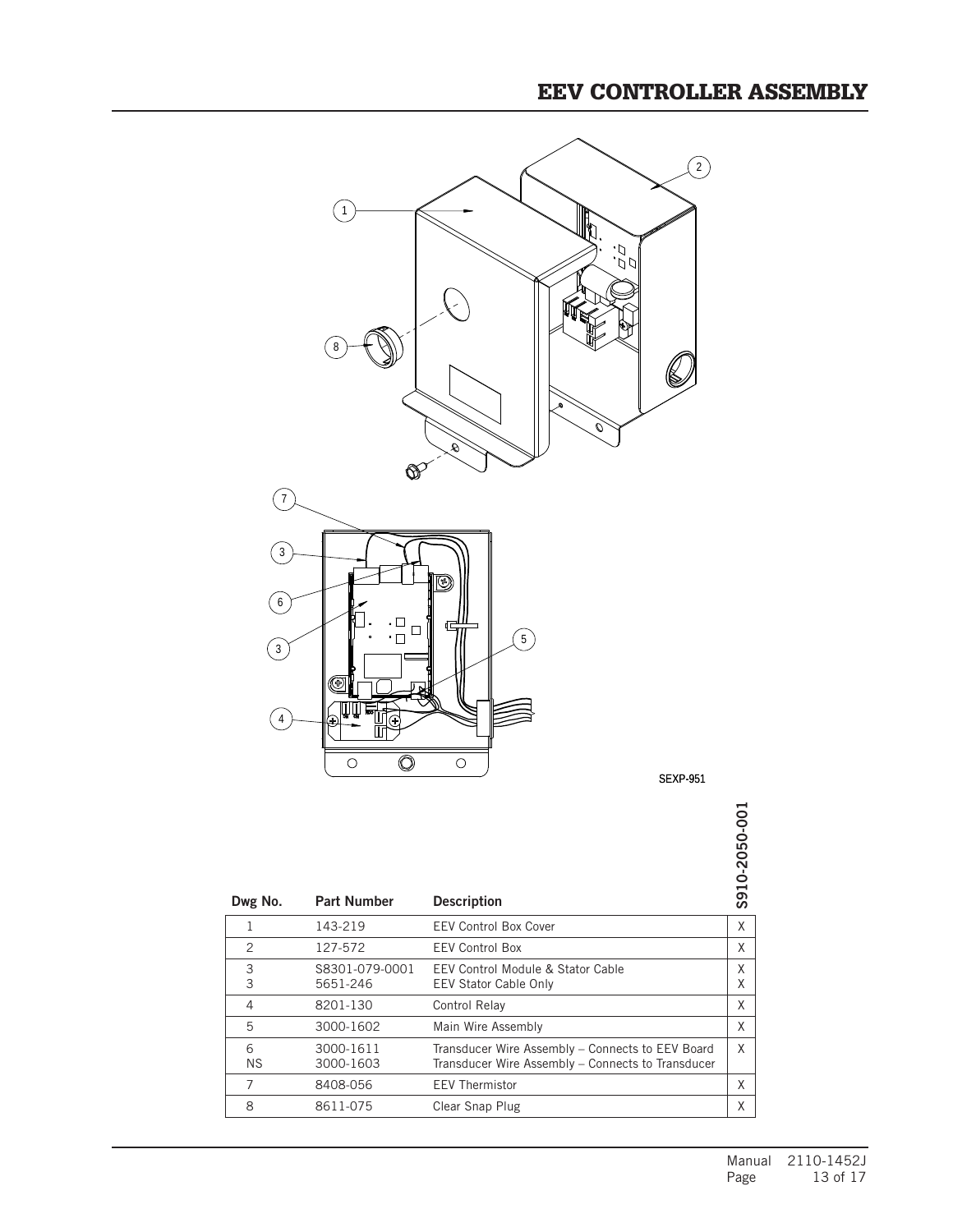#### EEV CONTROLLER ASSEMBLY

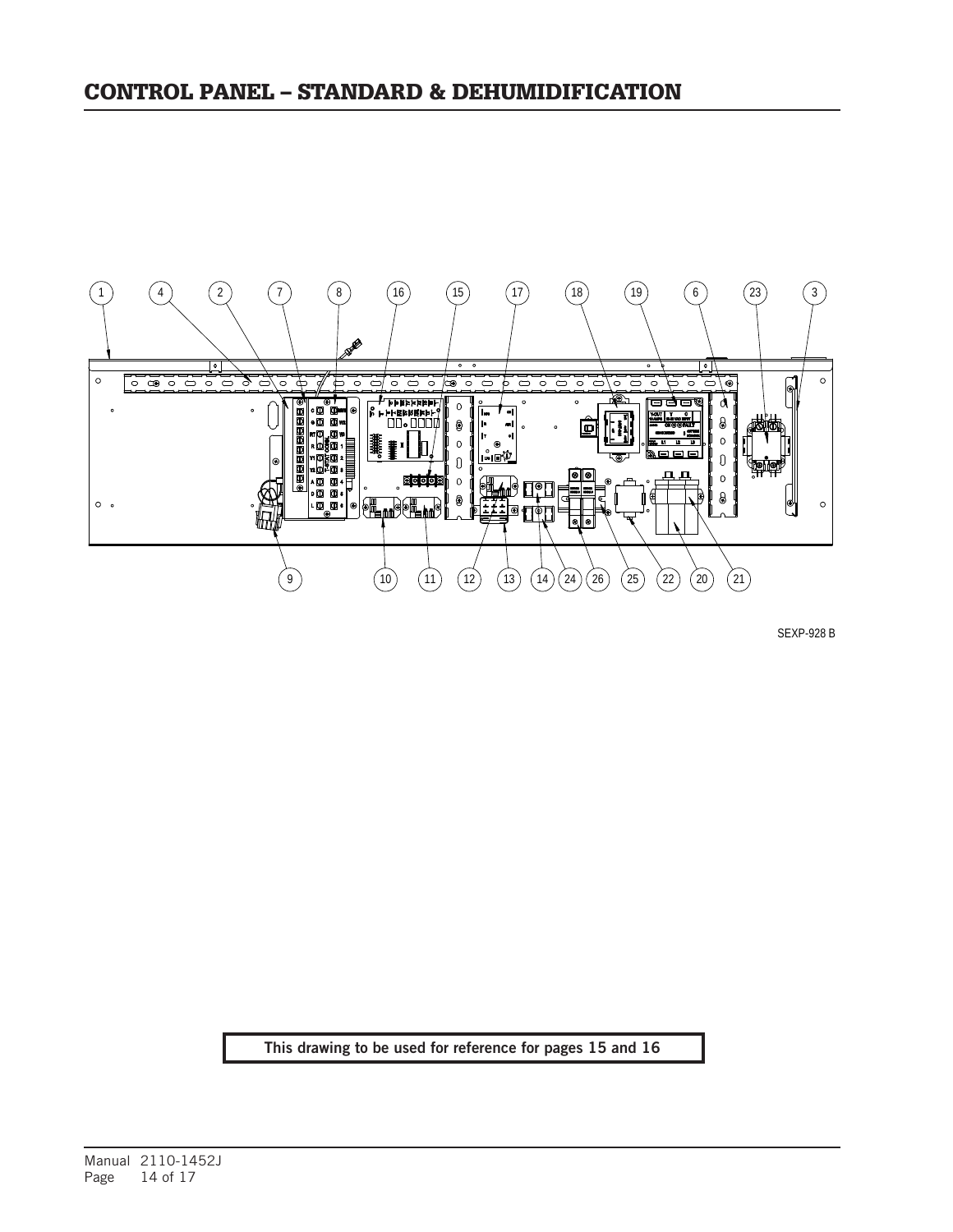

SEXP-928 B

This drawing to be used for reference for pages 15 and 16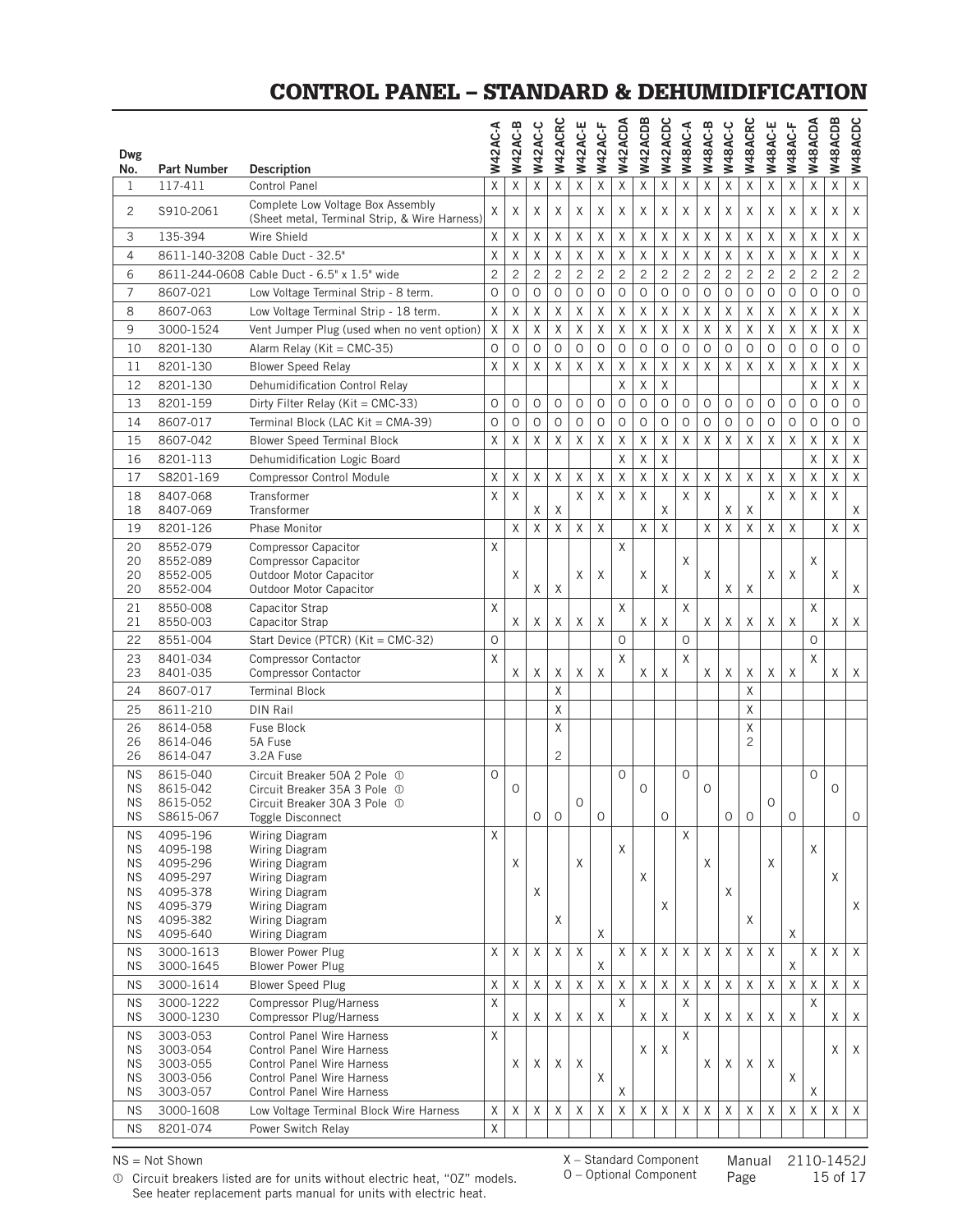#### CONTROL PANEL – STANDARD & DEHUMIDIFICATION

| X<br>$\mathsf X$<br>$\mathsf X$<br>$\mathsf{X}$<br>$\mathsf X$<br>$\mathsf X$<br>$\mathsf X$<br>Χ<br>$\mathsf X$<br>$\mathsf X$<br>$\mathsf X$<br>$\mathsf X$<br>$\mathsf X$<br>$\mathsf X$<br>Χ<br>Χ<br>χ<br>Χ<br>$\mathbf{1}$<br>117-411<br>Control Panel<br>Complete Low Voltage Box Assembly<br>Χ<br>X<br>X<br>X<br>X<br>Χ<br>Χ<br>X<br>Χ<br>X<br>$\overline{c}$<br>S910-2061<br>Χ<br>Χ<br>Χ<br>Χ<br>X<br>Χ<br>Χ<br>Χ<br>(Sheet metal, Terminal Strip, & Wire Harness)<br>Χ<br>$\sf X$<br>Χ<br>χ<br>$\mathsf X$<br>Χ<br>Χ<br>Χ<br>Χ<br>X<br>3<br>135-394<br>Wire Shield<br>Χ<br>Χ<br>X<br>X<br>Χ<br>Χ<br>Χ<br>Χ<br>$\mathsf X$<br>$\mathsf X$<br>Χ<br>$\mathsf X$<br>Χ<br>Χ<br>X<br>Χ<br>X<br>X<br>X<br>X<br>Χ<br>Χ<br>X<br>4<br>8611-140-3208 Cable Duct - 32.5"<br>Χ<br>Χ<br>X<br>$\overline{c}$<br>$\overline{c}$<br>$\overline{c}$<br>$\overline{c}$<br>$\overline{c}$<br>$\mathbf{2}$<br>$\overline{c}$<br>$\overline{c}$<br>$\overline{c}$<br>$\overline{c}$<br>$\overline{c}$<br>$\overline{c}$<br>$\overline{c}$<br>$\overline{c}$<br>$\overline{c}$<br>$\overline{c}$<br>$\overline{c}$<br>$\overline{c}$<br>6<br>8611-244-0608 Cable Duct - 6.5" x 1.5" wide<br>$\circ$<br>$\circ$<br>$\circ$<br>0<br>$\circ$<br>$\circ$<br>7<br>8607-021<br>O<br>0<br>0<br>$\circ$<br>$\circ$<br>$\circ$<br>$\circ$<br>$\circ$<br>$\circ$<br>$\circ$<br>$\circ$<br>0<br>Low Voltage Terminal Strip - 8 term.<br>$\mathsf X$<br>Χ<br>$\mathsf X$<br>χ<br>$\mathsf X$<br>Χ<br>Χ<br>X<br>Χ<br>Χ<br>X<br>Χ<br>X<br>Χ<br>Χ<br>8<br>8607-063<br>Low Voltage Terminal Strip - 18 term.<br>Χ<br>Χ<br>Χ<br>$\mathsf X$<br>$\mathsf X$<br>Χ<br>$\mathsf X$<br>$\mathsf X$<br>$\mathsf X$<br>Χ<br>Χ<br>9<br>X<br>X<br>Χ<br>X<br>Χ<br>X<br>Χ<br>X<br>3000-1524<br>Vent Jumper Plug (used when no vent option)<br>Χ<br>Χ<br>$\circ$<br>$\circ$<br>$\overline{O}$<br>$\overline{O}$<br>$\mathsf O$<br>$\circ$<br>$\circ$<br>$\circ$<br>$\circ$<br>0<br>$\Omega$<br>$\overline{O}$<br>$\circ$<br>0<br>$\circ$<br>$\circ$<br>$\circ$<br>10<br>8201-130<br>Alarm Relay ( $Kit = CMC-35$ )<br>$\circ$<br>Χ<br>Χ<br>$\mathsf X$<br>Χ<br>Χ<br>χ<br>$\mathsf X$<br>$\mathsf X$<br>Χ<br>Χ<br>Χ<br>Χ<br>$\mathsf X$<br>Χ<br>Χ<br>Χ<br>Χ<br>X<br>11<br>8201-130<br><b>Blower Speed Relay</b><br>Χ<br>X<br>Χ<br>Χ<br>Χ<br>X<br>12<br>8201-130<br>Dehumidification Control Relay<br>$\circ$<br>$\circ$<br>$\circ$<br>$\overline{O}$<br>$\circ$<br>0<br>$\mathsf O$<br>0<br>0<br>$\circ$<br>$\circ$<br>$\circ$<br>$\circ$<br>13<br>8201-159<br>0<br>O<br>0<br>$\circ$<br>O<br>Dirty Filter Relay (Kit = CMC-33)<br>$\mathsf O$<br>$\circ$<br>$\circ$<br>$\overline{O}$<br>$\overline{O}$<br>$\circ$<br>$\overline{O}$<br>$\circ$<br>$\circ$<br>$\circ$<br>0<br>0<br>$\circ$<br>$\circ$<br>$\circ$<br>$\circ$<br>14<br>8607-017<br>Terminal Block (LAC Kit = CMA-39)<br>$\circ$<br>$\circ$<br>Χ<br>Χ<br>$\sf X$<br>Χ<br>$\mathsf X$<br>$\mathsf X$<br>Χ<br>Χ<br>Χ<br>Χ<br>X<br>X<br>Χ<br>Χ<br>$\times$<br>X<br>Χ<br>Χ<br>15<br>8607-042<br><b>Blower Speed Terminal Block</b><br>$\chi$<br>Χ<br>Χ<br>Χ<br>Χ<br>Χ<br>16<br>8201-113<br>Dehumidification Logic Board<br>$\sf X$<br>$\mathsf X$<br>$\mathsf X$<br>$\mathsf X$<br>$\mathsf X$<br>$\sf X$<br>Χ<br>Χ<br>$\mathsf X$<br>17<br>Χ<br>Χ<br>X<br>Χ<br>X<br>Χ<br>X<br>Χ<br>Χ<br>S8201-169<br><b>Compressor Control Module</b><br>X<br>Χ<br>X<br>$\sf X$<br>$\mathsf X$<br>$\sf X$<br>Χ<br>X<br>X<br>Χ<br>X<br>X<br>18<br>8407-068<br>Transformer<br>18<br>Transformer<br>Χ<br>Χ<br>X<br>8407-069<br>Χ<br>Χ<br>Χ<br>Χ<br>Χ<br>X<br>X<br>X<br>X<br>Χ<br>X<br>Χ<br>Χ<br>X<br>X<br>X<br>X<br>19<br>8201-126<br><b>Phase Monitor</b><br>X<br>20<br>8552-079<br>Compressor Capacitor<br>Χ<br>Χ<br>Χ<br>20<br>8552-089<br><b>Compressor Capacitor</b><br>X<br>X<br>X<br>X<br>20<br>X<br>Χ<br>X<br>Χ<br>8552-005<br>Outdoor Motor Capacitor<br>X<br>20<br>Χ<br>Χ<br>Χ<br>Χ<br>8552-004<br>Outdoor Motor Capacitor<br>Χ<br>X<br>X<br>X<br>X<br>21<br>8550-008<br>Capacitor Strap<br>X<br>21<br>Χ<br>Χ<br>X<br>X<br>X<br>X<br>Χ<br>X<br>Χ<br>8550-003<br>Capacitor Strap<br>X<br>Χ<br>Χ<br>Χ<br>0<br>O<br>$\Omega$<br>22<br>Start Device (PTCR) (Kit = CMC-32)<br>$\Omega$<br>8551-004<br>$\sf X$<br>$\mathsf{X}$<br>X<br>X<br>23<br>8401-034<br><b>Compressor Contactor</b><br>X<br>23<br>X<br>Χ<br>X<br>X<br>X<br>X<br>Χ<br>Χ<br>X<br>X<br>X<br>Χ<br>8401-035<br><b>Compressor Contactor</b><br>X<br>X<br>X<br>24<br>8607-017<br><b>Terminal Block</b><br>X<br>X<br>25<br>8611-210<br><b>DIN Rail</b><br>Χ<br>Χ<br>26<br>8614-058<br>Fuse Block<br>26<br>8614-046<br>5A Fuse<br>2<br>3.2A Fuse<br>2<br>26<br>8614-047<br><b>NS</b><br>8615-040<br>Circuit Breaker 50A 2 Pole ①<br>$\Omega$<br>0<br>$\circ$<br>$\Omega$<br><b>NS</b><br>Circuit Breaker 35A 3 Pole ①<br>8615-042<br>0<br>0<br>0<br>0<br>0<br><b>NS</b><br>8615-052<br>Circuit Breaker 30A 3 Pole ①<br>0<br>0<br>$\circ$<br>$\circ$<br>$\circ$<br>$\circ$<br><b>NS</b><br>S8615-06/<br>Toggle Disconnect<br>U<br>U<br>O<br>X<br>X<br><b>NS</b><br>4095-196<br>Wiring Diagram<br>X<br><b>NS</b><br>4095-198<br>X<br>Wiring Diagram<br>4095-296<br>Χ<br>X<br>X<br>X<br><b>NS</b><br>Wiring Diagram<br>X<br>Χ<br><b>NS</b><br>4095-297<br>Wiring Diagram<br>X<br><b>NS</b><br>4095-378<br>Wiring Diagram<br>Χ<br><b>NS</b><br>4095-379<br>Wiring Diagram<br>X<br>Χ<br><b>NS</b><br>Χ<br>4095-382<br>Wiring Diagram<br>X<br>X<br>X<br><b>NS</b><br>4095-640<br>Wiring Diagram<br>$\sf X$<br>$\times$<br>3000-1613<br><b>Blower Power Plug</b><br>X<br>X<br>X<br>X<br>X<br>X<br>X<br>Χ<br>X<br>X<br><b>NS</b><br>Χ<br>Χ<br>X<br>Χ<br><b>NS</b><br>3000-1645<br><b>Blower Power Plug</b><br>Χ<br>Χ<br>$\sf X$<br>$\mathsf X$<br>$\mathsf X$<br>$\mathsf X$<br>$\sf X$<br>Χ<br>X<br>X<br>X<br>X<br>X<br>X<br>Χ<br>Χ<br>Χ<br>X<br>X<br>X<br><b>NS</b><br>3000-1614<br><b>Blower Speed Plug</b><br>$\sf X$<br>X<br>X<br>X<br><b>NS</b><br>3000-1222<br><b>Compressor Plug/Harness</b><br>3000-1230<br>Χ<br>Χ<br>Χ<br>Χ<br>X<br>Χ<br>Χ<br>Χ<br><b>NS</b><br><b>Compressor Plug/Harness</b><br>X<br>X<br>Χ<br>Χ<br>Χ<br>Χ<br>X<br>Χ<br><b>NS</b><br>3003-053<br><b>Control Panel Wire Harness</b><br>3003-054<br>Control Panel Wire Harness<br>X<br><b>NS</b><br>X<br>X<br>Χ<br>Χ<br>3003-055<br>Χ<br>X<br><b>NS</b><br><b>Control Panel Wire Harness</b><br>Χ<br>Χ<br>Χ<br>Χ<br>Χ<br>Χ<br>Χ<br><b>Control Panel Wire Harness</b><br><b>NS</b><br>3003-056<br>Χ<br>Χ<br><b>NS</b><br>3003-057<br><b>Control Panel Wire Harness</b><br>$\mathsf X$<br>X<br>X<br>Χ<br>X<br>X<br>X<br>X<br>Χ<br>X<br>Χ<br>Χ<br>X<br>X<br>X<br>X<br><b>NS</b><br>3000-1608<br>Low Voltage Terminal Block Wire Harness<br>X<br>X<br>X<br><b>NS</b><br>8201-074<br>Power Switch Relay | Dwg |                    |                    | <b>W42AC-A</b> | <b>W42AC-B</b> | <b>W42AC-C</b> | W42ACRC | W42AC-E | <b>W42AC-F</b> | W42ACDA | W42ACDB | W42ACDC | W48AC-A | W48AC-B | W48AC-C | W48ACRC | W48AC-E | W48AC-F | W48ACDA | W48ACDB | W48ACDC |
|-----------------------------------------------------------------------------------------------------------------------------------------------------------------------------------------------------------------------------------------------------------------------------------------------------------------------------------------------------------------------------------------------------------------------------------------------------------------------------------------------------------------------------------------------------------------------------------------------------------------------------------------------------------------------------------------------------------------------------------------------------------------------------------------------------------------------------------------------------------------------------------------------------------------------------------------------------------------------------------------------------------------------------------------------------------------------------------------------------------------------------------------------------------------------------------------------------------------------------------------------------------------------------------------------------------------------------------------------------------------------------------------------------------------------------------------------------------------------------------------------------------------------------------------------------------------------------------------------------------------------------------------------------------------------------------------------------------------------------------------------------------------------------------------------------------------------------------------------------------------------------------------------------------------------------------------------------------------------------------------------------------------------------------------------------------------------------------------------------------------------------------------------------------------------------------------------------------------------------------------------------------------------------------------------------------------------------------------------------------------------------------------------------------------------------------------------------------------------------------------------------------------------------------------------------------------------------------------------------------------------------------------------------------------------------------------------------------------------------------------------------------------------------------------------------------------------------------------------------------------------------------------------------------------------------------------------------------------------------------------------------------------------------------------------------------------------------------------------------------------------------------------------------------------------------------------------------------------------------------------------------------------------------------------------------------------------------------------------------------------------------------------------------------------------------------------------------------------------------------------------------------------------------------------------------------------------------------------------------------------------------------------------------------------------------------------------------------------------------------------------------------------------------------------------------------------------------------------------------------------------------------------------------------------------------------------------------------------------------------------------------------------------------------------------------------------------------------------------------------------------------------------------------------------------------------------------------------------------------------------------------------------------------------------------------------------------------------------------------------------------------------------------------------------------------------------------------------------------------------------------------------------------------------------------------------------------------------------------------------------------------------------------------------------------------------------------------------------------------------------------------------------------------------------------------------------------------------------------------------------------------------------------------------------------------------------------------------------------------------------------------------------------------------------------------------------------------------------------------------------------------------------------------------------------------------------------------------------------------------------------------------------------------------------------------------------------------------------------------------------------------------------------------------------------------------------------------------------------------------------------------------------------------------------------------------------------------------------------------------------------------------------------------------------------------------------------------------------------------------------------------------------------------------------------------------------------------------------------------------------------------------------------------------------------------------------------------------------------------------------------------------------------------------------------------------------------------------------------------------------------------------------------------------------------------------------------------------------------------------------------------------------------------------------------------------------------------------------------------------------------------------------------------------------------------------------------------------------------------------------------------------------------------------------------------------------------------------------------------------------------------------------------------------------------------------------------------------------------------------|-----|--------------------|--------------------|----------------|----------------|----------------|---------|---------|----------------|---------|---------|---------|---------|---------|---------|---------|---------|---------|---------|---------|---------|
|                                                                                                                                                                                                                                                                                                                                                                                                                                                                                                                                                                                                                                                                                                                                                                                                                                                                                                                                                                                                                                                                                                                                                                                                                                                                                                                                                                                                                                                                                                                                                                                                                                                                                                                                                                                                                                                                                                                                                                                                                                                                                                                                                                                                                                                                                                                                                                                                                                                                                                                                                                                                                                                                                                                                                                                                                                                                                                                                                                                                                                                                                                                                                                                                                                                                                                                                                                                                                                                                                                                                                                                                                                                                                                                                                                                                                                                                                                                                                                                                                                                                                                                                                                                                                                                                                                                                                                                                                                                                                                                                                                                                                                                                                                                                                                                                                                                                                                                                                                                                                                                                                                                                                                                                                                                                                                                                                                                                                                                                                                                                                                                                                                                                                                                                                                                                                                                                                                                                                                                                                                                                                                                                                                                                                                                                                                                                                                                                                                                                                                                                                                                                                                                                                                                                   | No. | <b>Part Number</b> | <b>Description</b> |                |                |                |         |         |                |         |         |         |         |         |         |         |         |         |         |         |         |
|                                                                                                                                                                                                                                                                                                                                                                                                                                                                                                                                                                                                                                                                                                                                                                                                                                                                                                                                                                                                                                                                                                                                                                                                                                                                                                                                                                                                                                                                                                                                                                                                                                                                                                                                                                                                                                                                                                                                                                                                                                                                                                                                                                                                                                                                                                                                                                                                                                                                                                                                                                                                                                                                                                                                                                                                                                                                                                                                                                                                                                                                                                                                                                                                                                                                                                                                                                                                                                                                                                                                                                                                                                                                                                                                                                                                                                                                                                                                                                                                                                                                                                                                                                                                                                                                                                                                                                                                                                                                                                                                                                                                                                                                                                                                                                                                                                                                                                                                                                                                                                                                                                                                                                                                                                                                                                                                                                                                                                                                                                                                                                                                                                                                                                                                                                                                                                                                                                                                                                                                                                                                                                                                                                                                                                                                                                                                                                                                                                                                                                                                                                                                                                                                                                                                   |     |                    |                    |                |                |                |         |         |                |         |         |         |         |         |         |         |         |         |         |         |         |
|                                                                                                                                                                                                                                                                                                                                                                                                                                                                                                                                                                                                                                                                                                                                                                                                                                                                                                                                                                                                                                                                                                                                                                                                                                                                                                                                                                                                                                                                                                                                                                                                                                                                                                                                                                                                                                                                                                                                                                                                                                                                                                                                                                                                                                                                                                                                                                                                                                                                                                                                                                                                                                                                                                                                                                                                                                                                                                                                                                                                                                                                                                                                                                                                                                                                                                                                                                                                                                                                                                                                                                                                                                                                                                                                                                                                                                                                                                                                                                                                                                                                                                                                                                                                                                                                                                                                                                                                                                                                                                                                                                                                                                                                                                                                                                                                                                                                                                                                                                                                                                                                                                                                                                                                                                                                                                                                                                                                                                                                                                                                                                                                                                                                                                                                                                                                                                                                                                                                                                                                                                                                                                                                                                                                                                                                                                                                                                                                                                                                                                                                                                                                                                                                                                                                   |     |                    |                    |                |                |                |         |         |                |         |         |         |         |         |         |         |         |         |         |         |         |
|                                                                                                                                                                                                                                                                                                                                                                                                                                                                                                                                                                                                                                                                                                                                                                                                                                                                                                                                                                                                                                                                                                                                                                                                                                                                                                                                                                                                                                                                                                                                                                                                                                                                                                                                                                                                                                                                                                                                                                                                                                                                                                                                                                                                                                                                                                                                                                                                                                                                                                                                                                                                                                                                                                                                                                                                                                                                                                                                                                                                                                                                                                                                                                                                                                                                                                                                                                                                                                                                                                                                                                                                                                                                                                                                                                                                                                                                                                                                                                                                                                                                                                                                                                                                                                                                                                                                                                                                                                                                                                                                                                                                                                                                                                                                                                                                                                                                                                                                                                                                                                                                                                                                                                                                                                                                                                                                                                                                                                                                                                                                                                                                                                                                                                                                                                                                                                                                                                                                                                                                                                                                                                                                                                                                                                                                                                                                                                                                                                                                                                                                                                                                                                                                                                                                   |     |                    |                    |                |                |                |         |         |                |         |         |         |         |         |         |         |         |         |         |         |         |
|                                                                                                                                                                                                                                                                                                                                                                                                                                                                                                                                                                                                                                                                                                                                                                                                                                                                                                                                                                                                                                                                                                                                                                                                                                                                                                                                                                                                                                                                                                                                                                                                                                                                                                                                                                                                                                                                                                                                                                                                                                                                                                                                                                                                                                                                                                                                                                                                                                                                                                                                                                                                                                                                                                                                                                                                                                                                                                                                                                                                                                                                                                                                                                                                                                                                                                                                                                                                                                                                                                                                                                                                                                                                                                                                                                                                                                                                                                                                                                                                                                                                                                                                                                                                                                                                                                                                                                                                                                                                                                                                                                                                                                                                                                                                                                                                                                                                                                                                                                                                                                                                                                                                                                                                                                                                                                                                                                                                                                                                                                                                                                                                                                                                                                                                                                                                                                                                                                                                                                                                                                                                                                                                                                                                                                                                                                                                                                                                                                                                                                                                                                                                                                                                                                                                   |     |                    |                    |                |                |                |         |         |                |         |         |         |         |         |         |         |         |         |         |         |         |
|                                                                                                                                                                                                                                                                                                                                                                                                                                                                                                                                                                                                                                                                                                                                                                                                                                                                                                                                                                                                                                                                                                                                                                                                                                                                                                                                                                                                                                                                                                                                                                                                                                                                                                                                                                                                                                                                                                                                                                                                                                                                                                                                                                                                                                                                                                                                                                                                                                                                                                                                                                                                                                                                                                                                                                                                                                                                                                                                                                                                                                                                                                                                                                                                                                                                                                                                                                                                                                                                                                                                                                                                                                                                                                                                                                                                                                                                                                                                                                                                                                                                                                                                                                                                                                                                                                                                                                                                                                                                                                                                                                                                                                                                                                                                                                                                                                                                                                                                                                                                                                                                                                                                                                                                                                                                                                                                                                                                                                                                                                                                                                                                                                                                                                                                                                                                                                                                                                                                                                                                                                                                                                                                                                                                                                                                                                                                                                                                                                                                                                                                                                                                                                                                                                                                   |     |                    |                    |                |                |                |         |         |                |         |         |         |         |         |         |         |         |         |         |         |         |
|                                                                                                                                                                                                                                                                                                                                                                                                                                                                                                                                                                                                                                                                                                                                                                                                                                                                                                                                                                                                                                                                                                                                                                                                                                                                                                                                                                                                                                                                                                                                                                                                                                                                                                                                                                                                                                                                                                                                                                                                                                                                                                                                                                                                                                                                                                                                                                                                                                                                                                                                                                                                                                                                                                                                                                                                                                                                                                                                                                                                                                                                                                                                                                                                                                                                                                                                                                                                                                                                                                                                                                                                                                                                                                                                                                                                                                                                                                                                                                                                                                                                                                                                                                                                                                                                                                                                                                                                                                                                                                                                                                                                                                                                                                                                                                                                                                                                                                                                                                                                                                                                                                                                                                                                                                                                                                                                                                                                                                                                                                                                                                                                                                                                                                                                                                                                                                                                                                                                                                                                                                                                                                                                                                                                                                                                                                                                                                                                                                                                                                                                                                                                                                                                                                                                   |     |                    |                    |                |                |                |         |         |                |         |         |         |         |         |         |         |         |         |         |         |         |
|                                                                                                                                                                                                                                                                                                                                                                                                                                                                                                                                                                                                                                                                                                                                                                                                                                                                                                                                                                                                                                                                                                                                                                                                                                                                                                                                                                                                                                                                                                                                                                                                                                                                                                                                                                                                                                                                                                                                                                                                                                                                                                                                                                                                                                                                                                                                                                                                                                                                                                                                                                                                                                                                                                                                                                                                                                                                                                                                                                                                                                                                                                                                                                                                                                                                                                                                                                                                                                                                                                                                                                                                                                                                                                                                                                                                                                                                                                                                                                                                                                                                                                                                                                                                                                                                                                                                                                                                                                                                                                                                                                                                                                                                                                                                                                                                                                                                                                                                                                                                                                                                                                                                                                                                                                                                                                                                                                                                                                                                                                                                                                                                                                                                                                                                                                                                                                                                                                                                                                                                                                                                                                                                                                                                                                                                                                                                                                                                                                                                                                                                                                                                                                                                                                                                   |     |                    |                    |                |                |                |         |         |                |         |         |         |         |         |         |         |         |         |         |         |         |
|                                                                                                                                                                                                                                                                                                                                                                                                                                                                                                                                                                                                                                                                                                                                                                                                                                                                                                                                                                                                                                                                                                                                                                                                                                                                                                                                                                                                                                                                                                                                                                                                                                                                                                                                                                                                                                                                                                                                                                                                                                                                                                                                                                                                                                                                                                                                                                                                                                                                                                                                                                                                                                                                                                                                                                                                                                                                                                                                                                                                                                                                                                                                                                                                                                                                                                                                                                                                                                                                                                                                                                                                                                                                                                                                                                                                                                                                                                                                                                                                                                                                                                                                                                                                                                                                                                                                                                                                                                                                                                                                                                                                                                                                                                                                                                                                                                                                                                                                                                                                                                                                                                                                                                                                                                                                                                                                                                                                                                                                                                                                                                                                                                                                                                                                                                                                                                                                                                                                                                                                                                                                                                                                                                                                                                                                                                                                                                                                                                                                                                                                                                                                                                                                                                                                   |     |                    |                    |                |                |                |         |         |                |         |         |         |         |         |         |         |         |         |         |         |         |
|                                                                                                                                                                                                                                                                                                                                                                                                                                                                                                                                                                                                                                                                                                                                                                                                                                                                                                                                                                                                                                                                                                                                                                                                                                                                                                                                                                                                                                                                                                                                                                                                                                                                                                                                                                                                                                                                                                                                                                                                                                                                                                                                                                                                                                                                                                                                                                                                                                                                                                                                                                                                                                                                                                                                                                                                                                                                                                                                                                                                                                                                                                                                                                                                                                                                                                                                                                                                                                                                                                                                                                                                                                                                                                                                                                                                                                                                                                                                                                                                                                                                                                                                                                                                                                                                                                                                                                                                                                                                                                                                                                                                                                                                                                                                                                                                                                                                                                                                                                                                                                                                                                                                                                                                                                                                                                                                                                                                                                                                                                                                                                                                                                                                                                                                                                                                                                                                                                                                                                                                                                                                                                                                                                                                                                                                                                                                                                                                                                                                                                                                                                                                                                                                                                                                   |     |                    |                    |                |                |                |         |         |                |         |         |         |         |         |         |         |         |         |         |         |         |
|                                                                                                                                                                                                                                                                                                                                                                                                                                                                                                                                                                                                                                                                                                                                                                                                                                                                                                                                                                                                                                                                                                                                                                                                                                                                                                                                                                                                                                                                                                                                                                                                                                                                                                                                                                                                                                                                                                                                                                                                                                                                                                                                                                                                                                                                                                                                                                                                                                                                                                                                                                                                                                                                                                                                                                                                                                                                                                                                                                                                                                                                                                                                                                                                                                                                                                                                                                                                                                                                                                                                                                                                                                                                                                                                                                                                                                                                                                                                                                                                                                                                                                                                                                                                                                                                                                                                                                                                                                                                                                                                                                                                                                                                                                                                                                                                                                                                                                                                                                                                                                                                                                                                                                                                                                                                                                                                                                                                                                                                                                                                                                                                                                                                                                                                                                                                                                                                                                                                                                                                                                                                                                                                                                                                                                                                                                                                                                                                                                                                                                                                                                                                                                                                                                                                   |     |                    |                    |                |                |                |         |         |                |         |         |         |         |         |         |         |         |         |         |         |         |
|                                                                                                                                                                                                                                                                                                                                                                                                                                                                                                                                                                                                                                                                                                                                                                                                                                                                                                                                                                                                                                                                                                                                                                                                                                                                                                                                                                                                                                                                                                                                                                                                                                                                                                                                                                                                                                                                                                                                                                                                                                                                                                                                                                                                                                                                                                                                                                                                                                                                                                                                                                                                                                                                                                                                                                                                                                                                                                                                                                                                                                                                                                                                                                                                                                                                                                                                                                                                                                                                                                                                                                                                                                                                                                                                                                                                                                                                                                                                                                                                                                                                                                                                                                                                                                                                                                                                                                                                                                                                                                                                                                                                                                                                                                                                                                                                                                                                                                                                                                                                                                                                                                                                                                                                                                                                                                                                                                                                                                                                                                                                                                                                                                                                                                                                                                                                                                                                                                                                                                                                                                                                                                                                                                                                                                                                                                                                                                                                                                                                                                                                                                                                                                                                                                                                   |     |                    |                    |                |                |                |         |         |                |         |         |         |         |         |         |         |         |         |         |         |         |
|                                                                                                                                                                                                                                                                                                                                                                                                                                                                                                                                                                                                                                                                                                                                                                                                                                                                                                                                                                                                                                                                                                                                                                                                                                                                                                                                                                                                                                                                                                                                                                                                                                                                                                                                                                                                                                                                                                                                                                                                                                                                                                                                                                                                                                                                                                                                                                                                                                                                                                                                                                                                                                                                                                                                                                                                                                                                                                                                                                                                                                                                                                                                                                                                                                                                                                                                                                                                                                                                                                                                                                                                                                                                                                                                                                                                                                                                                                                                                                                                                                                                                                                                                                                                                                                                                                                                                                                                                                                                                                                                                                                                                                                                                                                                                                                                                                                                                                                                                                                                                                                                                                                                                                                                                                                                                                                                                                                                                                                                                                                                                                                                                                                                                                                                                                                                                                                                                                                                                                                                                                                                                                                                                                                                                                                                                                                                                                                                                                                                                                                                                                                                                                                                                                                                   |     |                    |                    |                |                |                |         |         |                |         |         |         |         |         |         |         |         |         |         |         |         |
|                                                                                                                                                                                                                                                                                                                                                                                                                                                                                                                                                                                                                                                                                                                                                                                                                                                                                                                                                                                                                                                                                                                                                                                                                                                                                                                                                                                                                                                                                                                                                                                                                                                                                                                                                                                                                                                                                                                                                                                                                                                                                                                                                                                                                                                                                                                                                                                                                                                                                                                                                                                                                                                                                                                                                                                                                                                                                                                                                                                                                                                                                                                                                                                                                                                                                                                                                                                                                                                                                                                                                                                                                                                                                                                                                                                                                                                                                                                                                                                                                                                                                                                                                                                                                                                                                                                                                                                                                                                                                                                                                                                                                                                                                                                                                                                                                                                                                                                                                                                                                                                                                                                                                                                                                                                                                                                                                                                                                                                                                                                                                                                                                                                                                                                                                                                                                                                                                                                                                                                                                                                                                                                                                                                                                                                                                                                                                                                                                                                                                                                                                                                                                                                                                                                                   |     |                    |                    |                |                |                |         |         |                |         |         |         |         |         |         |         |         |         |         |         |         |
|                                                                                                                                                                                                                                                                                                                                                                                                                                                                                                                                                                                                                                                                                                                                                                                                                                                                                                                                                                                                                                                                                                                                                                                                                                                                                                                                                                                                                                                                                                                                                                                                                                                                                                                                                                                                                                                                                                                                                                                                                                                                                                                                                                                                                                                                                                                                                                                                                                                                                                                                                                                                                                                                                                                                                                                                                                                                                                                                                                                                                                                                                                                                                                                                                                                                                                                                                                                                                                                                                                                                                                                                                                                                                                                                                                                                                                                                                                                                                                                                                                                                                                                                                                                                                                                                                                                                                                                                                                                                                                                                                                                                                                                                                                                                                                                                                                                                                                                                                                                                                                                                                                                                                                                                                                                                                                                                                                                                                                                                                                                                                                                                                                                                                                                                                                                                                                                                                                                                                                                                                                                                                                                                                                                                                                                                                                                                                                                                                                                                                                                                                                                                                                                                                                                                   |     |                    |                    |                |                |                |         |         |                |         |         |         |         |         |         |         |         |         |         |         |         |
|                                                                                                                                                                                                                                                                                                                                                                                                                                                                                                                                                                                                                                                                                                                                                                                                                                                                                                                                                                                                                                                                                                                                                                                                                                                                                                                                                                                                                                                                                                                                                                                                                                                                                                                                                                                                                                                                                                                                                                                                                                                                                                                                                                                                                                                                                                                                                                                                                                                                                                                                                                                                                                                                                                                                                                                                                                                                                                                                                                                                                                                                                                                                                                                                                                                                                                                                                                                                                                                                                                                                                                                                                                                                                                                                                                                                                                                                                                                                                                                                                                                                                                                                                                                                                                                                                                                                                                                                                                                                                                                                                                                                                                                                                                                                                                                                                                                                                                                                                                                                                                                                                                                                                                                                                                                                                                                                                                                                                                                                                                                                                                                                                                                                                                                                                                                                                                                                                                                                                                                                                                                                                                                                                                                                                                                                                                                                                                                                                                                                                                                                                                                                                                                                                                                                   |     |                    |                    |                |                |                |         |         |                |         |         |         |         |         |         |         |         |         |         |         |         |
|                                                                                                                                                                                                                                                                                                                                                                                                                                                                                                                                                                                                                                                                                                                                                                                                                                                                                                                                                                                                                                                                                                                                                                                                                                                                                                                                                                                                                                                                                                                                                                                                                                                                                                                                                                                                                                                                                                                                                                                                                                                                                                                                                                                                                                                                                                                                                                                                                                                                                                                                                                                                                                                                                                                                                                                                                                                                                                                                                                                                                                                                                                                                                                                                                                                                                                                                                                                                                                                                                                                                                                                                                                                                                                                                                                                                                                                                                                                                                                                                                                                                                                                                                                                                                                                                                                                                                                                                                                                                                                                                                                                                                                                                                                                                                                                                                                                                                                                                                                                                                                                                                                                                                                                                                                                                                                                                                                                                                                                                                                                                                                                                                                                                                                                                                                                                                                                                                                                                                                                                                                                                                                                                                                                                                                                                                                                                                                                                                                                                                                                                                                                                                                                                                                                                   |     |                    |                    |                |                |                |         |         |                |         |         |         |         |         |         |         |         |         |         |         |         |
|                                                                                                                                                                                                                                                                                                                                                                                                                                                                                                                                                                                                                                                                                                                                                                                                                                                                                                                                                                                                                                                                                                                                                                                                                                                                                                                                                                                                                                                                                                                                                                                                                                                                                                                                                                                                                                                                                                                                                                                                                                                                                                                                                                                                                                                                                                                                                                                                                                                                                                                                                                                                                                                                                                                                                                                                                                                                                                                                                                                                                                                                                                                                                                                                                                                                                                                                                                                                                                                                                                                                                                                                                                                                                                                                                                                                                                                                                                                                                                                                                                                                                                                                                                                                                                                                                                                                                                                                                                                                                                                                                                                                                                                                                                                                                                                                                                                                                                                                                                                                                                                                                                                                                                                                                                                                                                                                                                                                                                                                                                                                                                                                                                                                                                                                                                                                                                                                                                                                                                                                                                                                                                                                                                                                                                                                                                                                                                                                                                                                                                                                                                                                                                                                                                                                   |     |                    |                    |                |                |                |         |         |                |         |         |         |         |         |         |         |         |         |         |         |         |
|                                                                                                                                                                                                                                                                                                                                                                                                                                                                                                                                                                                                                                                                                                                                                                                                                                                                                                                                                                                                                                                                                                                                                                                                                                                                                                                                                                                                                                                                                                                                                                                                                                                                                                                                                                                                                                                                                                                                                                                                                                                                                                                                                                                                                                                                                                                                                                                                                                                                                                                                                                                                                                                                                                                                                                                                                                                                                                                                                                                                                                                                                                                                                                                                                                                                                                                                                                                                                                                                                                                                                                                                                                                                                                                                                                                                                                                                                                                                                                                                                                                                                                                                                                                                                                                                                                                                                                                                                                                                                                                                                                                                                                                                                                                                                                                                                                                                                                                                                                                                                                                                                                                                                                                                                                                                                                                                                                                                                                                                                                                                                                                                                                                                                                                                                                                                                                                                                                                                                                                                                                                                                                                                                                                                                                                                                                                                                                                                                                                                                                                                                                                                                                                                                                                                   |     |                    |                    |                |                |                |         |         |                |         |         |         |         |         |         |         |         |         |         |         |         |
|                                                                                                                                                                                                                                                                                                                                                                                                                                                                                                                                                                                                                                                                                                                                                                                                                                                                                                                                                                                                                                                                                                                                                                                                                                                                                                                                                                                                                                                                                                                                                                                                                                                                                                                                                                                                                                                                                                                                                                                                                                                                                                                                                                                                                                                                                                                                                                                                                                                                                                                                                                                                                                                                                                                                                                                                                                                                                                                                                                                                                                                                                                                                                                                                                                                                                                                                                                                                                                                                                                                                                                                                                                                                                                                                                                                                                                                                                                                                                                                                                                                                                                                                                                                                                                                                                                                                                                                                                                                                                                                                                                                                                                                                                                                                                                                                                                                                                                                                                                                                                                                                                                                                                                                                                                                                                                                                                                                                                                                                                                                                                                                                                                                                                                                                                                                                                                                                                                                                                                                                                                                                                                                                                                                                                                                                                                                                                                                                                                                                                                                                                                                                                                                                                                                                   |     |                    |                    |                |                |                |         |         |                |         |         |         |         |         |         |         |         |         |         |         |         |
|                                                                                                                                                                                                                                                                                                                                                                                                                                                                                                                                                                                                                                                                                                                                                                                                                                                                                                                                                                                                                                                                                                                                                                                                                                                                                                                                                                                                                                                                                                                                                                                                                                                                                                                                                                                                                                                                                                                                                                                                                                                                                                                                                                                                                                                                                                                                                                                                                                                                                                                                                                                                                                                                                                                                                                                                                                                                                                                                                                                                                                                                                                                                                                                                                                                                                                                                                                                                                                                                                                                                                                                                                                                                                                                                                                                                                                                                                                                                                                                                                                                                                                                                                                                                                                                                                                                                                                                                                                                                                                                                                                                                                                                                                                                                                                                                                                                                                                                                                                                                                                                                                                                                                                                                                                                                                                                                                                                                                                                                                                                                                                                                                                                                                                                                                                                                                                                                                                                                                                                                                                                                                                                                                                                                                                                                                                                                                                                                                                                                                                                                                                                                                                                                                                                                   |     |                    |                    |                |                |                |         |         |                |         |         |         |         |         |         |         |         |         |         |         |         |
|                                                                                                                                                                                                                                                                                                                                                                                                                                                                                                                                                                                                                                                                                                                                                                                                                                                                                                                                                                                                                                                                                                                                                                                                                                                                                                                                                                                                                                                                                                                                                                                                                                                                                                                                                                                                                                                                                                                                                                                                                                                                                                                                                                                                                                                                                                                                                                                                                                                                                                                                                                                                                                                                                                                                                                                                                                                                                                                                                                                                                                                                                                                                                                                                                                                                                                                                                                                                                                                                                                                                                                                                                                                                                                                                                                                                                                                                                                                                                                                                                                                                                                                                                                                                                                                                                                                                                                                                                                                                                                                                                                                                                                                                                                                                                                                                                                                                                                                                                                                                                                                                                                                                                                                                                                                                                                                                                                                                                                                                                                                                                                                                                                                                                                                                                                                                                                                                                                                                                                                                                                                                                                                                                                                                                                                                                                                                                                                                                                                                                                                                                                                                                                                                                                                                   |     |                    |                    |                |                |                |         |         |                |         |         |         |         |         |         |         |         |         |         |         |         |
|                                                                                                                                                                                                                                                                                                                                                                                                                                                                                                                                                                                                                                                                                                                                                                                                                                                                                                                                                                                                                                                                                                                                                                                                                                                                                                                                                                                                                                                                                                                                                                                                                                                                                                                                                                                                                                                                                                                                                                                                                                                                                                                                                                                                                                                                                                                                                                                                                                                                                                                                                                                                                                                                                                                                                                                                                                                                                                                                                                                                                                                                                                                                                                                                                                                                                                                                                                                                                                                                                                                                                                                                                                                                                                                                                                                                                                                                                                                                                                                                                                                                                                                                                                                                                                                                                                                                                                                                                                                                                                                                                                                                                                                                                                                                                                                                                                                                                                                                                                                                                                                                                                                                                                                                                                                                                                                                                                                                                                                                                                                                                                                                                                                                                                                                                                                                                                                                                                                                                                                                                                                                                                                                                                                                                                                                                                                                                                                                                                                                                                                                                                                                                                                                                                                                   |     |                    |                    |                |                |                |         |         |                |         |         |         |         |         |         |         |         |         |         |         |         |
|                                                                                                                                                                                                                                                                                                                                                                                                                                                                                                                                                                                                                                                                                                                                                                                                                                                                                                                                                                                                                                                                                                                                                                                                                                                                                                                                                                                                                                                                                                                                                                                                                                                                                                                                                                                                                                                                                                                                                                                                                                                                                                                                                                                                                                                                                                                                                                                                                                                                                                                                                                                                                                                                                                                                                                                                                                                                                                                                                                                                                                                                                                                                                                                                                                                                                                                                                                                                                                                                                                                                                                                                                                                                                                                                                                                                                                                                                                                                                                                                                                                                                                                                                                                                                                                                                                                                                                                                                                                                                                                                                                                                                                                                                                                                                                                                                                                                                                                                                                                                                                                                                                                                                                                                                                                                                                                                                                                                                                                                                                                                                                                                                                                                                                                                                                                                                                                                                                                                                                                                                                                                                                                                                                                                                                                                                                                                                                                                                                                                                                                                                                                                                                                                                                                                   |     |                    |                    |                |                |                |         |         |                |         |         |         |         |         |         |         |         |         |         |         |         |
|                                                                                                                                                                                                                                                                                                                                                                                                                                                                                                                                                                                                                                                                                                                                                                                                                                                                                                                                                                                                                                                                                                                                                                                                                                                                                                                                                                                                                                                                                                                                                                                                                                                                                                                                                                                                                                                                                                                                                                                                                                                                                                                                                                                                                                                                                                                                                                                                                                                                                                                                                                                                                                                                                                                                                                                                                                                                                                                                                                                                                                                                                                                                                                                                                                                                                                                                                                                                                                                                                                                                                                                                                                                                                                                                                                                                                                                                                                                                                                                                                                                                                                                                                                                                                                                                                                                                                                                                                                                                                                                                                                                                                                                                                                                                                                                                                                                                                                                                                                                                                                                                                                                                                                                                                                                                                                                                                                                                                                                                                                                                                                                                                                                                                                                                                                                                                                                                                                                                                                                                                                                                                                                                                                                                                                                                                                                                                                                                                                                                                                                                                                                                                                                                                                                                   |     |                    |                    |                |                |                |         |         |                |         |         |         |         |         |         |         |         |         |         |         |         |
|                                                                                                                                                                                                                                                                                                                                                                                                                                                                                                                                                                                                                                                                                                                                                                                                                                                                                                                                                                                                                                                                                                                                                                                                                                                                                                                                                                                                                                                                                                                                                                                                                                                                                                                                                                                                                                                                                                                                                                                                                                                                                                                                                                                                                                                                                                                                                                                                                                                                                                                                                                                                                                                                                                                                                                                                                                                                                                                                                                                                                                                                                                                                                                                                                                                                                                                                                                                                                                                                                                                                                                                                                                                                                                                                                                                                                                                                                                                                                                                                                                                                                                                                                                                                                                                                                                                                                                                                                                                                                                                                                                                                                                                                                                                                                                                                                                                                                                                                                                                                                                                                                                                                                                                                                                                                                                                                                                                                                                                                                                                                                                                                                                                                                                                                                                                                                                                                                                                                                                                                                                                                                                                                                                                                                                                                                                                                                                                                                                                                                                                                                                                                                                                                                                                                   |     |                    |                    |                |                |                |         |         |                |         |         |         |         |         |         |         |         |         |         |         |         |
|                                                                                                                                                                                                                                                                                                                                                                                                                                                                                                                                                                                                                                                                                                                                                                                                                                                                                                                                                                                                                                                                                                                                                                                                                                                                                                                                                                                                                                                                                                                                                                                                                                                                                                                                                                                                                                                                                                                                                                                                                                                                                                                                                                                                                                                                                                                                                                                                                                                                                                                                                                                                                                                                                                                                                                                                                                                                                                                                                                                                                                                                                                                                                                                                                                                                                                                                                                                                                                                                                                                                                                                                                                                                                                                                                                                                                                                                                                                                                                                                                                                                                                                                                                                                                                                                                                                                                                                                                                                                                                                                                                                                                                                                                                                                                                                                                                                                                                                                                                                                                                                                                                                                                                                                                                                                                                                                                                                                                                                                                                                                                                                                                                                                                                                                                                                                                                                                                                                                                                                                                                                                                                                                                                                                                                                                                                                                                                                                                                                                                                                                                                                                                                                                                                                                   |     |                    |                    |                |                |                |         |         |                |         |         |         |         |         |         |         |         |         |         |         |         |
|                                                                                                                                                                                                                                                                                                                                                                                                                                                                                                                                                                                                                                                                                                                                                                                                                                                                                                                                                                                                                                                                                                                                                                                                                                                                                                                                                                                                                                                                                                                                                                                                                                                                                                                                                                                                                                                                                                                                                                                                                                                                                                                                                                                                                                                                                                                                                                                                                                                                                                                                                                                                                                                                                                                                                                                                                                                                                                                                                                                                                                                                                                                                                                                                                                                                                                                                                                                                                                                                                                                                                                                                                                                                                                                                                                                                                                                                                                                                                                                                                                                                                                                                                                                                                                                                                                                                                                                                                                                                                                                                                                                                                                                                                                                                                                                                                                                                                                                                                                                                                                                                                                                                                                                                                                                                                                                                                                                                                                                                                                                                                                                                                                                                                                                                                                                                                                                                                                                                                                                                                                                                                                                                                                                                                                                                                                                                                                                                                                                                                                                                                                                                                                                                                                                                   |     |                    |                    |                |                |                |         |         |                |         |         |         |         |         |         |         |         |         |         |         |         |
|                                                                                                                                                                                                                                                                                                                                                                                                                                                                                                                                                                                                                                                                                                                                                                                                                                                                                                                                                                                                                                                                                                                                                                                                                                                                                                                                                                                                                                                                                                                                                                                                                                                                                                                                                                                                                                                                                                                                                                                                                                                                                                                                                                                                                                                                                                                                                                                                                                                                                                                                                                                                                                                                                                                                                                                                                                                                                                                                                                                                                                                                                                                                                                                                                                                                                                                                                                                                                                                                                                                                                                                                                                                                                                                                                                                                                                                                                                                                                                                                                                                                                                                                                                                                                                                                                                                                                                                                                                                                                                                                                                                                                                                                                                                                                                                                                                                                                                                                                                                                                                                                                                                                                                                                                                                                                                                                                                                                                                                                                                                                                                                                                                                                                                                                                                                                                                                                                                                                                                                                                                                                                                                                                                                                                                                                                                                                                                                                                                                                                                                                                                                                                                                                                                                                   |     |                    |                    |                |                |                |         |         |                |         |         |         |         |         |         |         |         |         |         |         |         |
|                                                                                                                                                                                                                                                                                                                                                                                                                                                                                                                                                                                                                                                                                                                                                                                                                                                                                                                                                                                                                                                                                                                                                                                                                                                                                                                                                                                                                                                                                                                                                                                                                                                                                                                                                                                                                                                                                                                                                                                                                                                                                                                                                                                                                                                                                                                                                                                                                                                                                                                                                                                                                                                                                                                                                                                                                                                                                                                                                                                                                                                                                                                                                                                                                                                                                                                                                                                                                                                                                                                                                                                                                                                                                                                                                                                                                                                                                                                                                                                                                                                                                                                                                                                                                                                                                                                                                                                                                                                                                                                                                                                                                                                                                                                                                                                                                                                                                                                                                                                                                                                                                                                                                                                                                                                                                                                                                                                                                                                                                                                                                                                                                                                                                                                                                                                                                                                                                                                                                                                                                                                                                                                                                                                                                                                                                                                                                                                                                                                                                                                                                                                                                                                                                                                                   |     |                    |                    |                |                |                |         |         |                |         |         |         |         |         |         |         |         |         |         |         |         |
|                                                                                                                                                                                                                                                                                                                                                                                                                                                                                                                                                                                                                                                                                                                                                                                                                                                                                                                                                                                                                                                                                                                                                                                                                                                                                                                                                                                                                                                                                                                                                                                                                                                                                                                                                                                                                                                                                                                                                                                                                                                                                                                                                                                                                                                                                                                                                                                                                                                                                                                                                                                                                                                                                                                                                                                                                                                                                                                                                                                                                                                                                                                                                                                                                                                                                                                                                                                                                                                                                                                                                                                                                                                                                                                                                                                                                                                                                                                                                                                                                                                                                                                                                                                                                                                                                                                                                                                                                                                                                                                                                                                                                                                                                                                                                                                                                                                                                                                                                                                                                                                                                                                                                                                                                                                                                                                                                                                                                                                                                                                                                                                                                                                                                                                                                                                                                                                                                                                                                                                                                                                                                                                                                                                                                                                                                                                                                                                                                                                                                                                                                                                                                                                                                                                                   |     |                    |                    |                |                |                |         |         |                |         |         |         |         |         |         |         |         |         |         |         |         |
|                                                                                                                                                                                                                                                                                                                                                                                                                                                                                                                                                                                                                                                                                                                                                                                                                                                                                                                                                                                                                                                                                                                                                                                                                                                                                                                                                                                                                                                                                                                                                                                                                                                                                                                                                                                                                                                                                                                                                                                                                                                                                                                                                                                                                                                                                                                                                                                                                                                                                                                                                                                                                                                                                                                                                                                                                                                                                                                                                                                                                                                                                                                                                                                                                                                                                                                                                                                                                                                                                                                                                                                                                                                                                                                                                                                                                                                                                                                                                                                                                                                                                                                                                                                                                                                                                                                                                                                                                                                                                                                                                                                                                                                                                                                                                                                                                                                                                                                                                                                                                                                                                                                                                                                                                                                                                                                                                                                                                                                                                                                                                                                                                                                                                                                                                                                                                                                                                                                                                                                                                                                                                                                                                                                                                                                                                                                                                                                                                                                                                                                                                                                                                                                                                                                                   |     |                    |                    |                |                |                |         |         |                |         |         |         |         |         |         |         |         |         |         |         |         |
|                                                                                                                                                                                                                                                                                                                                                                                                                                                                                                                                                                                                                                                                                                                                                                                                                                                                                                                                                                                                                                                                                                                                                                                                                                                                                                                                                                                                                                                                                                                                                                                                                                                                                                                                                                                                                                                                                                                                                                                                                                                                                                                                                                                                                                                                                                                                                                                                                                                                                                                                                                                                                                                                                                                                                                                                                                                                                                                                                                                                                                                                                                                                                                                                                                                                                                                                                                                                                                                                                                                                                                                                                                                                                                                                                                                                                                                                                                                                                                                                                                                                                                                                                                                                                                                                                                                                                                                                                                                                                                                                                                                                                                                                                                                                                                                                                                                                                                                                                                                                                                                                                                                                                                                                                                                                                                                                                                                                                                                                                                                                                                                                                                                                                                                                                                                                                                                                                                                                                                                                                                                                                                                                                                                                                                                                                                                                                                                                                                                                                                                                                                                                                                                                                                                                   |     |                    |                    |                |                |                |         |         |                |         |         |         |         |         |         |         |         |         |         |         |         |
|                                                                                                                                                                                                                                                                                                                                                                                                                                                                                                                                                                                                                                                                                                                                                                                                                                                                                                                                                                                                                                                                                                                                                                                                                                                                                                                                                                                                                                                                                                                                                                                                                                                                                                                                                                                                                                                                                                                                                                                                                                                                                                                                                                                                                                                                                                                                                                                                                                                                                                                                                                                                                                                                                                                                                                                                                                                                                                                                                                                                                                                                                                                                                                                                                                                                                                                                                                                                                                                                                                                                                                                                                                                                                                                                                                                                                                                                                                                                                                                                                                                                                                                                                                                                                                                                                                                                                                                                                                                                                                                                                                                                                                                                                                                                                                                                                                                                                                                                                                                                                                                                                                                                                                                                                                                                                                                                                                                                                                                                                                                                                                                                                                                                                                                                                                                                                                                                                                                                                                                                                                                                                                                                                                                                                                                                                                                                                                                                                                                                                                                                                                                                                                                                                                                                   |     |                    |                    |                |                |                |         |         |                |         |         |         |         |         |         |         |         |         |         |         |         |
|                                                                                                                                                                                                                                                                                                                                                                                                                                                                                                                                                                                                                                                                                                                                                                                                                                                                                                                                                                                                                                                                                                                                                                                                                                                                                                                                                                                                                                                                                                                                                                                                                                                                                                                                                                                                                                                                                                                                                                                                                                                                                                                                                                                                                                                                                                                                                                                                                                                                                                                                                                                                                                                                                                                                                                                                                                                                                                                                                                                                                                                                                                                                                                                                                                                                                                                                                                                                                                                                                                                                                                                                                                                                                                                                                                                                                                                                                                                                                                                                                                                                                                                                                                                                                                                                                                                                                                                                                                                                                                                                                                                                                                                                                                                                                                                                                                                                                                                                                                                                                                                                                                                                                                                                                                                                                                                                                                                                                                                                                                                                                                                                                                                                                                                                                                                                                                                                                                                                                                                                                                                                                                                                                                                                                                                                                                                                                                                                                                                                                                                                                                                                                                                                                                                                   |     |                    |                    |                |                |                |         |         |                |         |         |         |         |         |         |         |         |         |         |         |         |
|                                                                                                                                                                                                                                                                                                                                                                                                                                                                                                                                                                                                                                                                                                                                                                                                                                                                                                                                                                                                                                                                                                                                                                                                                                                                                                                                                                                                                                                                                                                                                                                                                                                                                                                                                                                                                                                                                                                                                                                                                                                                                                                                                                                                                                                                                                                                                                                                                                                                                                                                                                                                                                                                                                                                                                                                                                                                                                                                                                                                                                                                                                                                                                                                                                                                                                                                                                                                                                                                                                                                                                                                                                                                                                                                                                                                                                                                                                                                                                                                                                                                                                                                                                                                                                                                                                                                                                                                                                                                                                                                                                                                                                                                                                                                                                                                                                                                                                                                                                                                                                                                                                                                                                                                                                                                                                                                                                                                                                                                                                                                                                                                                                                                                                                                                                                                                                                                                                                                                                                                                                                                                                                                                                                                                                                                                                                                                                                                                                                                                                                                                                                                                                                                                                                                   |     |                    |                    |                |                |                |         |         |                |         |         |         |         |         |         |         |         |         |         |         |         |
|                                                                                                                                                                                                                                                                                                                                                                                                                                                                                                                                                                                                                                                                                                                                                                                                                                                                                                                                                                                                                                                                                                                                                                                                                                                                                                                                                                                                                                                                                                                                                                                                                                                                                                                                                                                                                                                                                                                                                                                                                                                                                                                                                                                                                                                                                                                                                                                                                                                                                                                                                                                                                                                                                                                                                                                                                                                                                                                                                                                                                                                                                                                                                                                                                                                                                                                                                                                                                                                                                                                                                                                                                                                                                                                                                                                                                                                                                                                                                                                                                                                                                                                                                                                                                                                                                                                                                                                                                                                                                                                                                                                                                                                                                                                                                                                                                                                                                                                                                                                                                                                                                                                                                                                                                                                                                                                                                                                                                                                                                                                                                                                                                                                                                                                                                                                                                                                                                                                                                                                                                                                                                                                                                                                                                                                                                                                                                                                                                                                                                                                                                                                                                                                                                                                                   |     |                    |                    |                |                |                |         |         |                |         |         |         |         |         |         |         |         |         |         |         |         |
|                                                                                                                                                                                                                                                                                                                                                                                                                                                                                                                                                                                                                                                                                                                                                                                                                                                                                                                                                                                                                                                                                                                                                                                                                                                                                                                                                                                                                                                                                                                                                                                                                                                                                                                                                                                                                                                                                                                                                                                                                                                                                                                                                                                                                                                                                                                                                                                                                                                                                                                                                                                                                                                                                                                                                                                                                                                                                                                                                                                                                                                                                                                                                                                                                                                                                                                                                                                                                                                                                                                                                                                                                                                                                                                                                                                                                                                                                                                                                                                                                                                                                                                                                                                                                                                                                                                                                                                                                                                                                                                                                                                                                                                                                                                                                                                                                                                                                                                                                                                                                                                                                                                                                                                                                                                                                                                                                                                                                                                                                                                                                                                                                                                                                                                                                                                                                                                                                                                                                                                                                                                                                                                                                                                                                                                                                                                                                                                                                                                                                                                                                                                                                                                                                                                                   |     |                    |                    |                |                |                |         |         |                |         |         |         |         |         |         |         |         |         |         |         |         |
|                                                                                                                                                                                                                                                                                                                                                                                                                                                                                                                                                                                                                                                                                                                                                                                                                                                                                                                                                                                                                                                                                                                                                                                                                                                                                                                                                                                                                                                                                                                                                                                                                                                                                                                                                                                                                                                                                                                                                                                                                                                                                                                                                                                                                                                                                                                                                                                                                                                                                                                                                                                                                                                                                                                                                                                                                                                                                                                                                                                                                                                                                                                                                                                                                                                                                                                                                                                                                                                                                                                                                                                                                                                                                                                                                                                                                                                                                                                                                                                                                                                                                                                                                                                                                                                                                                                                                                                                                                                                                                                                                                                                                                                                                                                                                                                                                                                                                                                                                                                                                                                                                                                                                                                                                                                                                                                                                                                                                                                                                                                                                                                                                                                                                                                                                                                                                                                                                                                                                                                                                                                                                                                                                                                                                                                                                                                                                                                                                                                                                                                                                                                                                                                                                                                                   |     |                    |                    |                |                |                |         |         |                |         |         |         |         |         |         |         |         |         |         |         |         |
|                                                                                                                                                                                                                                                                                                                                                                                                                                                                                                                                                                                                                                                                                                                                                                                                                                                                                                                                                                                                                                                                                                                                                                                                                                                                                                                                                                                                                                                                                                                                                                                                                                                                                                                                                                                                                                                                                                                                                                                                                                                                                                                                                                                                                                                                                                                                                                                                                                                                                                                                                                                                                                                                                                                                                                                                                                                                                                                                                                                                                                                                                                                                                                                                                                                                                                                                                                                                                                                                                                                                                                                                                                                                                                                                                                                                                                                                                                                                                                                                                                                                                                                                                                                                                                                                                                                                                                                                                                                                                                                                                                                                                                                                                                                                                                                                                                                                                                                                                                                                                                                                                                                                                                                                                                                                                                                                                                                                                                                                                                                                                                                                                                                                                                                                                                                                                                                                                                                                                                                                                                                                                                                                                                                                                                                                                                                                                                                                                                                                                                                                                                                                                                                                                                                                   |     |                    |                    |                |                |                |         |         |                |         |         |         |         |         |         |         |         |         |         |         |         |
|                                                                                                                                                                                                                                                                                                                                                                                                                                                                                                                                                                                                                                                                                                                                                                                                                                                                                                                                                                                                                                                                                                                                                                                                                                                                                                                                                                                                                                                                                                                                                                                                                                                                                                                                                                                                                                                                                                                                                                                                                                                                                                                                                                                                                                                                                                                                                                                                                                                                                                                                                                                                                                                                                                                                                                                                                                                                                                                                                                                                                                                                                                                                                                                                                                                                                                                                                                                                                                                                                                                                                                                                                                                                                                                                                                                                                                                                                                                                                                                                                                                                                                                                                                                                                                                                                                                                                                                                                                                                                                                                                                                                                                                                                                                                                                                                                                                                                                                                                                                                                                                                                                                                                                                                                                                                                                                                                                                                                                                                                                                                                                                                                                                                                                                                                                                                                                                                                                                                                                                                                                                                                                                                                                                                                                                                                                                                                                                                                                                                                                                                                                                                                                                                                                                                   |     |                    |                    |                |                |                |         |         |                |         |         |         |         |         |         |         |         |         |         |         |         |
|                                                                                                                                                                                                                                                                                                                                                                                                                                                                                                                                                                                                                                                                                                                                                                                                                                                                                                                                                                                                                                                                                                                                                                                                                                                                                                                                                                                                                                                                                                                                                                                                                                                                                                                                                                                                                                                                                                                                                                                                                                                                                                                                                                                                                                                                                                                                                                                                                                                                                                                                                                                                                                                                                                                                                                                                                                                                                                                                                                                                                                                                                                                                                                                                                                                                                                                                                                                                                                                                                                                                                                                                                                                                                                                                                                                                                                                                                                                                                                                                                                                                                                                                                                                                                                                                                                                                                                                                                                                                                                                                                                                                                                                                                                                                                                                                                                                                                                                                                                                                                                                                                                                                                                                                                                                                                                                                                                                                                                                                                                                                                                                                                                                                                                                                                                                                                                                                                                                                                                                                                                                                                                                                                                                                                                                                                                                                                                                                                                                                                                                                                                                                                                                                                                                                   |     |                    |                    |                |                |                |         |         |                |         |         |         |         |         |         |         |         |         |         |         |         |
|                                                                                                                                                                                                                                                                                                                                                                                                                                                                                                                                                                                                                                                                                                                                                                                                                                                                                                                                                                                                                                                                                                                                                                                                                                                                                                                                                                                                                                                                                                                                                                                                                                                                                                                                                                                                                                                                                                                                                                                                                                                                                                                                                                                                                                                                                                                                                                                                                                                                                                                                                                                                                                                                                                                                                                                                                                                                                                                                                                                                                                                                                                                                                                                                                                                                                                                                                                                                                                                                                                                                                                                                                                                                                                                                                                                                                                                                                                                                                                                                                                                                                                                                                                                                                                                                                                                                                                                                                                                                                                                                                                                                                                                                                                                                                                                                                                                                                                                                                                                                                                                                                                                                                                                                                                                                                                                                                                                                                                                                                                                                                                                                                                                                                                                                                                                                                                                                                                                                                                                                                                                                                                                                                                                                                                                                                                                                                                                                                                                                                                                                                                                                                                                                                                                                   |     |                    |                    |                |                |                |         |         |                |         |         |         |         |         |         |         |         |         |         |         |         |
|                                                                                                                                                                                                                                                                                                                                                                                                                                                                                                                                                                                                                                                                                                                                                                                                                                                                                                                                                                                                                                                                                                                                                                                                                                                                                                                                                                                                                                                                                                                                                                                                                                                                                                                                                                                                                                                                                                                                                                                                                                                                                                                                                                                                                                                                                                                                                                                                                                                                                                                                                                                                                                                                                                                                                                                                                                                                                                                                                                                                                                                                                                                                                                                                                                                                                                                                                                                                                                                                                                                                                                                                                                                                                                                                                                                                                                                                                                                                                                                                                                                                                                                                                                                                                                                                                                                                                                                                                                                                                                                                                                                                                                                                                                                                                                                                                                                                                                                                                                                                                                                                                                                                                                                                                                                                                                                                                                                                                                                                                                                                                                                                                                                                                                                                                                                                                                                                                                                                                                                                                                                                                                                                                                                                                                                                                                                                                                                                                                                                                                                                                                                                                                                                                                                                   |     |                    |                    |                |                |                |         |         |                |         |         |         |         |         |         |         |         |         |         |         |         |
|                                                                                                                                                                                                                                                                                                                                                                                                                                                                                                                                                                                                                                                                                                                                                                                                                                                                                                                                                                                                                                                                                                                                                                                                                                                                                                                                                                                                                                                                                                                                                                                                                                                                                                                                                                                                                                                                                                                                                                                                                                                                                                                                                                                                                                                                                                                                                                                                                                                                                                                                                                                                                                                                                                                                                                                                                                                                                                                                                                                                                                                                                                                                                                                                                                                                                                                                                                                                                                                                                                                                                                                                                                                                                                                                                                                                                                                                                                                                                                                                                                                                                                                                                                                                                                                                                                                                                                                                                                                                                                                                                                                                                                                                                                                                                                                                                                                                                                                                                                                                                                                                                                                                                                                                                                                                                                                                                                                                                                                                                                                                                                                                                                                                                                                                                                                                                                                                                                                                                                                                                                                                                                                                                                                                                                                                                                                                                                                                                                                                                                                                                                                                                                                                                                                                   |     |                    |                    |                |                |                |         |         |                |         |         |         |         |         |         |         |         |         |         |         |         |
|                                                                                                                                                                                                                                                                                                                                                                                                                                                                                                                                                                                                                                                                                                                                                                                                                                                                                                                                                                                                                                                                                                                                                                                                                                                                                                                                                                                                                                                                                                                                                                                                                                                                                                                                                                                                                                                                                                                                                                                                                                                                                                                                                                                                                                                                                                                                                                                                                                                                                                                                                                                                                                                                                                                                                                                                                                                                                                                                                                                                                                                                                                                                                                                                                                                                                                                                                                                                                                                                                                                                                                                                                                                                                                                                                                                                                                                                                                                                                                                                                                                                                                                                                                                                                                                                                                                                                                                                                                                                                                                                                                                                                                                                                                                                                                                                                                                                                                                                                                                                                                                                                                                                                                                                                                                                                                                                                                                                                                                                                                                                                                                                                                                                                                                                                                                                                                                                                                                                                                                                                                                                                                                                                                                                                                                                                                                                                                                                                                                                                                                                                                                                                                                                                                                                   |     |                    |                    |                |                |                |         |         |                |         |         |         |         |         |         |         |         |         |         |         |         |
|                                                                                                                                                                                                                                                                                                                                                                                                                                                                                                                                                                                                                                                                                                                                                                                                                                                                                                                                                                                                                                                                                                                                                                                                                                                                                                                                                                                                                                                                                                                                                                                                                                                                                                                                                                                                                                                                                                                                                                                                                                                                                                                                                                                                                                                                                                                                                                                                                                                                                                                                                                                                                                                                                                                                                                                                                                                                                                                                                                                                                                                                                                                                                                                                                                                                                                                                                                                                                                                                                                                                                                                                                                                                                                                                                                                                                                                                                                                                                                                                                                                                                                                                                                                                                                                                                                                                                                                                                                                                                                                                                                                                                                                                                                                                                                                                                                                                                                                                                                                                                                                                                                                                                                                                                                                                                                                                                                                                                                                                                                                                                                                                                                                                                                                                                                                                                                                                                                                                                                                                                                                                                                                                                                                                                                                                                                                                                                                                                                                                                                                                                                                                                                                                                                                                   |     |                    |                    |                |                |                |         |         |                |         |         |         |         |         |         |         |         |         |         |         |         |
|                                                                                                                                                                                                                                                                                                                                                                                                                                                                                                                                                                                                                                                                                                                                                                                                                                                                                                                                                                                                                                                                                                                                                                                                                                                                                                                                                                                                                                                                                                                                                                                                                                                                                                                                                                                                                                                                                                                                                                                                                                                                                                                                                                                                                                                                                                                                                                                                                                                                                                                                                                                                                                                                                                                                                                                                                                                                                                                                                                                                                                                                                                                                                                                                                                                                                                                                                                                                                                                                                                                                                                                                                                                                                                                                                                                                                                                                                                                                                                                                                                                                                                                                                                                                                                                                                                                                                                                                                                                                                                                                                                                                                                                                                                                                                                                                                                                                                                                                                                                                                                                                                                                                                                                                                                                                                                                                                                                                                                                                                                                                                                                                                                                                                                                                                                                                                                                                                                                                                                                                                                                                                                                                                                                                                                                                                                                                                                                                                                                                                                                                                                                                                                                                                                                                   |     |                    |                    |                |                |                |         |         |                |         |         |         |         |         |         |         |         |         |         |         |         |
|                                                                                                                                                                                                                                                                                                                                                                                                                                                                                                                                                                                                                                                                                                                                                                                                                                                                                                                                                                                                                                                                                                                                                                                                                                                                                                                                                                                                                                                                                                                                                                                                                                                                                                                                                                                                                                                                                                                                                                                                                                                                                                                                                                                                                                                                                                                                                                                                                                                                                                                                                                                                                                                                                                                                                                                                                                                                                                                                                                                                                                                                                                                                                                                                                                                                                                                                                                                                                                                                                                                                                                                                                                                                                                                                                                                                                                                                                                                                                                                                                                                                                                                                                                                                                                                                                                                                                                                                                                                                                                                                                                                                                                                                                                                                                                                                                                                                                                                                                                                                                                                                                                                                                                                                                                                                                                                                                                                                                                                                                                                                                                                                                                                                                                                                                                                                                                                                                                                                                                                                                                                                                                                                                                                                                                                                                                                                                                                                                                                                                                                                                                                                                                                                                                                                   |     |                    |                    |                |                |                |         |         |                |         |         |         |         |         |         |         |         |         |         |         |         |
|                                                                                                                                                                                                                                                                                                                                                                                                                                                                                                                                                                                                                                                                                                                                                                                                                                                                                                                                                                                                                                                                                                                                                                                                                                                                                                                                                                                                                                                                                                                                                                                                                                                                                                                                                                                                                                                                                                                                                                                                                                                                                                                                                                                                                                                                                                                                                                                                                                                                                                                                                                                                                                                                                                                                                                                                                                                                                                                                                                                                                                                                                                                                                                                                                                                                                                                                                                                                                                                                                                                                                                                                                                                                                                                                                                                                                                                                                                                                                                                                                                                                                                                                                                                                                                                                                                                                                                                                                                                                                                                                                                                                                                                                                                                                                                                                                                                                                                                                                                                                                                                                                                                                                                                                                                                                                                                                                                                                                                                                                                                                                                                                                                                                                                                                                                                                                                                                                                                                                                                                                                                                                                                                                                                                                                                                                                                                                                                                                                                                                                                                                                                                                                                                                                                                   |     |                    |                    |                |                |                |         |         |                |         |         |         |         |         |         |         |         |         |         |         |         |
|                                                                                                                                                                                                                                                                                                                                                                                                                                                                                                                                                                                                                                                                                                                                                                                                                                                                                                                                                                                                                                                                                                                                                                                                                                                                                                                                                                                                                                                                                                                                                                                                                                                                                                                                                                                                                                                                                                                                                                                                                                                                                                                                                                                                                                                                                                                                                                                                                                                                                                                                                                                                                                                                                                                                                                                                                                                                                                                                                                                                                                                                                                                                                                                                                                                                                                                                                                                                                                                                                                                                                                                                                                                                                                                                                                                                                                                                                                                                                                                                                                                                                                                                                                                                                                                                                                                                                                                                                                                                                                                                                                                                                                                                                                                                                                                                                                                                                                                                                                                                                                                                                                                                                                                                                                                                                                                                                                                                                                                                                                                                                                                                                                                                                                                                                                                                                                                                                                                                                                                                                                                                                                                                                                                                                                                                                                                                                                                                                                                                                                                                                                                                                                                                                                                                   |     |                    |                    |                |                |                |         |         |                |         |         |         |         |         |         |         |         |         |         |         |         |

NS = Not Shown

 Circuit breakers listed are for units without electric heat, "0Z" models. See heater replacement parts manual for units with electric heat.

X – Standard Component O – Optional Component

Manual 2110-1452J<br>Page 15 of 17

15 of 17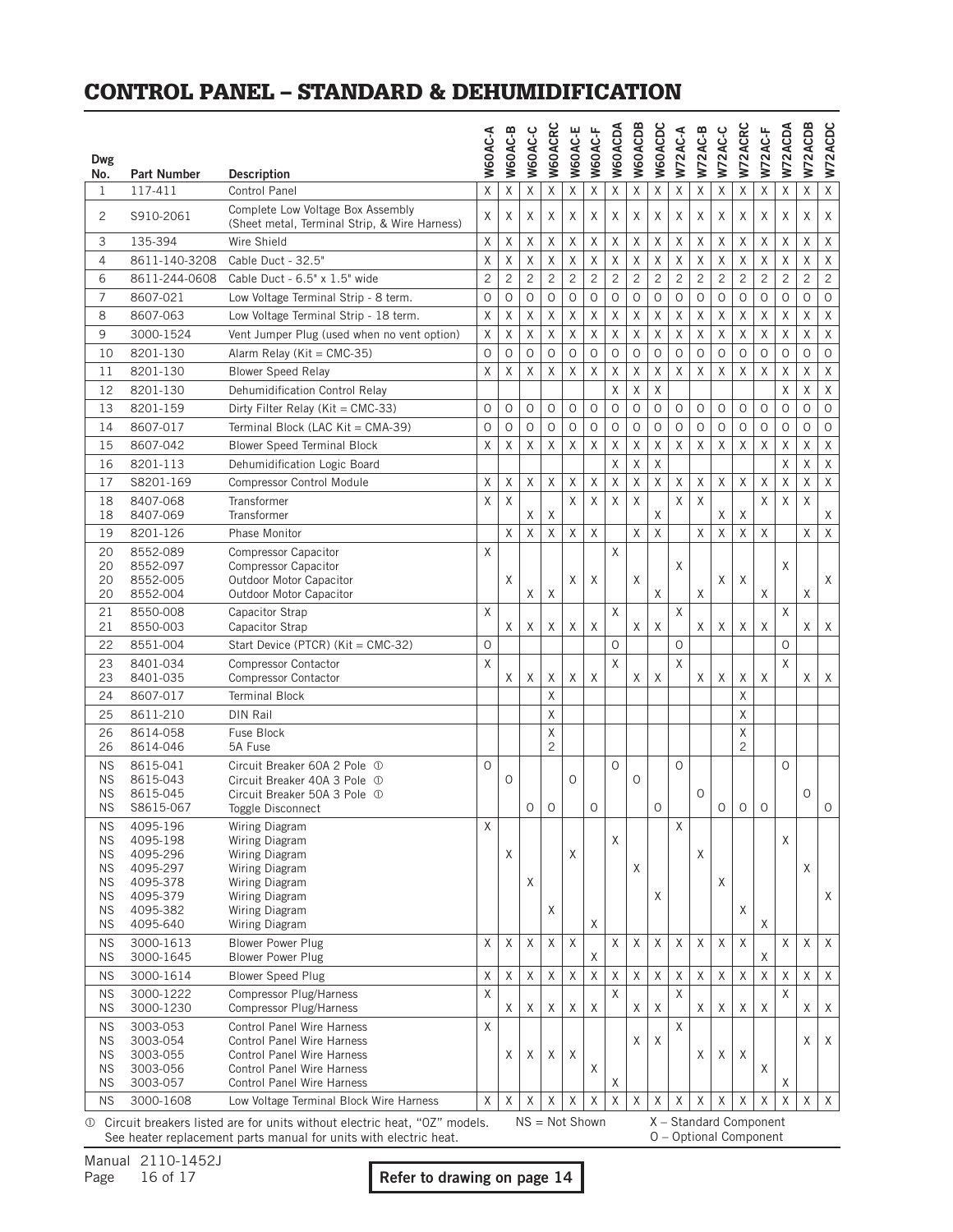#### CONTROL PANEL – STANDARD & DEHUMIDIFICATION

| Dwg                    |                                                                                                                                                                                                                           |                                                                                    | W60AC-A                 | W60AC-B        | W60AC-C        | W60ACRC             | W60AC-E        | W60AC-F        | <b>W60ACDA</b> | <b>W60ACDB</b> | <b>W60ACDC</b> | <b>W72AC-A</b> | <b>W72AC-B</b> | W72AC-C        | W72ACRC             | W72AC-F        | W72ACDA        | W72ACDB        | W72ACDC        |
|------------------------|---------------------------------------------------------------------------------------------------------------------------------------------------------------------------------------------------------------------------|------------------------------------------------------------------------------------|-------------------------|----------------|----------------|---------------------|----------------|----------------|----------------|----------------|----------------|----------------|----------------|----------------|---------------------|----------------|----------------|----------------|----------------|
| No.                    | <b>Part Number</b>                                                                                                                                                                                                        | <b>Description</b>                                                                 |                         |                |                |                     |                |                |                |                |                |                |                |                |                     |                |                |                |                |
| $\mathbf{1}$           | 117-411                                                                                                                                                                                                                   | <b>Control Panel</b>                                                               | $\overline{\mathsf{X}}$ | $\mathsf X$    | Χ              | Χ                   | Χ              | χ              | $\mathsf X$    | Χ              | Χ              | Χ              | $\mathsf X$    | $\mathsf X$    | $\mathsf X$         | $\sf X$        | Χ              | $\mathsf X$    | $\mathsf X$    |
| 2                      | S910-2061                                                                                                                                                                                                                 | Complete Low Voltage Box Assembly<br>(Sheet metal, Terminal Strip, & Wire Harness) | X                       | Χ              | Χ              | Χ                   | Χ              | X              | Χ              | X              | X              | Χ              | Χ              | Χ              | Χ                   | Χ              | Χ              | Χ              | $\times$       |
| 3                      | 135-394                                                                                                                                                                                                                   | Wire Shield                                                                        | Χ                       | Χ              | Χ              | Χ                   | Χ              | $\times$       | Χ              | Χ              | Χ              | Χ              | X              | Χ              | Χ                   | $\mathsf X$    | Χ              | Χ              | $\mathsf X$    |
| $\overline{4}$         | 8611-140-3208                                                                                                                                                                                                             | Cable Duct - 32.5"                                                                 | Χ                       | X              | Χ              | Χ                   | Χ              | X              | Χ              | Χ              | Χ              | Χ              | Χ              | Χ              | X                   | Χ              | Χ              | Χ              | $\mathsf X$    |
| 6                      | 8611-244-0608                                                                                                                                                                                                             | Cable Duct - 6.5" x 1.5" wide                                                      | $\overline{c}$          | $\overline{c}$ | $\overline{c}$ | $\overline{c}$      | $\overline{c}$ | $\overline{c}$ | $\overline{c}$ | $\overline{c}$ | $\overline{c}$ | $\overline{c}$ | $\overline{c}$ | $\overline{c}$ | $\overline{c}$      | $\overline{c}$ | $\overline{c}$ | $\overline{c}$ | $\overline{c}$ |
| $\overline{7}$         | 8607-021                                                                                                                                                                                                                  | Low Voltage Terminal Strip - 8 term.                                               | $\circ$                 | 0              | 0              | 0                   | 0              | $\circ$        | $\mathbf 0$    | $\mathsf O$    | $\circ$        | $\mathsf O$    | 0              | 0              | $\circ$             | $\mathsf O$    | $\mathsf O$    | $\circ$        | $\circ$        |
| 8                      | 8607-063                                                                                                                                                                                                                  | Low Voltage Terminal Strip - 18 term.                                              | Χ                       | Χ              | Χ              | Χ                   | Χ              | $\times$       | Χ              | X              | Χ              | Χ              | Χ              | Χ              | Χ                   | X              | Χ              | Χ              | $\mathsf X$    |
| 9                      | 3000-1524                                                                                                                                                                                                                 | Vent Jumper Plug (used when no vent option)                                        | X                       | Χ              | Χ              | Χ                   | Χ              | $\times$       | Χ              | X              | X              | Χ              | Χ              | Χ              | X                   | X              | Χ              | Χ              | $\mathsf X$    |
| 10                     | 8201-130                                                                                                                                                                                                                  | Alarm Relay ( $Kit = CMC-35$ )                                                     | $\circ$                 | $\circ$        | $\circ$        | 0                   | O              | $\circ$        | $\circ$        | $\circ$        | $\circ$        | $\circ$        | $\circ$        | $\circ$        | $\circ$             | $\circ$        | $\mathsf O$    | $\circ$        | $\circ$        |
| 11                     | 8201-130                                                                                                                                                                                                                  | <b>Blower Speed Relay</b>                                                          | $\chi$                  | X              | Χ              | X                   | Χ              | X              | Χ              | Χ              | Χ              | Χ              | X              | $\mathsf X$    | $\mathsf X$         | $\mathsf X$    | Χ              | Χ              | $\mathsf X$    |
| 12                     | 8201-130                                                                                                                                                                                                                  | Dehumidification Control Relay                                                     |                         |                |                |                     |                |                | Χ              | Χ              | Χ              |                |                |                |                     |                | Χ              | Χ              | $\mathsf X$    |
| 13                     | 8201-159                                                                                                                                                                                                                  | Dirty Filter Relay ( $Kit = CMC-33$ )                                              | $\circ$                 | $\circ$        | $\circ$        | 0                   | $\circ$        | $\circ$        | $\circ$        | $\circ$        | $\circ$        | $\circ$        | $\circ$        | $\circ$        | 0                   | $\circ$        | $\circ$        | $\circ$        | $\circ$        |
| 14                     | 8607-017                                                                                                                                                                                                                  | Terminal Block (LAC Kit = CMA-39)                                                  | $\circ$                 | O              | O              | 0                   | 0              | $\circ$        | O              | $\circ$        | $\circ$        | $\circ$        | $\circ$        | $\circ$        | $\circ$             | $\mathsf O$    | $\circ$        | $\circ$        | $\mathsf O$    |
| 15                     | 8607-042                                                                                                                                                                                                                  | <b>Blower Speed Terminal Block</b>                                                 | $\chi$                  | $\mathsf X$    | Χ              | X                   | $\mathsf X$    | $\chi$         | Χ              | Χ              | X              | Χ              | Χ              | $\mathsf X$    | $\mathsf X$         | $\mathsf X$    | Χ              | Χ              | $\mathsf X$    |
| 16                     | 8201-113                                                                                                                                                                                                                  | Dehumidification Logic Board                                                       |                         |                |                |                     |                |                | Χ              | X              | $\times$       |                |                |                |                     |                | Χ              | Χ              | $\mathsf X$    |
| 17                     | S8201-169                                                                                                                                                                                                                 | <b>Compressor Control Module</b>                                                   | Χ                       | Χ              | Χ              | Χ                   | Χ              | Χ              | X              | Χ              | X              | Χ              | Χ              | Χ              | X                   | Χ              | Χ              | $\mathsf X$    | $\mathsf X$    |
| 18                     | 8407-068                                                                                                                                                                                                                  | Transformer                                                                        | $\chi$                  | X              |                |                     | X              | X              | X              | X              |                | X              | $\sf X$        |                |                     | $\sf X$        | X              | X              |                |
| 18                     | 8407-069                                                                                                                                                                                                                  | Transformer                                                                        |                         |                | Χ              | Χ                   |                |                |                |                | Χ              |                |                | Χ              | Χ                   |                |                |                | X              |
| 19                     | 8201-126                                                                                                                                                                                                                  | Phase Monitor                                                                      |                         | X              | Χ              | Χ                   | $\mathsf X$    | X              |                | Χ              | $\mathsf X$    |                | Χ              | Χ              | X                   | $\mathsf X$    |                | Χ              | $\sf X$        |
| 20                     | 8552-089                                                                                                                                                                                                                  | <b>Compressor Capacitor</b>                                                        | X                       |                |                |                     |                |                | X              |                |                |                |                |                |                     |                |                |                |                |
| 20<br>20               | 8552-097<br>8552-005                                                                                                                                                                                                      | Compressor Capacitor<br>Outdoor Motor Capacitor                                    |                         | Χ              |                |                     | Χ              | X              |                | X              |                | X              |                | Χ              | Χ                   |                | X              |                | X              |
| 20                     | 8552-004                                                                                                                                                                                                                  | Outdoor Motor Capacitor                                                            |                         |                | Χ              | Χ                   |                |                |                |                | X              |                | Χ              |                |                     | Χ              |                | Χ              |                |
| 21                     | 8550-008                                                                                                                                                                                                                  | Capacitor Strap                                                                    | $\chi$                  |                |                |                     |                |                | X              |                |                | X              |                |                |                     |                | X              |                |                |
| 21                     | 8550-003                                                                                                                                                                                                                  | Capacitor Strap                                                                    |                         | Χ              | Χ              | Χ                   | Χ              | X              |                | Χ              | Χ              |                | Χ              | Χ              | X                   | X              |                | Χ              | Χ              |
| 22                     | 8551-004                                                                                                                                                                                                                  | Start Device (PTCR) (Kit = CMC-32)                                                 | $\circ$                 |                |                |                     |                |                | $\circ$        |                |                | $\circ$        |                |                |                     |                | 0              |                |                |
| 23                     | 8401-034                                                                                                                                                                                                                  | Compressor Contactor                                                               | X                       |                |                |                     |                |                | X              |                |                | X              |                |                |                     |                | X              |                |                |
| 23                     | 8401-035                                                                                                                                                                                                                  | Compressor Contactor                                                               |                         | Χ              | X              | Χ                   | X              | X              |                | Χ              | X              |                | Χ              | Χ              | Χ                   | X              |                | Χ              | Χ              |
| 24                     | 8607-017                                                                                                                                                                                                                  | <b>Terminal Block</b>                                                              |                         |                |                | X                   |                |                |                |                |                |                |                |                | $\times$            |                |                |                |                |
| 25                     | 8611-210                                                                                                                                                                                                                  | <b>DIN Rail</b>                                                                    |                         |                |                | X                   |                |                |                |                |                |                |                |                | X                   |                |                |                |                |
| 26<br>26               | 8614-058<br>8614-046                                                                                                                                                                                                      | Fuse Block<br>5A Fuse                                                              |                         |                |                | X<br>$\overline{c}$ |                |                |                |                |                |                |                |                | Χ<br>$\overline{c}$ |                |                |                |                |
| <b>NS</b>              | 8615-041                                                                                                                                                                                                                  | Circuit Breaker 60A 2 Pole ①                                                       | $\circ$                 |                |                |                     |                |                | $\circ$        |                |                | $\Omega$       |                |                |                     |                | 0              |                |                |
| <b>NS</b>              | 8615-043                                                                                                                                                                                                                  | Circuit Breaker 40A 3 Pole 1                                                       |                         | 0              |                |                     | O              |                |                | 0              |                |                |                |                |                     |                |                |                |                |
| <b>NS</b><br><b>NS</b> | 8615-045<br>S8615-067                                                                                                                                                                                                     | Circuit Breaker 50A 3 Pole ①                                                       |                         |                | 0              | 0                   |                | O              |                |                | 0              |                | 0              | 0              | $\circ$             | $\circ$        |                | $\circ$        | 0              |
| <b>NS</b>              | 4095-196                                                                                                                                                                                                                  | Toggle Disconnect<br>Wiring Diagram                                                | X                       |                |                |                     |                |                |                |                |                | Χ              |                |                |                     |                |                |                |                |
| <b>NS</b>              | 4095-198                                                                                                                                                                                                                  | Wiring Diagram                                                                     |                         |                |                |                     |                |                | Χ              |                |                |                |                |                |                     |                | X              |                |                |
| <b>NS</b>              | 4095-296                                                                                                                                                                                                                  | <b>Wiring Diagram</b>                                                              |                         | Χ              |                |                     | Χ              |                |                |                |                |                | X              |                |                     |                |                |                |                |
| <b>NS</b>              | 4095-297                                                                                                                                                                                                                  | Wiring Diagram                                                                     |                         |                |                |                     |                |                |                | X              |                |                |                |                |                     |                |                | Χ              |                |
| <b>NS</b><br><b>NS</b> | 4095-378<br>4095-379                                                                                                                                                                                                      | Wiring Diagram<br>Wiring Diagram                                                   |                         |                | Χ              |                     |                |                |                |                | Χ              |                |                | Χ              |                     |                |                |                | Χ              |
| <b>NS</b>              | 4095-382                                                                                                                                                                                                                  | Wiring Diagram                                                                     |                         |                |                | X                   |                |                |                |                |                |                |                |                | Χ                   |                |                |                |                |
| NS.                    | 4095-640                                                                                                                                                                                                                  | Wiring Diagram                                                                     |                         |                |                |                     |                | Χ              |                |                |                |                |                |                |                     | X              |                |                |                |
| <b>NS</b><br><b>NS</b> | 3000-1613<br>3000-1645                                                                                                                                                                                                    | <b>Blower Power Plug</b><br><b>Blower Power Plug</b>                               | X                       | Χ              | Χ              | Χ                   | Χ              | Χ              | X              | X              | Χ              | X              | X              | X              | X                   | X              | X              | Χ              | $\sf X$        |
| <b>NS</b>              | 3000-1614                                                                                                                                                                                                                 | <b>Blower Speed Plug</b>                                                           | Χ                       | $\mathsf X$    | X              | X                   | $\mathsf X$    | $\sf X$        | Χ              | $\mathsf X$    | $\mathsf X$    | Χ              | $\mathsf X$    | $\mathsf X$    | $\mathsf{X}$        | $\sf X$        | Χ              | $\mathsf X$    | $\mathsf X$    |
| <b>NS</b>              | 3000-1222                                                                                                                                                                                                                 | Compressor Plug/Harness                                                            | X                       |                |                |                     |                |                | X              |                |                | $\mathsf{X}$   |                |                |                     |                | X              |                |                |
| <b>NS</b>              | 3000-1230                                                                                                                                                                                                                 | Compressor Plug/Harness                                                            |                         | Χ              | Χ              | Χ                   | Χ              | Χ              |                | Χ              | Χ              |                | X              | X              | Χ                   | Χ              |                | Χ              | Χ              |
| NS.<br>NS.             | 3003-053<br>3003-054                                                                                                                                                                                                      | <b>Control Panel Wire Harness</b><br><b>Control Panel Wire Harness</b>             | X                       |                |                |                     |                |                |                | X              | Χ              | $\times$       |                |                |                     |                |                | X              | Χ              |
| <b>NS</b>              | 3003-055                                                                                                                                                                                                                  | <b>Control Panel Wire Harness</b>                                                  |                         | X              | Χ              | Χ                   | X              |                |                |                |                |                | Χ              | X              | Χ                   |                |                |                |                |
| <b>NS</b>              | 3003-056                                                                                                                                                                                                                  | <b>Control Panel Wire Harness</b>                                                  |                         |                |                |                     |                | Χ              |                |                |                |                |                |                |                     | Χ              |                |                |                |
| <b>NS</b>              | 3003-057                                                                                                                                                                                                                  | <b>Control Panel Wire Harness</b>                                                  |                         |                |                |                     |                |                | X              |                |                |                |                |                |                     |                | Χ              |                |                |
| <b>NS</b>              | 3000-1608                                                                                                                                                                                                                 | Low Voltage Terminal Block Wire Harness                                            | X                       | X              | Χ              | X                   | X              | X              | Χ              | X              | X              | Χ              | Χ              | X              | X                   | χ              | Χ              | Χ              | $\times$       |
|                        | X - Standard Component<br>10 Circuit breakers listed are for units without electric heat, "0Z" models.<br>$NS = Not Shown$<br>O - Optional Component<br>See heater replacement parts manual for units with electric heat. |                                                                                    |                         |                |                |                     |                |                |                |                |                |                |                |                |                     |                |                |                |                |

Refer to drawing on page 14